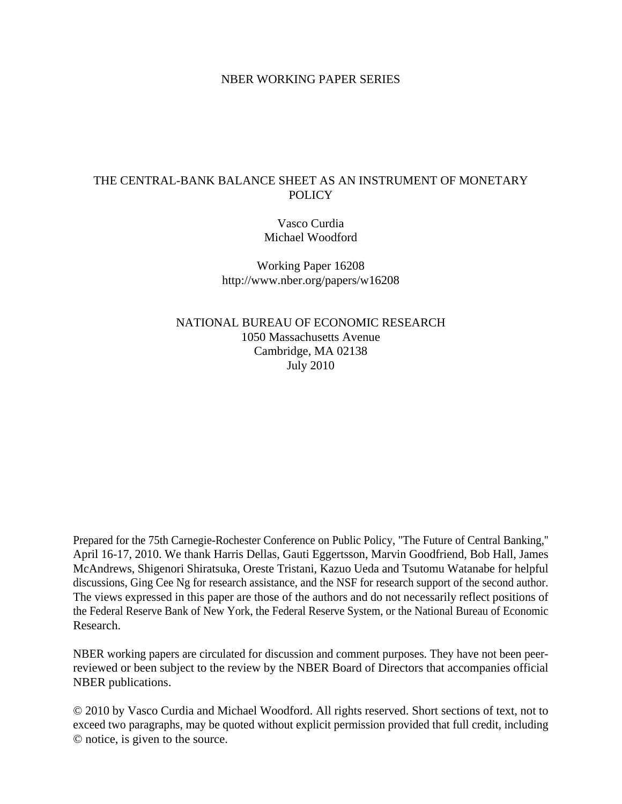#### NBER WORKING PAPER SERIES

## THE CENTRAL-BANK BALANCE SHEET AS AN INSTRUMENT OF MONETARY **POLICY**

Vasco Curdia Michael Woodford

Working Paper 16208 http://www.nber.org/papers/w16208

NATIONAL BUREAU OF ECONOMIC RESEARCH 1050 Massachusetts Avenue Cambridge, MA 02138 July 2010

Prepared for the 75th Carnegie-Rochester Conference on Public Policy, "The Future of Central Banking,'' April 16-17, 2010. We thank Harris Dellas, Gauti Eggertsson, Marvin Goodfriend, Bob Hall, James McAndrews, Shigenori Shiratsuka, Oreste Tristani, Kazuo Ueda and Tsutomu Watanabe for helpful discussions, Ging Cee Ng for research assistance, and the NSF for research support of the second author. The views expressed in this paper are those of the authors and do not necessarily reflect positions of the Federal Reserve Bank of New York, the Federal Reserve System, or the National Bureau of Economic Research.

NBER working papers are circulated for discussion and comment purposes. They have not been peerreviewed or been subject to the review by the NBER Board of Directors that accompanies official NBER publications.

© 2010 by Vasco Curdia and Michael Woodford. All rights reserved. Short sections of text, not to exceed two paragraphs, may be quoted without explicit permission provided that full credit, including © notice, is given to the source.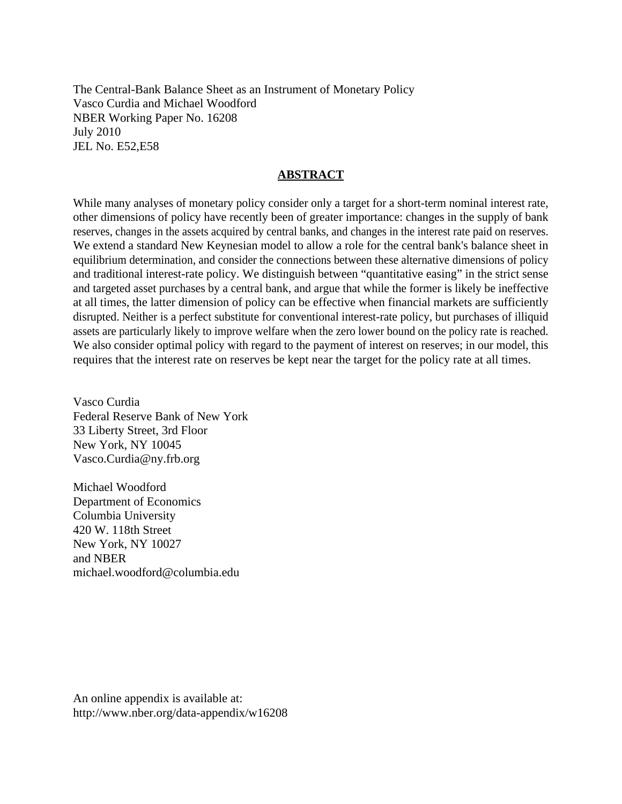The Central-Bank Balance Sheet as an Instrument of Monetary Policy Vasco Curdia and Michael Woodford NBER Working Paper No. 16208 July 2010 JEL No. E52,E58

#### **ABSTRACT**

While many analyses of monetary policy consider only a target for a short-term nominal interest rate, other dimensions of policy have recently been of greater importance: changes in the supply of bank reserves, changes in the assets acquired by central banks, and changes in the interest rate paid on reserves. We extend a standard New Keynesian model to allow a role for the central bank's balance sheet in equilibrium determination, and consider the connections between these alternative dimensions of policy and traditional interest-rate policy. We distinguish between "quantitative easing" in the strict sense and targeted asset purchases by a central bank, and argue that while the former is likely be ineffective at all times, the latter dimension of policy can be effective when financial markets are sufficiently disrupted. Neither is a perfect substitute for conventional interest-rate policy, but purchases of illiquid assets are particularly likely to improve welfare when the zero lower bound on the policy rate is reached. We also consider optimal policy with regard to the payment of interest on reserves; in our model, this requires that the interest rate on reserves be kept near the target for the policy rate at all times.

Vasco Curdia Federal Reserve Bank of New York 33 Liberty Street, 3rd Floor New York, NY 10045 Vasco.Curdia@ny.frb.org

Michael Woodford Department of Economics Columbia University 420 W. 118th Street New York, NY 10027 and NBER michael.woodford@columbia.edu

An online appendix is available at: http://www.nber.org/data-appendix/w16208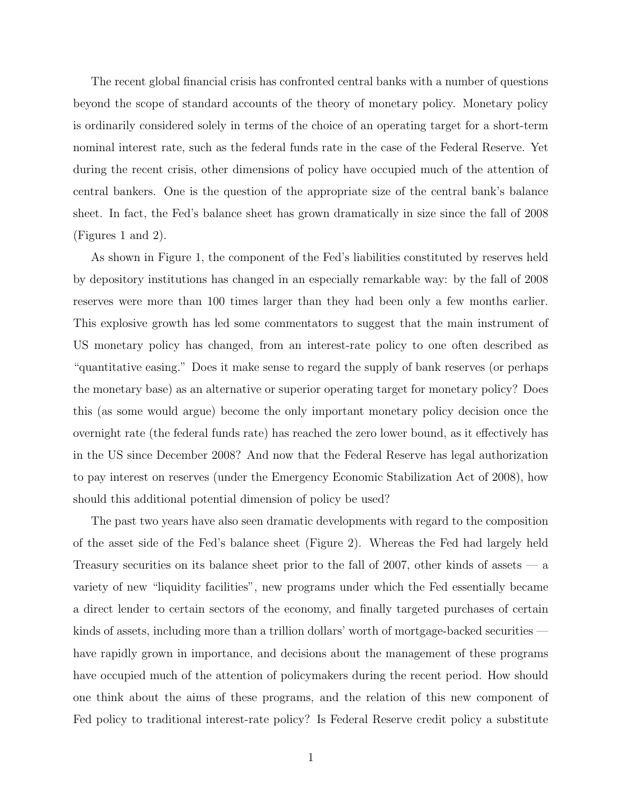The recent global financial crisis has confronted central banks with a number of questions beyond the scope of standard accounts of the theory of monetary policy. Monetary policy is ordinarily considered solely in terms of the choice of an operating target for a short-term nominal interest rate, such as the federal funds rate in the case of the Federal Reserve. Yet during the recent crisis, other dimensions of policy have occupied much of the attention of central bankers. One is the question of the appropriate size of the central bank's balance sheet. In fact, the Fed's balance sheet has grown dramatically in size since the fall of 2008 (Figures 1 and 2).

As shown in Figure 1, the component of the Fed's liabilities constituted by reserves held by depository institutions has changed in an especially remarkable way: by the fall of 2008 reserves were more than 100 times larger than they had been only a few months earlier. This explosive growth has led some commentators to suggest that the main instrument of US monetary policy has changed, from an interest-rate policy to one often described as "quantitative easing." Does it make sense to regard the supply of bank reserves (or perhaps the monetary base) as an alternative or superior operating target for monetary policy? Does this (as some would argue) become the only important monetary policy decision once the overnight rate (the federal funds rate) has reached the zero lower bound, as it effectively has in the US since December 2008? And now that the Federal Reserve has legal authorization to pay interest on reserves (under the Emergency Economic Stabilization Act of 2008), how should this additional potential dimension of policy be used?

The past two years have also seen dramatic developments with regard to the composition of the asset side of the Fed's balance sheet (Figure 2). Whereas the Fed had largely held Treasury securities on its balance sheet prior to the fall of 2007, other kinds of assets  $-$  a variety of new "liquidity facilities", new programs under which the Fed essentially became a direct lender to certain sectors of the economy, and finally targeted purchases of certain kinds of assets, including more than a trillion dollars' worth of mortgage-backed securities have rapidly grown in importance, and decisions about the management of these programs have occupied much of the attention of policymakers during the recent period. How should one think about the aims of these programs, and the relation of this new component of Fed policy to traditional interest-rate policy? Is Federal Reserve credit policy a substitute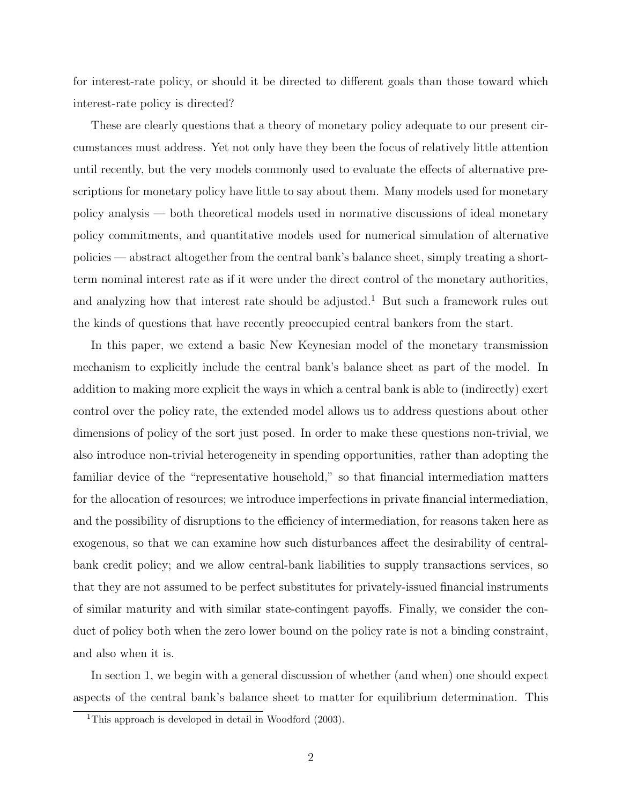for interest-rate policy, or should it be directed to different goals than those toward which interest-rate policy is directed?

These are clearly questions that a theory of monetary policy adequate to our present circumstances must address. Yet not only have they been the focus of relatively little attention until recently, but the very models commonly used to evaluate the effects of alternative prescriptions for monetary policy have little to say about them. Many models used for monetary policy analysis — both theoretical models used in normative discussions of ideal monetary policy commitments, and quantitative models used for numerical simulation of alternative policies — abstract altogether from the central bank's balance sheet, simply treating a shortterm nominal interest rate as if it were under the direct control of the monetary authorities, and analyzing how that interest rate should be adjusted.<sup>1</sup> But such a framework rules out the kinds of questions that have recently preoccupied central bankers from the start.

In this paper, we extend a basic New Keynesian model of the monetary transmission mechanism to explicitly include the central bank's balance sheet as part of the model. In addition to making more explicit the ways in which a central bank is able to (indirectly) exert control over the policy rate, the extended model allows us to address questions about other dimensions of policy of the sort just posed. In order to make these questions non-trivial, we also introduce non-trivial heterogeneity in spending opportunities, rather than adopting the familiar device of the "representative household," so that financial intermediation matters for the allocation of resources; we introduce imperfections in private financial intermediation, and the possibility of disruptions to the efficiency of intermediation, for reasons taken here as exogenous, so that we can examine how such disturbances affect the desirability of centralbank credit policy; and we allow central-bank liabilities to supply transactions services, so that they are not assumed to be perfect substitutes for privately-issued financial instruments of similar maturity and with similar state-contingent payoffs. Finally, we consider the conduct of policy both when the zero lower bound on the policy rate is not a binding constraint, and also when it is.

In section 1, we begin with a general discussion of whether (and when) one should expect aspects of the central bank's balance sheet to matter for equilibrium determination. This

<sup>&</sup>lt;sup>1</sup>This approach is developed in detail in Woodford (2003).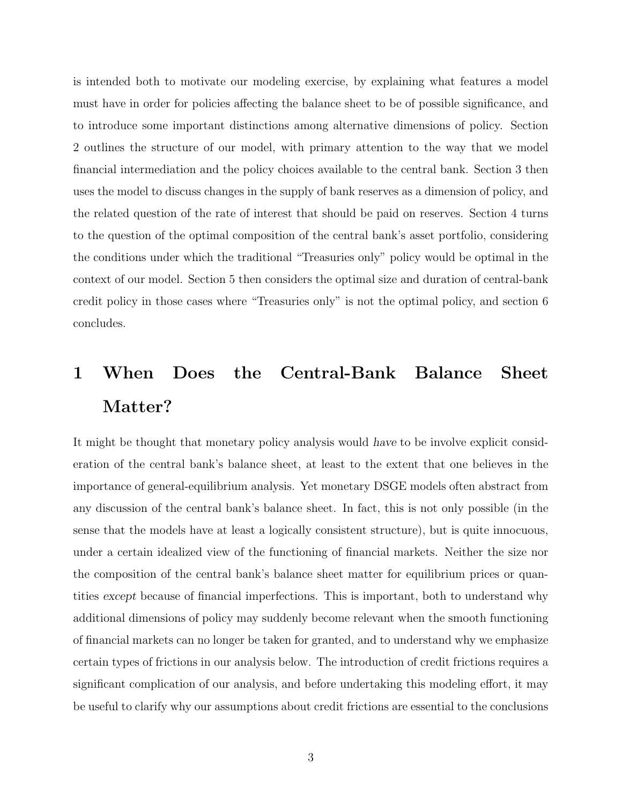is intended both to motivate our modeling exercise, by explaining what features a model must have in order for policies affecting the balance sheet to be of possible significance, and to introduce some important distinctions among alternative dimensions of policy. Section 2 outlines the structure of our model, with primary attention to the way that we model financial intermediation and the policy choices available to the central bank. Section 3 then uses the model to discuss changes in the supply of bank reserves as a dimension of policy, and the related question of the rate of interest that should be paid on reserves. Section 4 turns to the question of the optimal composition of the central bank's asset portfolio, considering the conditions under which the traditional "Treasuries only" policy would be optimal in the context of our model. Section 5 then considers the optimal size and duration of central-bank credit policy in those cases where "Treasuries only" is not the optimal policy, and section 6 concludes.

# 1 When Does the Central-Bank Balance Sheet Matter?

It might be thought that monetary policy analysis would have to be involve explicit consideration of the central bank's balance sheet, at least to the extent that one believes in the importance of general-equilibrium analysis. Yet monetary DSGE models often abstract from any discussion of the central bank's balance sheet. In fact, this is not only possible (in the sense that the models have at least a logically consistent structure), but is quite innocuous, under a certain idealized view of the functioning of financial markets. Neither the size nor the composition of the central bank's balance sheet matter for equilibrium prices or quantities except because of financial imperfections. This is important, both to understand why additional dimensions of policy may suddenly become relevant when the smooth functioning of financial markets can no longer be taken for granted, and to understand why we emphasize certain types of frictions in our analysis below. The introduction of credit frictions requires a significant complication of our analysis, and before undertaking this modeling effort, it may be useful to clarify why our assumptions about credit frictions are essential to the conclusions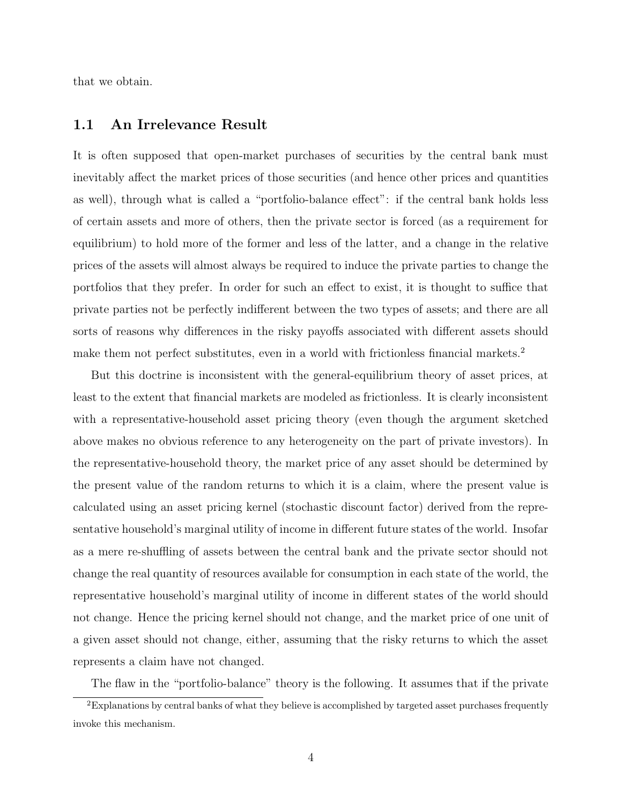that we obtain.

## 1.1 An Irrelevance Result

It is often supposed that open-market purchases of securities by the central bank must inevitably affect the market prices of those securities (and hence other prices and quantities as well), through what is called a "portfolio-balance effect": if the central bank holds less of certain assets and more of others, then the private sector is forced (as a requirement for equilibrium) to hold more of the former and less of the latter, and a change in the relative prices of the assets will almost always be required to induce the private parties to change the portfolios that they prefer. In order for such an effect to exist, it is thought to suffice that private parties not be perfectly indifferent between the two types of assets; and there are all sorts of reasons why differences in the risky payoffs associated with different assets should make them not perfect substitutes, even in a world with frictionless financial markets.<sup>2</sup>

But this doctrine is inconsistent with the general-equilibrium theory of asset prices, at least to the extent that financial markets are modeled as frictionless. It is clearly inconsistent with a representative-household asset pricing theory (even though the argument sketched above makes no obvious reference to any heterogeneity on the part of private investors). In the representative-household theory, the market price of any asset should be determined by the present value of the random returns to which it is a claim, where the present value is calculated using an asset pricing kernel (stochastic discount factor) derived from the representative household's marginal utility of income in different future states of the world. Insofar as a mere re-shuffling of assets between the central bank and the private sector should not change the real quantity of resources available for consumption in each state of the world, the representative household's marginal utility of income in different states of the world should not change. Hence the pricing kernel should not change, and the market price of one unit of a given asset should not change, either, assuming that the risky returns to which the asset represents a claim have not changed.

The flaw in the "portfolio-balance" theory is the following. It assumes that if the private

 ${}^{2}$ Explanations by central banks of what they believe is accomplished by targeted asset purchases frequently invoke this mechanism.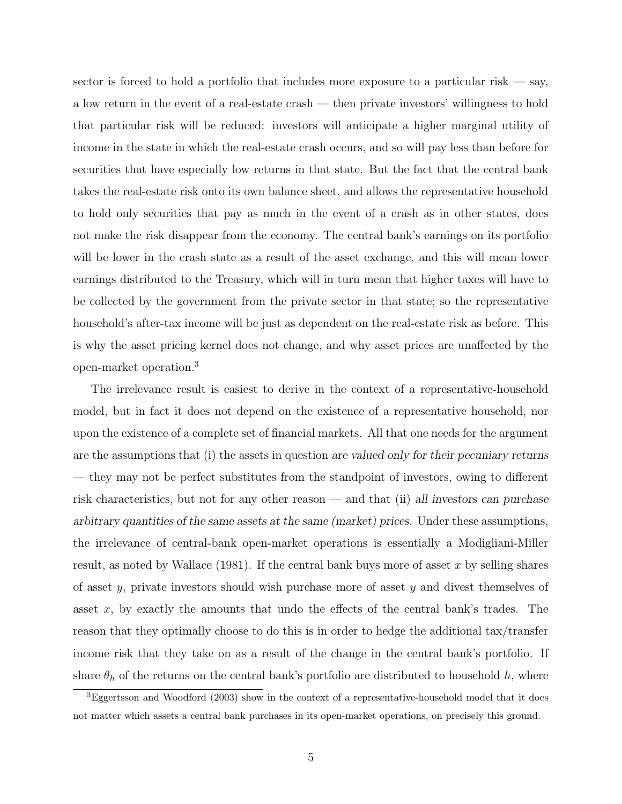sector is forced to hold a portfolio that includes more exposure to a particular risk — say, a low return in the event of a real-estate crash — then private investors' willingness to hold that particular risk will be reduced: investors will anticipate a higher marginal utility of income in the state in which the real-estate crash occurs, and so will pay less than before for securities that have especially low returns in that state. But the fact that the central bank takes the real-estate risk onto its own balance sheet, and allows the representative household to hold only securities that pay as much in the event of a crash as in other states, does not make the risk disappear from the economy. The central bank's earnings on its portfolio will be lower in the crash state as a result of the asset exchange, and this will mean lower earnings distributed to the Treasury, which will in turn mean that higher taxes will have to be collected by the government from the private sector in that state; so the representative household's after-tax income will be just as dependent on the real-estate risk as before. This is why the asset pricing kernel does not change, and why asset prices are unaffected by the open-market operation.<sup>3</sup>

The irrelevance result is easiest to derive in the context of a representative-household model, but in fact it does not depend on the existence of a representative household, nor upon the existence of a complete set of financial markets. All that one needs for the argument are the assumptions that (i) the assets in question are valued only for their pecuniary returns — they may not be perfect substitutes from the standpoint of investors, owing to different risk characteristics, but not for any other reason — and that (ii) all investors can purchase arbitrary quantities of the same assets at the same (market) prices. Under these assumptions, the irrelevance of central-bank open-market operations is essentially a Modigliani-Miller result, as noted by Wallace  $(1981)$ . If the central bank buys more of asset x by selling shares of asset  $y$ , private investors should wish purchase more of asset  $y$  and divest themselves of asset  $x$ , by exactly the amounts that undo the effects of the central bank's trades. The reason that they optimally choose to do this is in order to hedge the additional tax/transfer income risk that they take on as a result of the change in the central bank's portfolio. If share  $\theta_h$  of the returns on the central bank's portfolio are distributed to household h, where

<sup>&</sup>lt;sup>3</sup>Eggertsson and Woodford (2003) show in the context of a representative-household model that it does not matter which assets a central bank purchases in its open-market operations, on precisely this ground.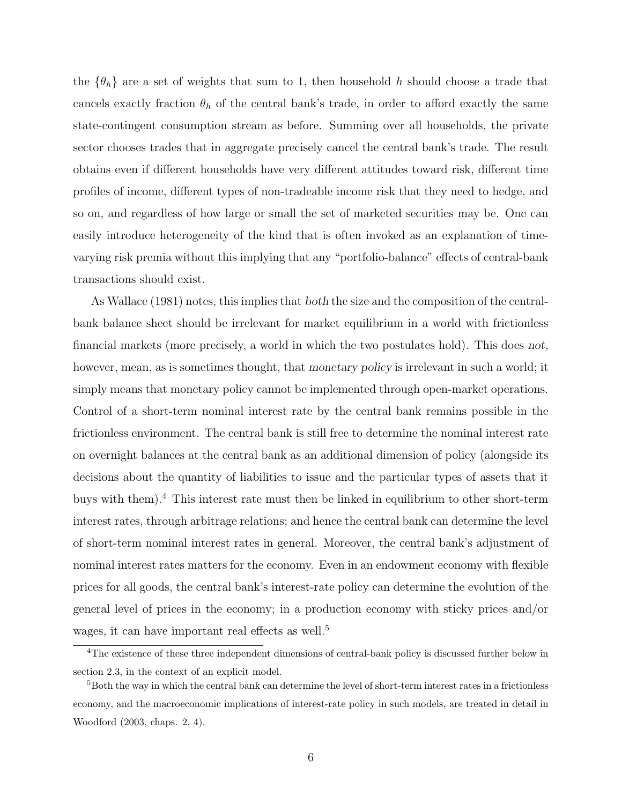the  $\{\theta_h\}$  are a set of weights that sum to 1, then household h should choose a trade that cancels exactly fraction  $\theta_h$  of the central bank's trade, in order to afford exactly the same state-contingent consumption stream as before. Summing over all households, the private sector chooses trades that in aggregate precisely cancel the central bank's trade. The result obtains even if different households have very different attitudes toward risk, different time profiles of income, different types of non-tradeable income risk that they need to hedge, and so on, and regardless of how large or small the set of marketed securities may be. One can easily introduce heterogeneity of the kind that is often invoked as an explanation of timevarying risk premia without this implying that any "portfolio-balance" effects of central-bank transactions should exist.

As Wallace (1981) notes, this implies that both the size and the composition of the centralbank balance sheet should be irrelevant for market equilibrium in a world with frictionless financial markets (more precisely, a world in which the two postulates hold). This does not, however, mean, as is sometimes thought, that monetary policy is irrelevant in such a world; it simply means that monetary policy cannot be implemented through open-market operations. Control of a short-term nominal interest rate by the central bank remains possible in the frictionless environment. The central bank is still free to determine the nominal interest rate on overnight balances at the central bank as an additional dimension of policy (alongside its decisions about the quantity of liabilities to issue and the particular types of assets that it buys with them).<sup>4</sup> This interest rate must then be linked in equilibrium to other short-term interest rates, through arbitrage relations; and hence the central bank can determine the level of short-term nominal interest rates in general. Moreover, the central bank's adjustment of nominal interest rates matters for the economy. Even in an endowment economy with flexible prices for all goods, the central bank's interest-rate policy can determine the evolution of the general level of prices in the economy; in a production economy with sticky prices and/or wages, it can have important real effects as well. $^5$ 

<sup>&</sup>lt;sup>4</sup>The existence of these three independent dimensions of central-bank policy is discussed further below in section 2.3, in the context of an explicit model.

<sup>&</sup>lt;sup>5</sup>Both the way in which the central bank can determine the level of short-term interest rates in a frictionless economy, and the macroeconomic implications of interest-rate policy in such models, are treated in detail in Woodford (2003, chaps. 2, 4).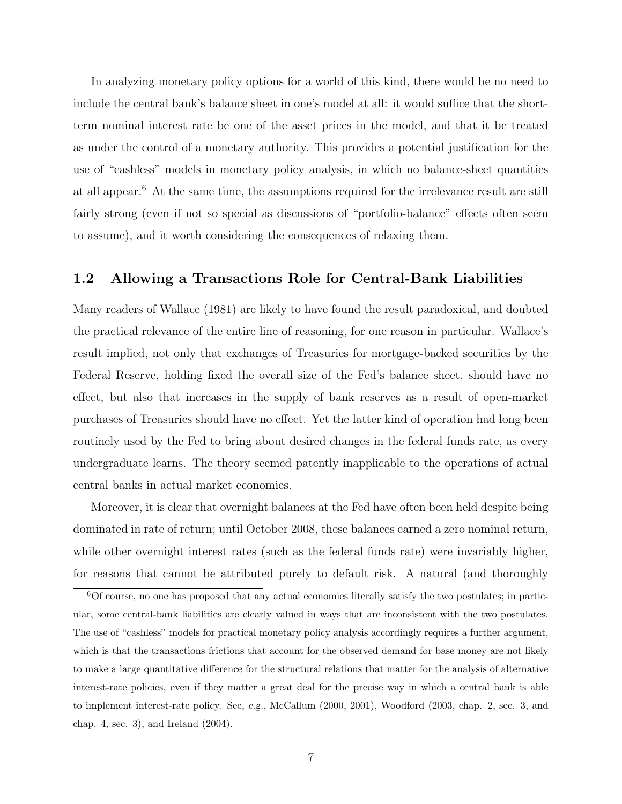In analyzing monetary policy options for a world of this kind, there would be no need to include the central bank's balance sheet in one's model at all: it would suffice that the shortterm nominal interest rate be one of the asset prices in the model, and that it be treated as under the control of a monetary authority. This provides a potential justification for the use of "cashless" models in monetary policy analysis, in which no balance-sheet quantities at all appear.<sup>6</sup> At the same time, the assumptions required for the irrelevance result are still fairly strong (even if not so special as discussions of "portfolio-balance" effects often seem to assume), and it worth considering the consequences of relaxing them.

# 1.2 Allowing a Transactions Role for Central-Bank Liabilities

Many readers of Wallace (1981) are likely to have found the result paradoxical, and doubted the practical relevance of the entire line of reasoning, for one reason in particular. Wallace's result implied, not only that exchanges of Treasuries for mortgage-backed securities by the Federal Reserve, holding fixed the overall size of the Fed's balance sheet, should have no effect, but also that increases in the supply of bank reserves as a result of open-market purchases of Treasuries should have no effect. Yet the latter kind of operation had long been routinely used by the Fed to bring about desired changes in the federal funds rate, as every undergraduate learns. The theory seemed patently inapplicable to the operations of actual central banks in actual market economies.

Moreover, it is clear that overnight balances at the Fed have often been held despite being dominated in rate of return; until October 2008, these balances earned a zero nominal return, while other overnight interest rates (such as the federal funds rate) were invariably higher, for reasons that cannot be attributed purely to default risk. A natural (and thoroughly

 ${}^{6}$ Of course, no one has proposed that any actual economies literally satisfy the two postulates; in particular, some central-bank liabilities are clearly valued in ways that are inconsistent with the two postulates. The use of "cashless" models for practical monetary policy analysis accordingly requires a further argument, which is that the transactions frictions that account for the observed demand for base money are not likely to make a large quantitative difference for the structural relations that matter for the analysis of alternative interest-rate policies, even if they matter a great deal for the precise way in which a central bank is able to implement interest-rate policy. See, e.g., McCallum (2000, 2001), Woodford (2003, chap. 2, sec. 3, and chap. 4, sec. 3), and Ireland (2004).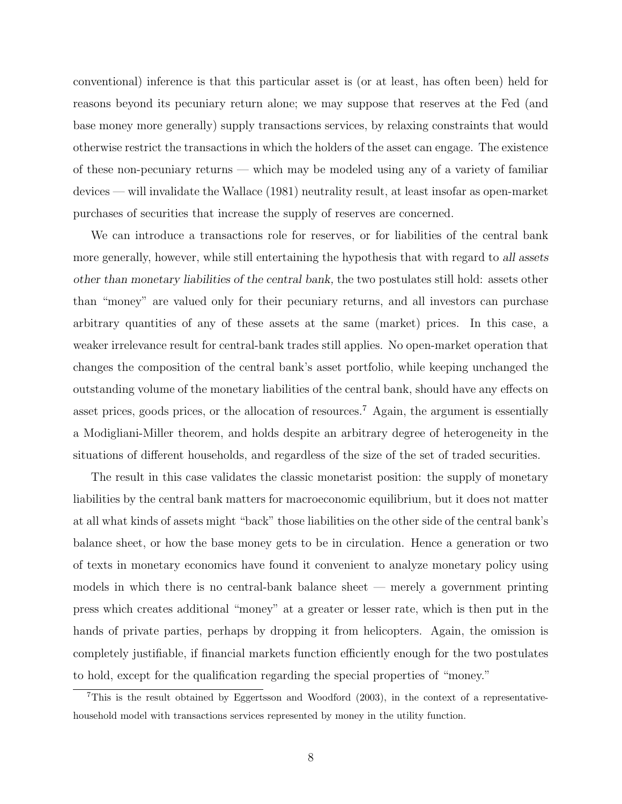conventional) inference is that this particular asset is (or at least, has often been) held for reasons beyond its pecuniary return alone; we may suppose that reserves at the Fed (and base money more generally) supply transactions services, by relaxing constraints that would otherwise restrict the transactions in which the holders of the asset can engage. The existence of these non-pecuniary returns — which may be modeled using any of a variety of familiar devices — will invalidate the Wallace (1981) neutrality result, at least insofar as open-market purchases of securities that increase the supply of reserves are concerned.

We can introduce a transactions role for reserves, or for liabilities of the central bank more generally, however, while still entertaining the hypothesis that with regard to all assets other than monetary liabilities of the central bank, the two postulates still hold: assets other than "money" are valued only for their pecuniary returns, and all investors can purchase arbitrary quantities of any of these assets at the same (market) prices. In this case, a weaker irrelevance result for central-bank trades still applies. No open-market operation that changes the composition of the central bank's asset portfolio, while keeping unchanged the outstanding volume of the monetary liabilities of the central bank, should have any effects on asset prices, goods prices, or the allocation of resources.<sup>7</sup> Again, the argument is essentially a Modigliani-Miller theorem, and holds despite an arbitrary degree of heterogeneity in the situations of different households, and regardless of the size of the set of traded securities.

The result in this case validates the classic monetarist position: the supply of monetary liabilities by the central bank matters for macroeconomic equilibrium, but it does not matter at all what kinds of assets might "back" those liabilities on the other side of the central bank's balance sheet, or how the base money gets to be in circulation. Hence a generation or two of texts in monetary economics have found it convenient to analyze monetary policy using models in which there is no central-bank balance sheet — merely a government printing press which creates additional "money" at a greater or lesser rate, which is then put in the hands of private parties, perhaps by dropping it from helicopters. Again, the omission is completely justifiable, if financial markets function efficiently enough for the two postulates to hold, except for the qualification regarding the special properties of "money."

<sup>7</sup>This is the result obtained by Eggertsson and Woodford (2003), in the context of a representativehousehold model with transactions services represented by money in the utility function.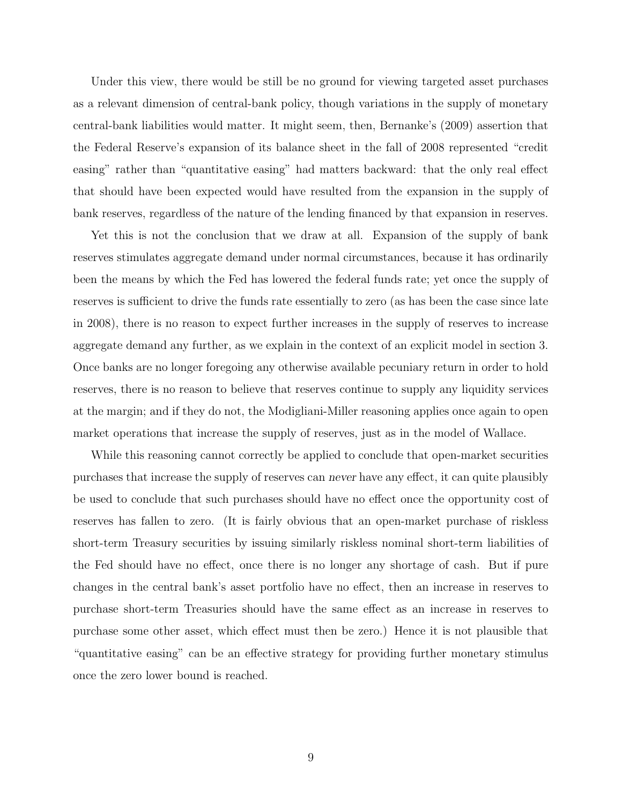Under this view, there would be still be no ground for viewing targeted asset purchases as a relevant dimension of central-bank policy, though variations in the supply of monetary central-bank liabilities would matter. It might seem, then, Bernanke's (2009) assertion that the Federal Reserve's expansion of its balance sheet in the fall of 2008 represented "credit easing" rather than "quantitative easing" had matters backward: that the only real effect that should have been expected would have resulted from the expansion in the supply of bank reserves, regardless of the nature of the lending financed by that expansion in reserves.

Yet this is not the conclusion that we draw at all. Expansion of the supply of bank reserves stimulates aggregate demand under normal circumstances, because it has ordinarily been the means by which the Fed has lowered the federal funds rate; yet once the supply of reserves is sufficient to drive the funds rate essentially to zero (as has been the case since late in 2008), there is no reason to expect further increases in the supply of reserves to increase aggregate demand any further, as we explain in the context of an explicit model in section 3. Once banks are no longer foregoing any otherwise available pecuniary return in order to hold reserves, there is no reason to believe that reserves continue to supply any liquidity services at the margin; and if they do not, the Modigliani-Miller reasoning applies once again to open market operations that increase the supply of reserves, just as in the model of Wallace.

While this reasoning cannot correctly be applied to conclude that open-market securities purchases that increase the supply of reserves can never have any effect, it can quite plausibly be used to conclude that such purchases should have no effect once the opportunity cost of reserves has fallen to zero. (It is fairly obvious that an open-market purchase of riskless short-term Treasury securities by issuing similarly riskless nominal short-term liabilities of the Fed should have no effect, once there is no longer any shortage of cash. But if pure changes in the central bank's asset portfolio have no effect, then an increase in reserves to purchase short-term Treasuries should have the same effect as an increase in reserves to purchase some other asset, which effect must then be zero.) Hence it is not plausible that "quantitative easing" can be an effective strategy for providing further monetary stimulus once the zero lower bound is reached.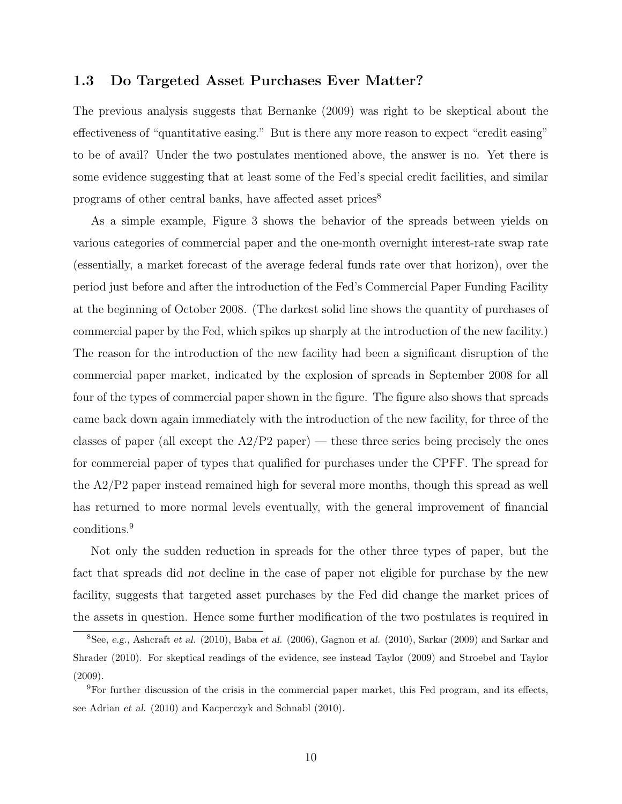## 1.3 Do Targeted Asset Purchases Ever Matter?

The previous analysis suggests that Bernanke (2009) was right to be skeptical about the effectiveness of "quantitative easing." But is there any more reason to expect "credit easing" to be of avail? Under the two postulates mentioned above, the answer is no. Yet there is some evidence suggesting that at least some of the Fed's special credit facilities, and similar programs of other central banks, have affected asset prices<sup>8</sup>

As a simple example, Figure 3 shows the behavior of the spreads between yields on various categories of commercial paper and the one-month overnight interest-rate swap rate (essentially, a market forecast of the average federal funds rate over that horizon), over the period just before and after the introduction of the Fed's Commercial Paper Funding Facility at the beginning of October 2008. (The darkest solid line shows the quantity of purchases of commercial paper by the Fed, which spikes up sharply at the introduction of the new facility.) The reason for the introduction of the new facility had been a significant disruption of the commercial paper market, indicated by the explosion of spreads in September 2008 for all four of the types of commercial paper shown in the figure. The figure also shows that spreads came back down again immediately with the introduction of the new facility, for three of the classes of paper (all except the  $A2/P2$  paper) — these three series being precisely the ones for commercial paper of types that qualified for purchases under the CPFF. The spread for the A2/P2 paper instead remained high for several more months, though this spread as well has returned to more normal levels eventually, with the general improvement of financial conditions.<sup>9</sup>

Not only the sudden reduction in spreads for the other three types of paper, but the fact that spreads did not decline in the case of paper not eligible for purchase by the new facility, suggests that targeted asset purchases by the Fed did change the market prices of the assets in question. Hence some further modification of the two postulates is required in

 $8$ See, e.g., Ashcraft et al. (2010), Baba et al. (2006), Gagnon et al. (2010), Sarkar (2009) and Sarkar and Shrader (2010). For skeptical readings of the evidence, see instead Taylor (2009) and Stroebel and Taylor (2009).

<sup>9</sup>For further discussion of the crisis in the commercial paper market, this Fed program, and its effects, see Adrian et al. (2010) and Kacperczyk and Schnabl (2010).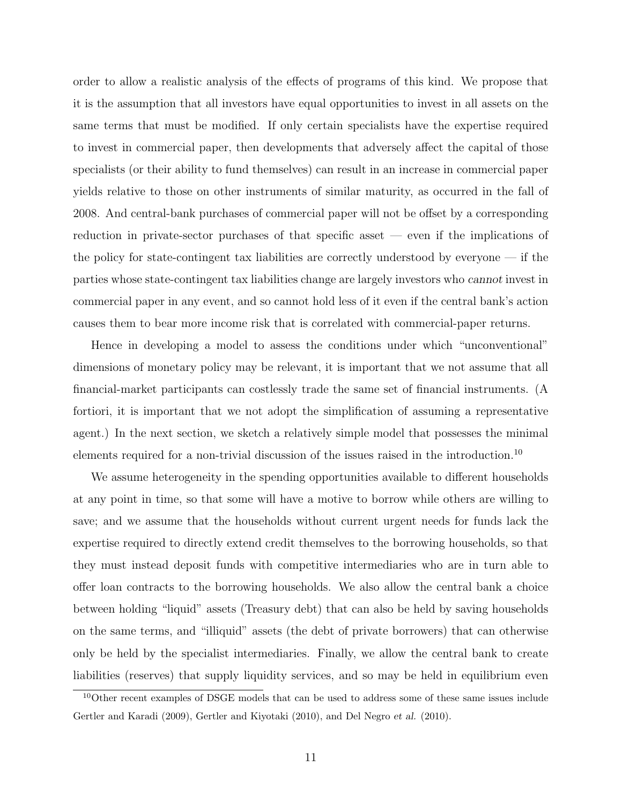order to allow a realistic analysis of the effects of programs of this kind. We propose that it is the assumption that all investors have equal opportunities to invest in all assets on the same terms that must be modified. If only certain specialists have the expertise required to invest in commercial paper, then developments that adversely affect the capital of those specialists (or their ability to fund themselves) can result in an increase in commercial paper yields relative to those on other instruments of similar maturity, as occurred in the fall of 2008. And central-bank purchases of commercial paper will not be offset by a corresponding reduction in private-sector purchases of that specific asset — even if the implications of the policy for state-contingent tax liabilities are correctly understood by everyone — if the parties whose state-contingent tax liabilities change are largely investors who cannot invest in commercial paper in any event, and so cannot hold less of it even if the central bank's action causes them to bear more income risk that is correlated with commercial-paper returns.

Hence in developing a model to assess the conditions under which "unconventional" dimensions of monetary policy may be relevant, it is important that we not assume that all financial-market participants can costlessly trade the same set of financial instruments. (A fortiori, it is important that we not adopt the simplification of assuming a representative agent.) In the next section, we sketch a relatively simple model that possesses the minimal elements required for a non-trivial discussion of the issues raised in the introduction.<sup>10</sup>

We assume heterogeneity in the spending opportunities available to different households at any point in time, so that some will have a motive to borrow while others are willing to save; and we assume that the households without current urgent needs for funds lack the expertise required to directly extend credit themselves to the borrowing households, so that they must instead deposit funds with competitive intermediaries who are in turn able to offer loan contracts to the borrowing households. We also allow the central bank a choice between holding "liquid" assets (Treasury debt) that can also be held by saving households on the same terms, and "illiquid" assets (the debt of private borrowers) that can otherwise only be held by the specialist intermediaries. Finally, we allow the central bank to create liabilities (reserves) that supply liquidity services, and so may be held in equilibrium even

<sup>&</sup>lt;sup>10</sup>Other recent examples of DSGE models that can be used to address some of these same issues include Gertler and Karadi (2009), Gertler and Kiyotaki (2010), and Del Negro et al. (2010).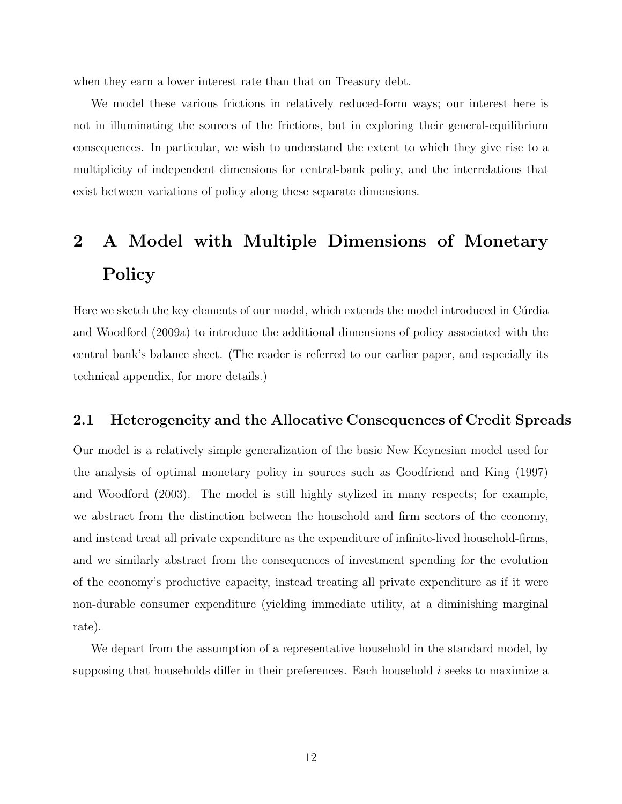when they earn a lower interest rate than that on Treasury debt.

We model these various frictions in relatively reduced-form ways; our interest here is not in illuminating the sources of the frictions, but in exploring their general-equilibrium consequences. In particular, we wish to understand the extent to which they give rise to a multiplicity of independent dimensions for central-bank policy, and the interrelations that exist between variations of policy along these separate dimensions.

# 2 A Model with Multiple Dimensions of Monetary Policy

Here we sketch the key elements of our model, which extends the model introduced in Cúrdia and Woodford (2009a) to introduce the additional dimensions of policy associated with the central bank's balance sheet. (The reader is referred to our earlier paper, and especially its technical appendix, for more details.)

## 2.1 Heterogeneity and the Allocative Consequences of Credit Spreads

Our model is a relatively simple generalization of the basic New Keynesian model used for the analysis of optimal monetary policy in sources such as Goodfriend and King (1997) and Woodford (2003). The model is still highly stylized in many respects; for example, we abstract from the distinction between the household and firm sectors of the economy, and instead treat all private expenditure as the expenditure of infinite-lived household-firms, and we similarly abstract from the consequences of investment spending for the evolution of the economy's productive capacity, instead treating all private expenditure as if it were non-durable consumer expenditure (yielding immediate utility, at a diminishing marginal rate).

We depart from the assumption of a representative household in the standard model, by supposing that households differ in their preferences. Each household  $i$  seeks to maximize a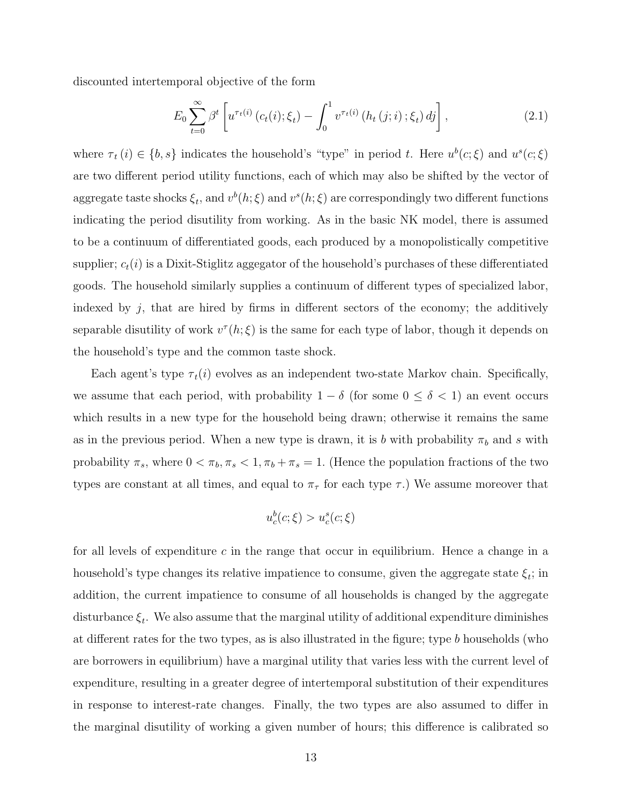discounted intertemporal objective of the form

$$
E_0 \sum_{t=0}^{\infty} \beta^t \left[ u^{\tau_t(i)} \left( c_t(i); \xi_t \right) - \int_0^1 v^{\tau_t(i)} \left( h_t(j;i); \xi_t \right) dj \right], \tag{2.1}
$$

where  $\tau_t(i) \in \{b, s\}$  indicates the household's "type" in period t. Here  $u^b(c; \xi)$  and  $u^s(c; \xi)$ are two different period utility functions, each of which may also be shifted by the vector of aggregate taste shocks  $\xi_t$ , and  $v^b(h;\xi)$  and  $v^s(h;\xi)$  are correspondingly two different functions indicating the period disutility from working. As in the basic NK model, there is assumed to be a continuum of differentiated goods, each produced by a monopolistically competitive supplier;  $c_t(i)$  is a Dixit-Stiglitz aggegator of the household's purchases of these differentiated goods. The household similarly supplies a continuum of different types of specialized labor, indexed by  $j$ , that are hired by firms in different sectors of the economy; the additively separable disutility of work  $v^{\tau}(h;\xi)$  is the same for each type of labor, though it depends on the household's type and the common taste shock.

Each agent's type  $\tau_t(i)$  evolves as an independent two-state Markov chain. Specifically, we assume that each period, with probability  $1 - \delta$  (for some  $0 \leq \delta < 1$ ) an event occurs which results in a new type for the household being drawn; otherwise it remains the same as in the previous period. When a new type is drawn, it is b with probability  $\pi_b$  and s with probability  $\pi_s$ , where  $0 < \pi_b$ ,  $\pi_s < 1$ ,  $\pi_b + \pi_s = 1$ . (Hence the population fractions of the two types are constant at all times, and equal to  $\pi_{\tau}$  for each type  $\tau$ .) We assume moreover that

$$
u_c^b(c;\xi) > u_c^s(c;\xi)
$$

for all levels of expenditure  $c$  in the range that occur in equilibrium. Hence a change in a household's type changes its relative impatience to consume, given the aggregate state  $\xi_t$ ; in addition, the current impatience to consume of all households is changed by the aggregate disturbance  $\xi_t$ . We also assume that the marginal utility of additional expenditure diminishes at different rates for the two types, as is also illustrated in the figure; type b households (who are borrowers in equilibrium) have a marginal utility that varies less with the current level of expenditure, resulting in a greater degree of intertemporal substitution of their expenditures in response to interest-rate changes. Finally, the two types are also assumed to differ in the marginal disutility of working a given number of hours; this difference is calibrated so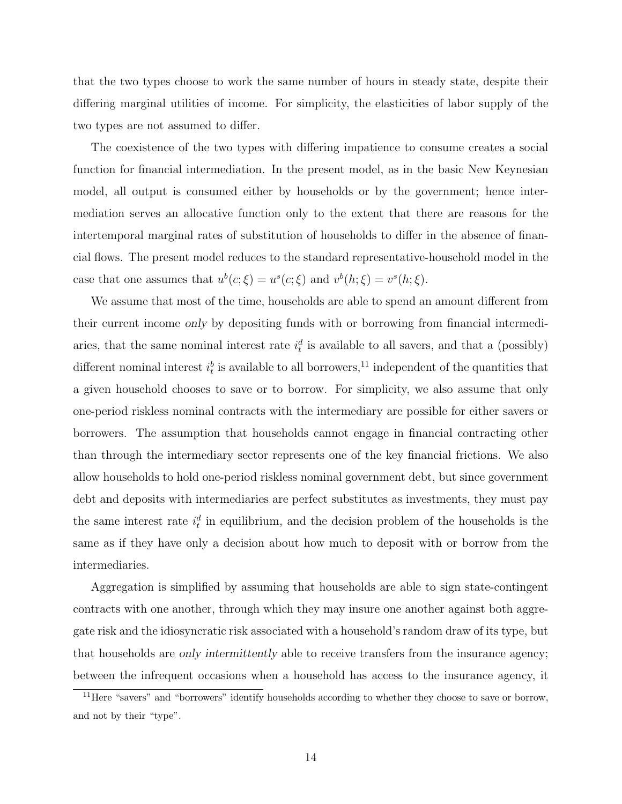that the two types choose to work the same number of hours in steady state, despite their differing marginal utilities of income. For simplicity, the elasticities of labor supply of the two types are not assumed to differ.

The coexistence of the two types with differing impatience to consume creates a social function for financial intermediation. In the present model, as in the basic New Keynesian model, all output is consumed either by households or by the government; hence intermediation serves an allocative function only to the extent that there are reasons for the intertemporal marginal rates of substitution of households to differ in the absence of financial flows. The present model reduces to the standard representative-household model in the case that one assumes that  $u^b(c;\xi) = u^s(c;\xi)$  and  $v^b(h;\xi) = v^s(h;\xi)$ .

We assume that most of the time, households are able to spend an amount different from their current income only by depositing funds with or borrowing from financial intermediaries, that the same nominal interest rate  $i_t^d$  is available to all savers, and that a (possibly) different nominal interest  $i_t^b$  is available to all borrowers,<sup>11</sup> independent of the quantities that a given household chooses to save or to borrow. For simplicity, we also assume that only one-period riskless nominal contracts with the intermediary are possible for either savers or borrowers. The assumption that households cannot engage in financial contracting other than through the intermediary sector represents one of the key financial frictions. We also allow households to hold one-period riskless nominal government debt, but since government debt and deposits with intermediaries are perfect substitutes as investments, they must pay the same interest rate  $i_t^d$  in equilibrium, and the decision problem of the households is the same as if they have only a decision about how much to deposit with or borrow from the intermediaries.

Aggregation is simplified by assuming that households are able to sign state-contingent contracts with one another, through which they may insure one another against both aggregate risk and the idiosyncratic risk associated with a household's random draw of its type, but that households are only intermittently able to receive transfers from the insurance agency; between the infrequent occasions when a household has access to the insurance agency, it

<sup>&</sup>lt;sup>11</sup>Here "savers" and "borrowers" identify households according to whether they choose to save or borrow, and not by their "type".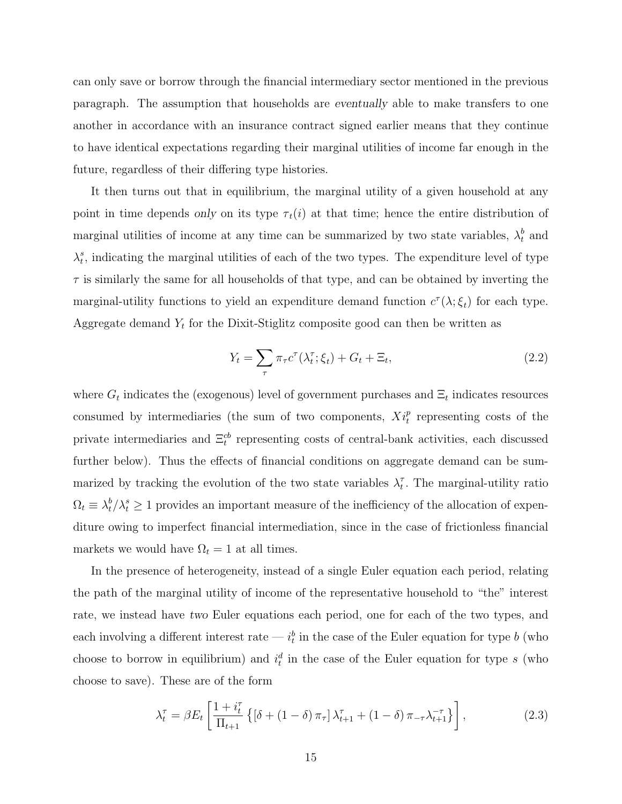can only save or borrow through the financial intermediary sector mentioned in the previous paragraph. The assumption that households are eventually able to make transfers to one another in accordance with an insurance contract signed earlier means that they continue to have identical expectations regarding their marginal utilities of income far enough in the future, regardless of their differing type histories.

It then turns out that in equilibrium, the marginal utility of a given household at any point in time depends only on its type  $\tau_t(i)$  at that time; hence the entire distribution of marginal utilities of income at any time can be summarized by two state variables,  $\lambda_t^b$  $_t^b$  and  $\lambda_t^s$  $_t^s$ , indicating the marginal utilities of each of the two types. The expenditure level of type  $\tau$  is similarly the same for all households of that type, and can be obtained by inverting the marginal-utility functions to yield an expenditure demand function  $c^{\tau}(\lambda; \xi_t)$  for each type. Aggregate demand  $Y_t$  for the Dixit-Stiglitz composite good can then be written as

$$
Y_t = \sum_{\tau} \pi_{\tau} c^{\tau} (\lambda_t^{\tau}; \xi_t) + G_t + \Xi_t,
$$
\n(2.2)

where  $G_t$  indicates the (exogenous) level of government purchases and  $\Xi_t$  indicates resources consumed by intermediaries (the sum of two components,  $Xi_t^i$  representing costs of the private intermediaries and  $\Xi_t^{cb}$  representing costs of central-bank activities, each discussed further below). Thus the effects of financial conditions on aggregate demand can be summarized by tracking the evolution of the two state variables  $\lambda_t^{\tau}$  $\tau_t^{\tau}$ . The marginal-utility ratio  $\Omega_t \equiv \lambda_t^b$  $t^b_t/\lambda_t^s \geq 1$  provides an important measure of the inefficiency of the allocation of expenditure owing to imperfect financial intermediation, since in the case of frictionless financial markets we would have  $\Omega_t = 1$  at all times.

In the presence of heterogeneity, instead of a single Euler equation each period, relating the path of the marginal utility of income of the representative household to "the" interest rate, we instead have two Euler equations each period, one for each of the two types, and each involving a different interest rate —  $i_t^b$  in the case of the Euler equation for type b (who choose to borrow in equilibrium) and  $i_t^d$  in the case of the Euler equation for type s (who choose to save). These are of the form

$$
\lambda_t^{\tau} = \beta E_t \left[ \frac{1 + i_t^{\tau}}{\Pi_{t+1}} \left\{ \left[ \delta + (1 - \delta) \pi_{\tau} \right] \lambda_{t+1}^{\tau} + (1 - \delta) \pi_{-\tau} \lambda_{t+1}^{-\tau} \right\} \right],\tag{2.3}
$$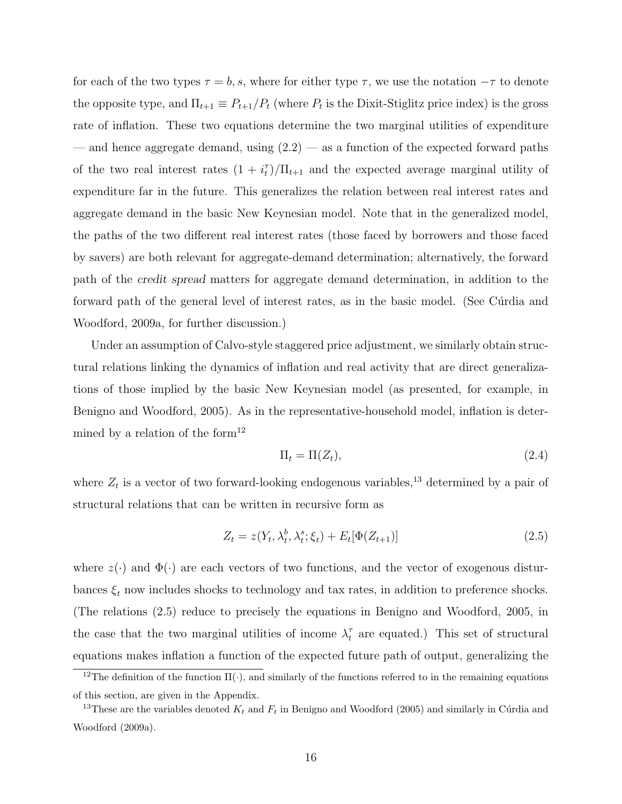for each of the two types  $\tau = b$ , s, where for either type  $\tau$ , we use the notation  $-\tau$  to denote the opposite type, and  $\Pi_{t+1} \equiv P_{t+1}/P_t$  (where  $P_t$  is the Dixit-Stiglitz price index) is the gross rate of inflation. These two equations determine the two marginal utilities of expenditure — and hence aggregate demand, using  $(2.2)$  — as a function of the expected forward paths of the two real interest rates  $(1 + i_t^{\tau})/\Pi_{t+1}$  and the expected average marginal utility of expenditure far in the future. This generalizes the relation between real interest rates and aggregate demand in the basic New Keynesian model. Note that in the generalized model, the paths of the two different real interest rates (those faced by borrowers and those faced by savers) are both relevant for aggregate-demand determination; alternatively, the forward path of the credit spread matters for aggregate demand determination, in addition to the forward path of the general level of interest rates, as in the basic model. (See Cúrdia and Woodford, 2009a, for further discussion.)

Under an assumption of Calvo-style staggered price adjustment, we similarly obtain structural relations linking the dynamics of inflation and real activity that are direct generalizations of those implied by the basic New Keynesian model (as presented, for example, in Benigno and Woodford, 2005). As in the representative-household model, inflation is determined by a relation of the form $^{12}$ 

$$
\Pi_t = \Pi(Z_t),\tag{2.4}
$$

where  $Z_t$  is a vector of two forward-looking endogenous variables,<sup>13</sup> determined by a pair of structural relations that can be written in recursive form as

$$
Z_t = z(Y_t, \lambda_t^b, \lambda_t^s; \xi_t) + E_t[\Phi(Z_{t+1})]
$$
\n
$$
(2.5)
$$

where  $z(\cdot)$  and  $\Phi(\cdot)$  are each vectors of two functions, and the vector of exogenous disturbances  $\xi_t$  now includes shocks to technology and tax rates, in addition to preference shocks. (The relations (2.5) reduce to precisely the equations in Benigno and Woodford, 2005, in the case that the two marginal utilities of income  $\lambda_t^{\tau}$  $\tau$  are equated.) This set of structural equations makes inflation a function of the expected future path of output, generalizing the

<sup>&</sup>lt;sup>12</sup>The definition of the function  $\Pi(\cdot)$ , and similarly of the functions referred to in the remaining equations of this section, are given in the Appendix.

<sup>&</sup>lt;sup>13</sup>These are the variables denoted  $K_t$  and  $F_t$  in Benigno and Woodford (2005) and similarly in Cúrdia and Woodford (2009a).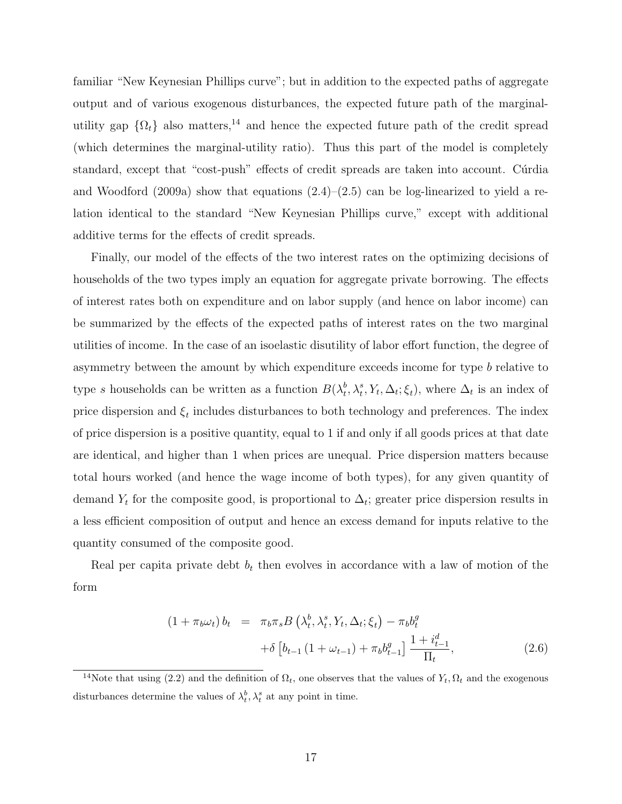familiar "New Keynesian Phillips curve"; but in addition to the expected paths of aggregate output and of various exogenous disturbances, the expected future path of the marginalutility gap  $\{\Omega_t\}$  also matters,<sup>14</sup> and hence the expected future path of the credit spread (which determines the marginal-utility ratio). Thus this part of the model is completely standard, except that "cost-push" effects of credit spreads are taken into account. Curdia and Woodford (2009a) show that equations  $(2.4)$ – $(2.5)$  can be log-linearized to yield a relation identical to the standard "New Keynesian Phillips curve," except with additional additive terms for the effects of credit spreads.

Finally, our model of the effects of the two interest rates on the optimizing decisions of households of the two types imply an equation for aggregate private borrowing. The effects of interest rates both on expenditure and on labor supply (and hence on labor income) can be summarized by the effects of the expected paths of interest rates on the two marginal utilities of income. In the case of an isoelastic disutility of labor effort function, the degree of asymmetry between the amount by which expenditure exceeds income for type b relative to type s households can be written as a function  $B(\lambda_t^b)$  $_t^b, \lambda_t^s, Y_t, \Delta_t; \xi_t$ , where  $\Delta_t$  is an index of price dispersion and  $\xi_t$  includes disturbances to both technology and preferences. The index of price dispersion is a positive quantity, equal to 1 if and only if all goods prices at that date are identical, and higher than 1 when prices are unequal. Price dispersion matters because total hours worked (and hence the wage income of both types), for any given quantity of demand  $Y_t$  for the composite good, is proportional to  $\Delta_t$ ; greater price dispersion results in a less efficient composition of output and hence an excess demand for inputs relative to the quantity consumed of the composite good.

Real per capita private debt  $b_t$  then evolves in accordance with a law of motion of the form

$$
(1 + \pi_b \omega_t) b_t = \pi_b \pi_s B \left( \lambda_t^b, \lambda_t^s, Y_t, \Delta_t; \xi_t \right) - \pi_b b_t^g
$$

$$
+ \delta \left[ b_{t-1} \left( 1 + \omega_{t-1} \right) + \pi_b b_{t-1}^g \right] \frac{1 + i_{t-1}^d}{\Pi_t}, \tag{2.6}
$$

<sup>&</sup>lt;sup>14</sup>Note that using (2.2) and the definition of  $\Omega_t$ , one observes that the values of  $Y_t$ ,  $\Omega_t$  and the exogenous disturbances determine the values of  $\lambda_t^b, \lambda_t^s$  at any point in time.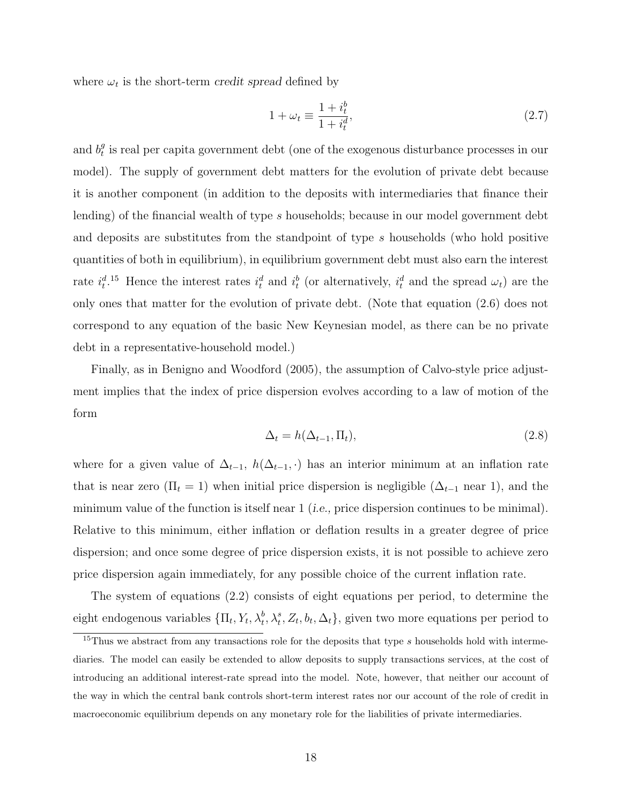where  $\omega_t$  is the short-term credit spread defined by

$$
1 + \omega_t \equiv \frac{1 + i_t^b}{1 + i_t^d},\tag{2.7}
$$

and  $b_t^g$  $_t^g$  is real per capita government debt (one of the exogenous disturbance processes in our model). The supply of government debt matters for the evolution of private debt because it is another component (in addition to the deposits with intermediaries that finance their lending) of the financial wealth of type s households; because in our model government debt and deposits are substitutes from the standpoint of type s households (who hold positive quantities of both in equilibrium), in equilibrium government debt must also earn the interest rate  $i_t^{d}$ .<sup>15</sup> Hence the interest rates  $i_t^d$  and  $i_t^b$  (or alternatively,  $i_t^d$  and the spread  $\omega_t$ ) are the only ones that matter for the evolution of private debt. (Note that equation (2.6) does not correspond to any equation of the basic New Keynesian model, as there can be no private debt in a representative-household model.)

Finally, as in Benigno and Woodford (2005), the assumption of Calvo-style price adjustment implies that the index of price dispersion evolves according to a law of motion of the form

$$
\Delta_t = h(\Delta_{t-1}, \Pi_t),\tag{2.8}
$$

where for a given value of  $\Delta_{t-1}$ ,  $h(\Delta_{t-1}, \cdot)$  has an interior minimum at an inflation rate that is near zero ( $\Pi_t = 1$ ) when initial price dispersion is negligible ( $\Delta_{t-1}$  near 1), and the minimum value of the function is itself near 1 (i.e., price dispersion continues to be minimal). Relative to this minimum, either inflation or deflation results in a greater degree of price dispersion; and once some degree of price dispersion exists, it is not possible to achieve zero price dispersion again immediately, for any possible choice of the current inflation rate.

The system of equations (2.2) consists of eight equations per period, to determine the eight endogenous variables  $\{\Pi_t, Y_t, \lambda_t^b, \lambda_t^s, Z_t, b_t, \Delta_t\}$ , given two more equations per period to

 $\frac{15}{15}$ Thus we abstract from any transactions role for the deposits that type s households hold with intermediaries. The model can easily be extended to allow deposits to supply transactions services, at the cost of introducing an additional interest-rate spread into the model. Note, however, that neither our account of the way in which the central bank controls short-term interest rates nor our account of the role of credit in macroeconomic equilibrium depends on any monetary role for the liabilities of private intermediaries.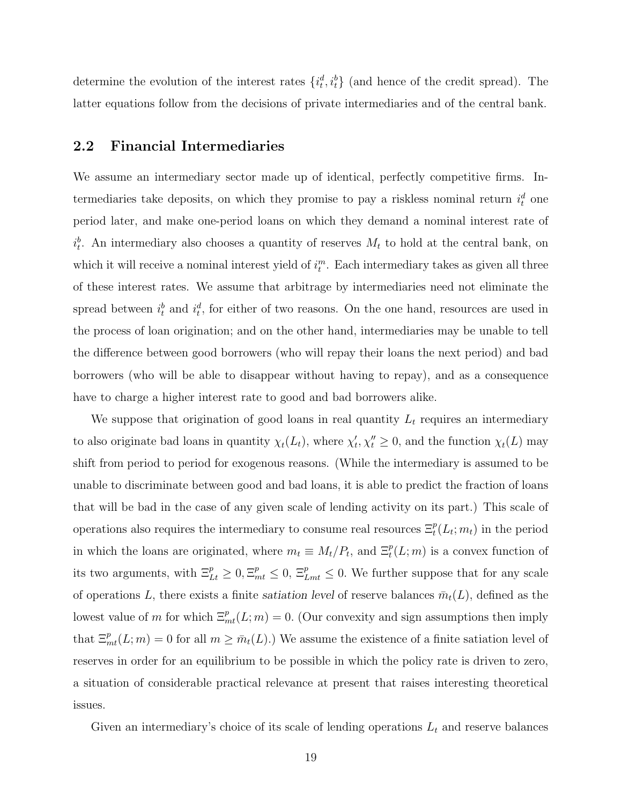determine the evolution of the interest rates  $\{i_t^d, i_t^b\}$  (and hence of the credit spread). The latter equations follow from the decisions of private intermediaries and of the central bank.

# 2.2 Financial Intermediaries

We assume an intermediary sector made up of identical, perfectly competitive firms. Intermediaries take deposits, on which they promise to pay a riskless nominal return  $i_t^d$  one period later, and make one-period loans on which they demand a nominal interest rate of  $i_t^b$ . An intermediary also chooses a quantity of reserves  $M_t$  to hold at the central bank, on which it will receive a nominal interest yield of  $i_t^m$ . Each intermediary takes as given all three of these interest rates. We assume that arbitrage by intermediaries need not eliminate the spread between  $i_t^b$  and  $i_t^d$ , for either of two reasons. On the one hand, resources are used in the process of loan origination; and on the other hand, intermediaries may be unable to tell the difference between good borrowers (who will repay their loans the next period) and bad borrowers (who will be able to disappear without having to repay), and as a consequence have to charge a higher interest rate to good and bad borrowers alike.

We suppose that origination of good loans in real quantity  $L_t$  requires an intermediary to also originate bad loans in quantity  $\chi_t(L_t)$ , where  $\chi'_t, \chi''_t \geq 0$ , and the function  $\chi_t(L)$  may shift from period to period for exogenous reasons. (While the intermediary is assumed to be unable to discriminate between good and bad loans, it is able to predict the fraction of loans that will be bad in the case of any given scale of lending activity on its part.) This scale of operations also requires the intermediary to consume real resources  $\Xi_t^p(L_t; m_t)$  in the period in which the loans are originated, where  $m_t \equiv M_t/P_t$ , and  $\Xi_t^p(L;m)$  is a convex function of its two arguments, with  $\Xi_{Lt}^p \geq 0$ ,  $\Xi_{mt}^p \leq 0$ ,  $\Xi_{Lmt}^p \leq 0$ . We further suppose that for any scale of operations L, there exists a finite satiation level of reserve balances  $\bar{m}_t(L)$ , defined as the lowest value of m for which  $\Xi_{mt}^p(L; m) = 0$ . (Our convexity and sign assumptions then imply that  $\Xi_{mt}^p(L;m) = 0$  for all  $m \geq \bar{m}_t(L)$ .) We assume the existence of a finite satiation level of reserves in order for an equilibrium to be possible in which the policy rate is driven to zero, a situation of considerable practical relevance at present that raises interesting theoretical issues.

Given an intermediary's choice of its scale of lending operations  $L_t$  and reserve balances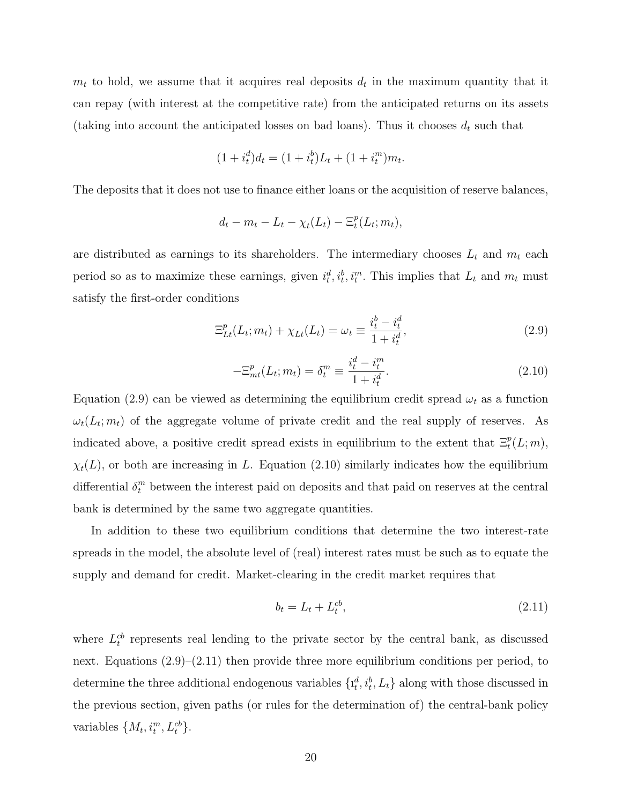$m_t$  to hold, we assume that it acquires real deposits  $d_t$  in the maximum quantity that it can repay (with interest at the competitive rate) from the anticipated returns on its assets (taking into account the anticipated losses on bad loans). Thus it chooses  $d_t$  such that

$$
(1 + i_t^d)d_t = (1 + i_t^b)L_t + (1 + i_t^m)m_t.
$$

The deposits that it does not use to finance either loans or the acquisition of reserve balances,

$$
d_t - m_t - L_t - \chi_t(L_t) - \Xi_t^p(L_t; m_t),
$$

are distributed as earnings to its shareholders. The intermediary chooses  $L_t$  and  $m_t$  each period so as to maximize these earnings, given  $i_t^d, i_t^b, i_t^m$ . This implies that  $L_t$  and  $m_t$  must satisfy the first-order conditions

$$
\Xi_{Lt}^p(L_t; m_t) + \chi_{Lt}(L_t) = \omega_t \equiv \frac{i_t^b - i_t^d}{1 + i_t^d},
$$
\n(2.9)

$$
-\Xi_{mt}^{p}(L_{t};m_{t}) = \delta_{t}^{m} \equiv \frac{i_{t}^{d} - i_{t}^{m}}{1 + i_{t}^{d}}.
$$
\n(2.10)

Equation (2.9) can be viewed as determining the equilibrium credit spread  $\omega_t$  as a function  $\omega_t(L_t; m_t)$  of the aggregate volume of private credit and the real supply of reserves. As indicated above, a positive credit spread exists in equilibrium to the extent that  $\Xi_t^p(L; m)$ ,  $\chi_t(L)$ , or both are increasing in L. Equation (2.10) similarly indicates how the equilibrium differential  $\delta_t^m$  between the interest paid on deposits and that paid on reserves at the central bank is determined by the same two aggregate quantities.

In addition to these two equilibrium conditions that determine the two interest-rate spreads in the model, the absolute level of (real) interest rates must be such as to equate the supply and demand for credit. Market-clearing in the credit market requires that

$$
b_t = L_t + L_t^{cb},
$$
\n(2.11)

where  $L_t^{cb}$  represents real lending to the private sector by the central bank, as discussed next. Equations  $(2.9)$ – $(2.11)$  then provide three more equilibrium conditions per period, to determine the three additional endogenous variables  $\{u_t^d, i_t^b, L_t\}$  along with those discussed in the previous section, given paths (or rules for the determination of) the central-bank policy variables  $\{M_t, i_t^m, L_t^{cb}\}.$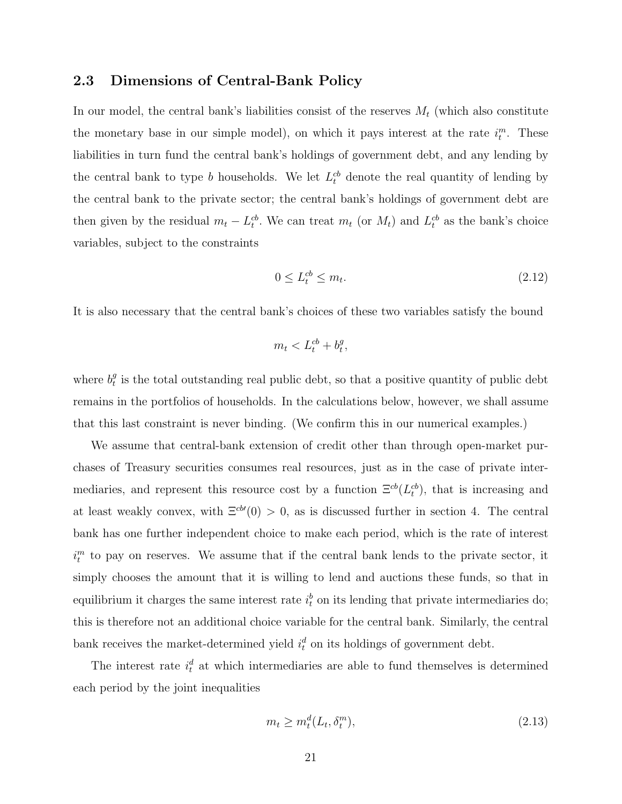## 2.3 Dimensions of Central-Bank Policy

In our model, the central bank's liabilities consist of the reserves  $M_t$  (which also constitute the monetary base in our simple model), on which it pays interest at the rate  $i_t^m$ . These liabilities in turn fund the central bank's holdings of government debt, and any lending by the central bank to type b households. We let  $L_t^{cb}$  denote the real quantity of lending by the central bank to the private sector; the central bank's holdings of government debt are then given by the residual  $m_t - L_t^{cb}$ . We can treat  $m_t$  (or  $M_t$ ) and  $L_t^{cb}$  as the bank's choice variables, subject to the constraints

$$
0 \le L_t^{cb} \le m_t. \tag{2.12}
$$

It is also necessary that the central bank's choices of these two variables satisfy the bound

$$
m_t < L_t^{cb} + b_t^g,
$$

where  $b_t^g$  $_t^g$  is the total outstanding real public debt, so that a positive quantity of public debt remains in the portfolios of households. In the calculations below, however, we shall assume that this last constraint is never binding. (We confirm this in our numerical examples.)

We assume that central-bank extension of credit other than through open-market purchases of Treasury securities consumes real resources, just as in the case of private intermediaries, and represent this resource cost by a function  $\Xi^{cb}(L_t^{cb})$ , that is increasing and at least weakly convex, with  $\Xi^{cb'}(0) > 0$ , as is discussed further in section 4. The central bank has one further independent choice to make each period, which is the rate of interest  $i_t^m$  to pay on reserves. We assume that if the central bank lends to the private sector, it simply chooses the amount that it is willing to lend and auctions these funds, so that in equilibrium it charges the same interest rate  $i_t^b$  on its lending that private intermediaries do; this is therefore not an additional choice variable for the central bank. Similarly, the central bank receives the market-determined yield  $i_t^d$  on its holdings of government debt.

The interest rate  $i_t^d$  at which intermediaries are able to fund themselves is determined each period by the joint inequalities

$$
m_t \ge m_t^d(L_t, \delta_t^m),\tag{2.13}
$$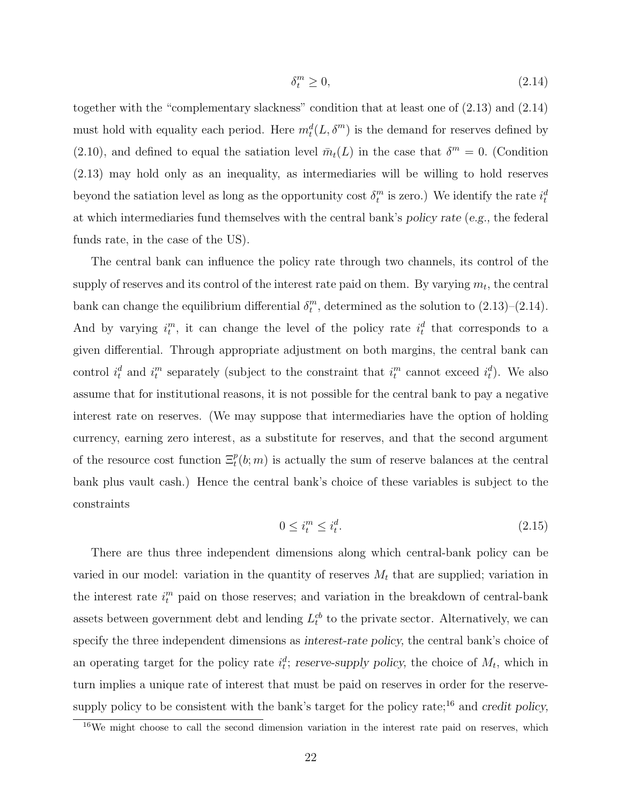$$
\delta_t^m \ge 0,\tag{2.14}
$$

together with the "complementary slackness" condition that at least one of (2.13) and (2.14) must hold with equality each period. Here  $m_t^d(L, \delta^m)$  is the demand for reserves defined by (2.10), and defined to equal the satiation level  $\bar{m}_t(L)$  in the case that  $\delta^m = 0$ . (Condition (2.13) may hold only as an inequality, as intermediaries will be willing to hold reserves beyond the satiation level as long as the opportunity cost  $\delta_t^m$  $_t^m$  is zero.) We identify the rate  $i_t^d$ at which intermediaries fund themselves with the central bank's policy rate (e.g., the federal funds rate, in the case of the US).

The central bank can influence the policy rate through two channels, its control of the supply of reserves and its control of the interest rate paid on them. By varying  $m_t$ , the central bank can change the equilibrium differential  $\delta_t^m$  $_t^m$ , determined as the solution to  $(2.13)$ – $(2.14)$ . And by varying  $i_t^m$ , it can change the level of the policy rate  $i_t^d$  that corresponds to a given differential. Through appropriate adjustment on both margins, the central bank can control  $i_t^d$  and  $i_t^m$  separately (subject to the constraint that  $i_t^m$  cannot exceed  $i_t^d$ ). We also assume that for institutional reasons, it is not possible for the central bank to pay a negative interest rate on reserves. (We may suppose that intermediaries have the option of holding currency, earning zero interest, as a substitute for reserves, and that the second argument of the resource cost function  $\Xi_t^p(b;m)$  is actually the sum of reserve balances at the central bank plus vault cash.) Hence the central bank's choice of these variables is subject to the constraints

$$
0 \le i_t^m \le i_t^d. \tag{2.15}
$$

There are thus three independent dimensions along which central-bank policy can be varied in our model: variation in the quantity of reserves  $M_t$  that are supplied; variation in the interest rate  $i_t^m$  paid on those reserves; and variation in the breakdown of central-bank assets between government debt and lending  $L_t^{cb}$  to the private sector. Alternatively, we can specify the three independent dimensions as interest-rate policy, the central bank's choice of an operating target for the policy rate  $i_t^d$ ; reserve-supply policy, the choice of  $M_t$ , which in turn implies a unique rate of interest that must be paid on reserves in order for the reservesupply policy to be consistent with the bank's target for the policy rate;<sup>16</sup> and credit policy,

 $16$ We might choose to call the second dimension variation in the interest rate paid on reserves, which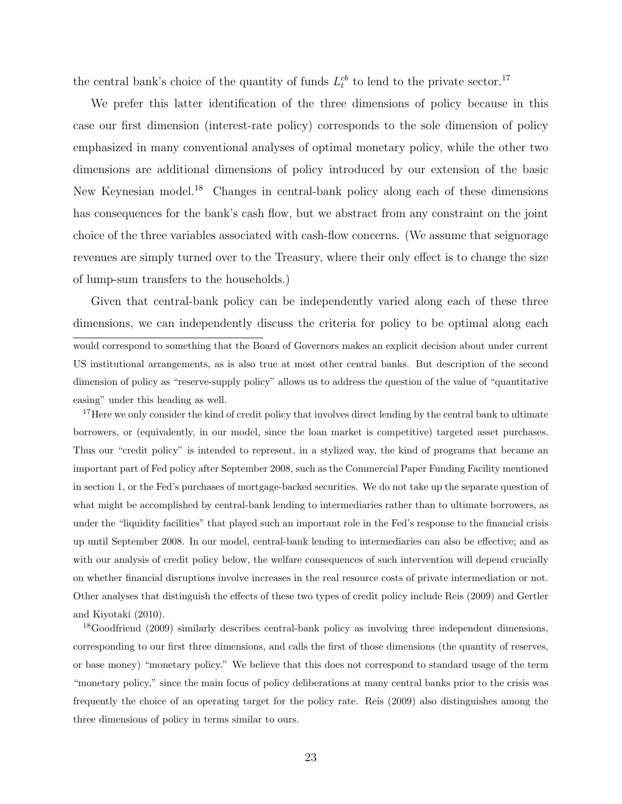the central bank's choice of the quantity of funds  $L_t^{cb}$  to lend to the private sector.<sup>17</sup>

We prefer this latter identification of the three dimensions of policy because in this case our first dimension (interest-rate policy) corresponds to the sole dimension of policy emphasized in many conventional analyses of optimal monetary policy, while the other two dimensions are additional dimensions of policy introduced by our extension of the basic New Keynesian model.<sup>18</sup> Changes in central-bank policy along each of these dimensions has consequences for the bank's cash flow, but we abstract from any constraint on the joint choice of the three variables associated with cash-flow concerns. (We assume that seignorage revenues are simply turned over to the Treasury, where their only effect is to change the size of lump-sum transfers to the households.)

Given that central-bank policy can be independently varied along each of these three dimensions, we can independently discuss the criteria for policy to be optimal along each would correspond to something that the Board of Governors makes an explicit decision about under current US institutional arrangements, as is also true at most other central banks. But description of the second dimension of policy as "reserve-supply policy" allows us to address the question of the value of "quantitative easing" under this heading as well.

<sup>17</sup>Here we only consider the kind of credit policy that involves direct lending by the central bank to ultimate borrowers, or (equivalently, in our model, since the loan market is competitive) targeted asset purchases. Thus our "credit policy" is intended to represent, in a stylized way, the kind of programs that became an important part of Fed policy after September 2008, such as the Commercial Paper Funding Facility mentioned in section 1, or the Fed's purchases of mortgage-backed securities. We do not take up the separate question of what might be accomplished by central-bank lending to intermediaries rather than to ultimate borrowers, as under the "liquidity facilities" that played such an important role in the Fed's response to the financial crisis up until September 2008. In our model, central-bank lending to intermediaries can also be effective; and as with our analysis of credit policy below, the welfare consequences of such intervention will depend crucially on whether financial disruptions involve increases in the real resource costs of private intermediation or not. Other analyses that distinguish the effects of these two types of credit policy include Reis (2009) and Gertler and Kiyotaki (2010).

<sup>18</sup>Goodfriend (2009) similarly describes central-bank policy as involving three independent dimensions, corresponding to our first three dimensions, and calls the first of those dimensions (the quantity of reserves, or base money) "monetary policy." We believe that this does not correspond to standard usage of the term "monetary policy," since the main focus of policy deliberations at many central banks prior to the crisis was frequently the choice of an operating target for the policy rate. Reis (2009) also distinguishes among the three dimensions of policy in terms similar to ours.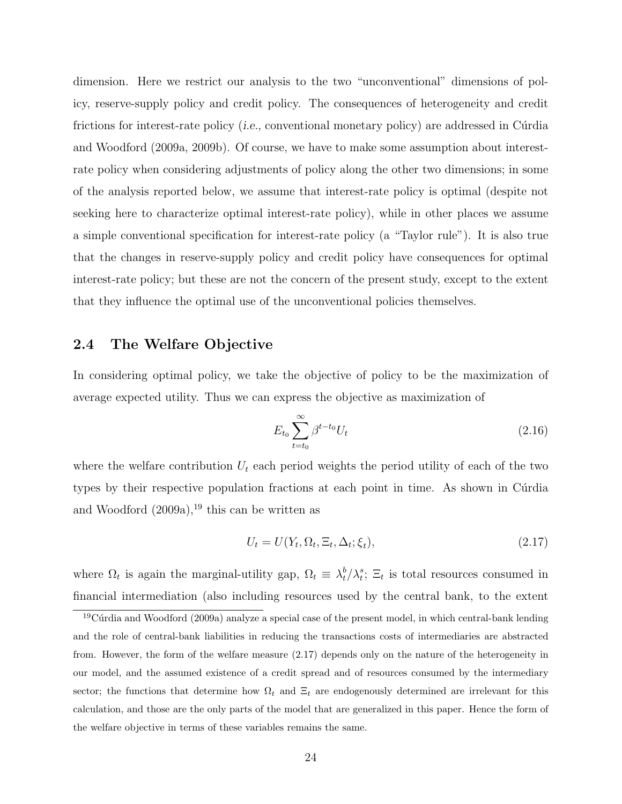dimension. Here we restrict our analysis to the two "unconventional" dimensions of policy, reserve-supply policy and credit policy. The consequences of heterogeneity and credit frictions for interest-rate policy *(i.e., conventional monetary policy)* are addressed in Curdia and Woodford (2009a, 2009b). Of course, we have to make some assumption about interestrate policy when considering adjustments of policy along the other two dimensions; in some of the analysis reported below, we assume that interest-rate policy is optimal (despite not seeking here to characterize optimal interest-rate policy), while in other places we assume a simple conventional specification for interest-rate policy (a "Taylor rule"). It is also true that the changes in reserve-supply policy and credit policy have consequences for optimal interest-rate policy; but these are not the concern of the present study, except to the extent that they influence the optimal use of the unconventional policies themselves.

# 2.4 The Welfare Objective

In considering optimal policy, we take the objective of policy to be the maximization of average expected utility. Thus we can express the objective as maximization of

$$
E_{t_0} \sum_{t=t_0}^{\infty} \beta^{t-t_0} U_t
$$
\n(2.16)

where the welfare contribution  $U_t$  each period weights the period utility of each of the two types by their respective population fractions at each point in time. As shown in Cúrdia and Woodford  $(2009a)$ ,<sup>19</sup> this can be written as

$$
U_t = U(Y_t, \Omega_t, \Xi_t, \Delta_t; \xi_t), \qquad (2.17)
$$

where  $\Omega_t$  is again the marginal-utility gap,  $\Omega_t \equiv \lambda_t^b$  $t^b_t/\lambda_t^s$ ;  $\Xi_t$  is total resources consumed in financial intermediation (also including resources used by the central bank, to the extent

 $19$ Cúrdia and Woodford (2009a) analyze a special case of the present model, in which central-bank lending and the role of central-bank liabilities in reducing the transactions costs of intermediaries are abstracted from. However, the form of the welfare measure (2.17) depends only on the nature of the heterogeneity in our model, and the assumed existence of a credit spread and of resources consumed by the intermediary sector; the functions that determine how  $\Omega_t$  and  $\Xi_t$  are endogenously determined are irrelevant for this calculation, and those are the only parts of the model that are generalized in this paper. Hence the form of the welfare objective in terms of these variables remains the same.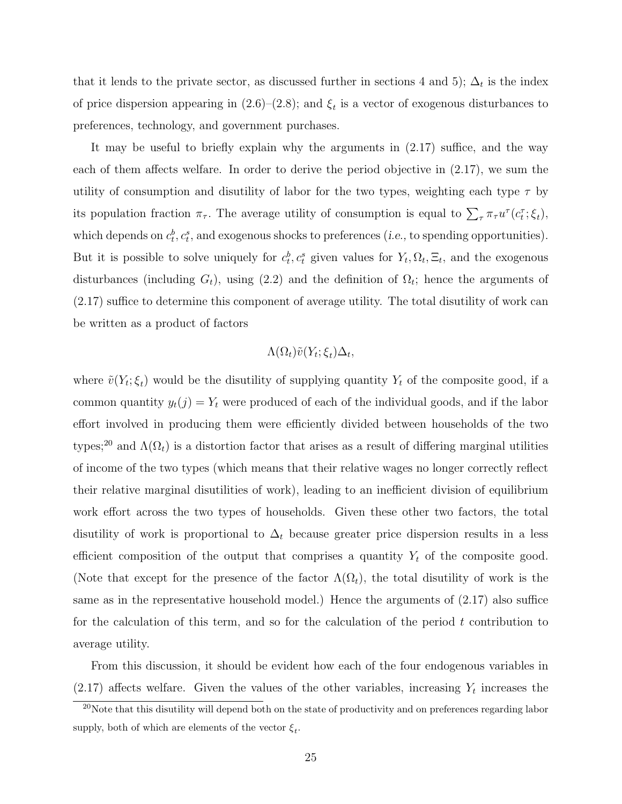that it lends to the private sector, as discussed further in sections 4 and 5);  $\Delta_t$  is the index of price dispersion appearing in  $(2.6)$ – $(2.8)$ ; and  $\xi_t$  is a vector of exogenous disturbances to preferences, technology, and government purchases.

It may be useful to briefly explain why the arguments in (2.17) suffice, and the way each of them affects welfare. In order to derive the period objective in (2.17), we sum the utility of consumption and disutility of labor for the two types, weighting each type  $\tau$  by its population fraction  $\pi_{\tau}$ . The average utility of consumption is equal to  $\sum_{\tau} \pi_{\tau} u^{\tau}(c_t^{\tau}; \xi_t)$ , which depends on  $c_t^b, c_t^s$ , and exogenous shocks to preferences (*i.e.*, to spending opportunities). But it is possible to solve uniquely for  $c_t^b$ ,  $c_t^s$  given values for  $Y_t, \Omega_t, \Xi_t$ , and the exogenous disturbances (including  $G_t$ ), using (2.2) and the definition of  $\Omega_t$ ; hence the arguments of (2.17) suffice to determine this component of average utility. The total disutility of work can be written as a product of factors

# $\Lambda(\Omega_t)\tilde{v}(Y_t;\xi_t)\Delta_t,$

where  $\tilde{v}(Y_t; \xi_t)$  would be the disutility of supplying quantity  $Y_t$  of the composite good, if a common quantity  $y_t(j) = Y_t$  were produced of each of the individual goods, and if the labor effort involved in producing them were efficiently divided between households of the two types;<sup>20</sup> and  $\Lambda(\Omega_t)$  is a distortion factor that arises as a result of differing marginal utilities of income of the two types (which means that their relative wages no longer correctly reflect their relative marginal disutilities of work), leading to an inefficient division of equilibrium work effort across the two types of households. Given these other two factors, the total disutility of work is proportional to  $\Delta_t$  because greater price dispersion results in a less efficient composition of the output that comprises a quantity  $Y_t$  of the composite good. (Note that except for the presence of the factor  $\Lambda(\Omega_t)$ , the total disutility of work is the same as in the representative household model.) Hence the arguments of (2.17) also suffice for the calculation of this term, and so for the calculation of the period  $t$  contribution to average utility.

From this discussion, it should be evident how each of the four endogenous variables in  $(2.17)$  affects welfare. Given the values of the other variables, increasing  $Y_t$  increases the

<sup>&</sup>lt;sup>20</sup>Note that this disutility will depend both on the state of productivity and on preferences regarding labor supply, both of which are elements of the vector  $\xi_t$ .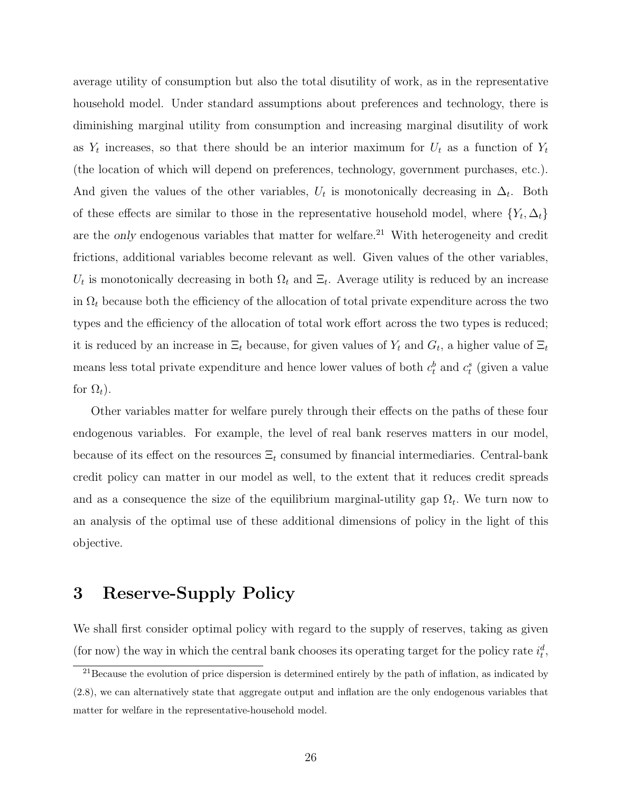average utility of consumption but also the total disutility of work, as in the representative household model. Under standard assumptions about preferences and technology, there is diminishing marginal utility from consumption and increasing marginal disutility of work as  $Y_t$  increases, so that there should be an interior maximum for  $U_t$  as a function of  $Y_t$ (the location of which will depend on preferences, technology, government purchases, etc.). And given the values of the other variables,  $U_t$  is monotonically decreasing in  $\Delta_t$ . Both of these effects are similar to those in the representative household model, where  $\{Y_t, \Delta_t\}$ are the only endogenous variables that matter for welfare.<sup>21</sup> With heterogeneity and credit frictions, additional variables become relevant as well. Given values of the other variables,  $U_t$  is monotonically decreasing in both  $\Omega_t$  and  $\Xi_t$ . Average utility is reduced by an increase in  $\Omega_t$  because both the efficiency of the allocation of total private expenditure across the two types and the efficiency of the allocation of total work effort across the two types is reduced; it is reduced by an increase in  $\Xi_t$  because, for given values of  $Y_t$  and  $G_t$ , a higher value of  $\Xi_t$ means less total private expenditure and hence lower values of both  $c_t^b$  and  $c_t^s$  (given a value for  $\Omega_t$ ).

Other variables matter for welfare purely through their effects on the paths of these four endogenous variables. For example, the level of real bank reserves matters in our model, because of its effect on the resources  $\Xi_t$  consumed by financial intermediaries. Central-bank credit policy can matter in our model as well, to the extent that it reduces credit spreads and as a consequence the size of the equilibrium marginal-utility gap  $\Omega_t$ . We turn now to an analysis of the optimal use of these additional dimensions of policy in the light of this objective.

# 3 Reserve-Supply Policy

We shall first consider optimal policy with regard to the supply of reserves, taking as given (for now) the way in which the central bank chooses its operating target for the policy rate  $i_t^d$ ,

<sup>&</sup>lt;sup>21</sup>Because the evolution of price dispersion is determined entirely by the path of inflation, as indicated by (2.8), we can alternatively state that aggregate output and inflation are the only endogenous variables that matter for welfare in the representative-household model.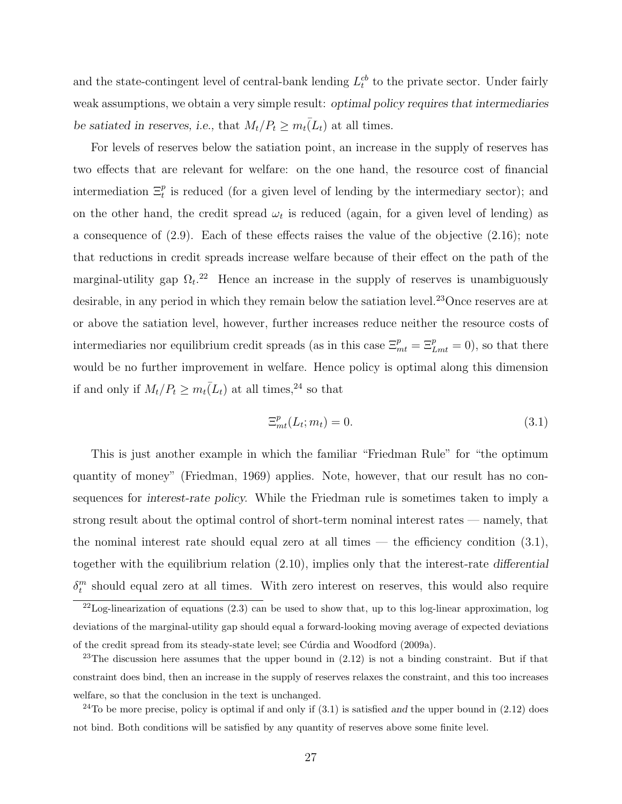and the state-contingent level of central-bank lending  $L_t^{cb}$  to the private sector. Under fairly weak assumptions, we obtain a very simple result: *optimal policy requires that intermediaries* be satiated in reserves, i.e., that  $M_t/P_t \geq m_t\bar{L}_t$  at all times.

For levels of reserves below the satiation point, an increase in the supply of reserves has two effects that are relevant for welfare: on the one hand, the resource cost of financial intermediation  $\Xi_t^p$  is reduced (for a given level of lending by the intermediary sector); and on the other hand, the credit spread  $\omega_t$  is reduced (again, for a given level of lending) as a consequence of (2.9). Each of these effects raises the value of the objective (2.16); note that reductions in credit spreads increase welfare because of their effect on the path of the marginal-utility gap  $\Omega_t$ <sup>22</sup> Hence an increase in the supply of reserves is unambiguously desirable, in any period in which they remain below the satiation level.<sup>23</sup>Once reserves are at or above the satiation level, however, further increases reduce neither the resource costs of intermediaries nor equilibrium credit spreads (as in this case  $\Xi_{mt}^p = \Xi_{Lmt}^p = 0$ ), so that there would be no further improvement in welfare. Hence policy is optimal along this dimension if and only if  $M_t/P_t \geq m_t\bar(L_t)$  at all times,<sup>24</sup> so that

$$
\Xi_{mt}^p(L_t; m_t) = 0. \tag{3.1}
$$

This is just another example in which the familiar "Friedman Rule" for "the optimum quantity of money" (Friedman, 1969) applies. Note, however, that our result has no consequences for interest-rate policy. While the Friedman rule is sometimes taken to imply a strong result about the optimal control of short-term nominal interest rates — namely, that the nominal interest rate should equal zero at all times — the efficiency condition  $(3.1)$ , together with the equilibrium relation (2.10), implies only that the interest-rate differential  $\delta_t^m$  $_t^m$  should equal zero at all times. With zero interest on reserves, this would also require

 $22$ Log-linearization of equations (2.3) can be used to show that, up to this log-linear approximation, log deviations of the marginal-utility gap should equal a forward-looking moving average of expected deviations of the credit spread from its steady-state level; see C´urdia and Woodford (2009a).

 $23$ The discussion here assumes that the upper bound in  $(2.12)$  is not a binding constraint. But if that constraint does bind, then an increase in the supply of reserves relaxes the constraint, and this too increases welfare, so that the conclusion in the text is unchanged.

 $24$ To be more precise, policy is optimal if and only if  $(3.1)$  is satisfied and the upper bound in  $(2.12)$  does not bind. Both conditions will be satisfied by any quantity of reserves above some finite level.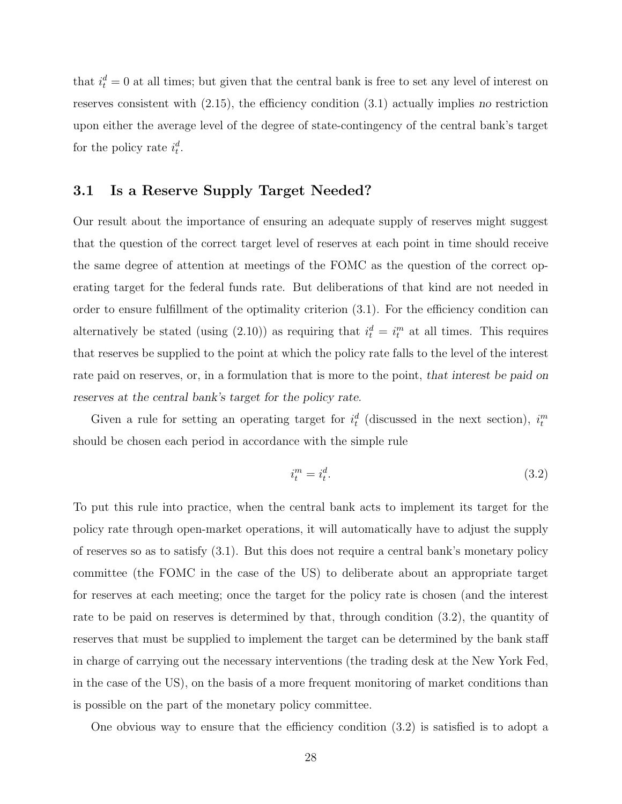that  $i_t^d = 0$  at all times; but given that the central bank is free to set any level of interest on reserves consistent with (2.15), the efficiency condition (3.1) actually implies no restriction upon either the average level of the degree of state-contingency of the central bank's target for the policy rate  $i_t^d$ .

# 3.1 Is a Reserve Supply Target Needed?

Our result about the importance of ensuring an adequate supply of reserves might suggest that the question of the correct target level of reserves at each point in time should receive the same degree of attention at meetings of the FOMC as the question of the correct operating target for the federal funds rate. But deliberations of that kind are not needed in order to ensure fulfillment of the optimality criterion (3.1). For the efficiency condition can alternatively be stated (using (2.10)) as requiring that  $i_t^d = i_t^m$  at all times. This requires that reserves be supplied to the point at which the policy rate falls to the level of the interest rate paid on reserves, or, in a formulation that is more to the point, that interest be paid on reserves at the central bank's target for the policy rate.

Given a rule for setting an operating target for  $i_t^d$  (discussed in the next section),  $i_t^m$ should be chosen each period in accordance with the simple rule

$$
i_t^m = i_t^d. \tag{3.2}
$$

To put this rule into practice, when the central bank acts to implement its target for the policy rate through open-market operations, it will automatically have to adjust the supply of reserves so as to satisfy (3.1). But this does not require a central bank's monetary policy committee (the FOMC in the case of the US) to deliberate about an appropriate target for reserves at each meeting; once the target for the policy rate is chosen (and the interest rate to be paid on reserves is determined by that, through condition (3.2), the quantity of reserves that must be supplied to implement the target can be determined by the bank staff in charge of carrying out the necessary interventions (the trading desk at the New York Fed, in the case of the US), on the basis of a more frequent monitoring of market conditions than is possible on the part of the monetary policy committee.

One obvious way to ensure that the efficiency condition (3.2) is satisfied is to adopt a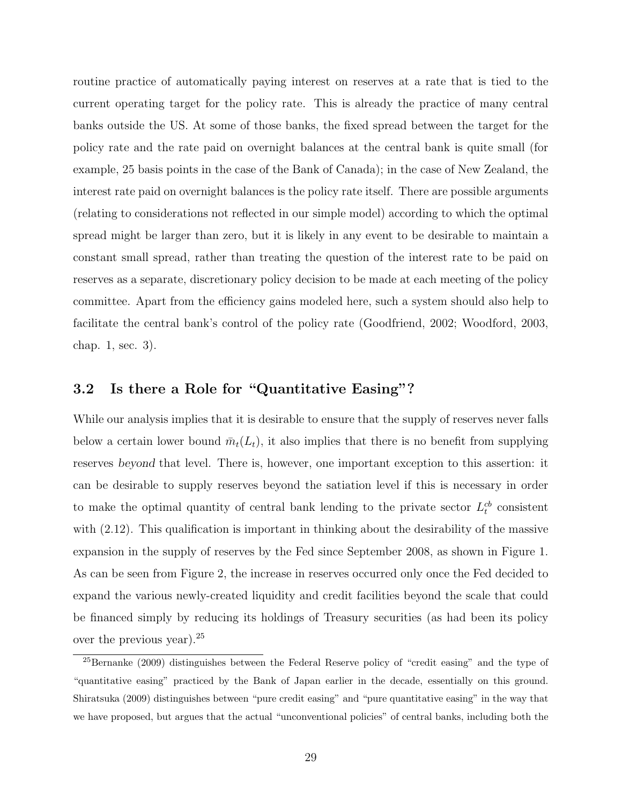routine practice of automatically paying interest on reserves at a rate that is tied to the current operating target for the policy rate. This is already the practice of many central banks outside the US. At some of those banks, the fixed spread between the target for the policy rate and the rate paid on overnight balances at the central bank is quite small (for example, 25 basis points in the case of the Bank of Canada); in the case of New Zealand, the interest rate paid on overnight balances is the policy rate itself. There are possible arguments (relating to considerations not reflected in our simple model) according to which the optimal spread might be larger than zero, but it is likely in any event to be desirable to maintain a constant small spread, rather than treating the question of the interest rate to be paid on reserves as a separate, discretionary policy decision to be made at each meeting of the policy committee. Apart from the efficiency gains modeled here, such a system should also help to facilitate the central bank's control of the policy rate (Goodfriend, 2002; Woodford, 2003, chap. 1, sec. 3).

# 3.2 Is there a Role for "Quantitative Easing"?

While our analysis implies that it is desirable to ensure that the supply of reserves never falls below a certain lower bound  $\bar{m}_t(L_t)$ , it also implies that there is no benefit from supplying reserves beyond that level. There is, however, one important exception to this assertion: it can be desirable to supply reserves beyond the satiation level if this is necessary in order to make the optimal quantity of central bank lending to the private sector  $L_t^{cb}$  consistent with  $(2.12)$ . This qualification is important in thinking about the desirability of the massive expansion in the supply of reserves by the Fed since September 2008, as shown in Figure 1. As can be seen from Figure 2, the increase in reserves occurred only once the Fed decided to expand the various newly-created liquidity and credit facilities beyond the scale that could be financed simply by reducing its holdings of Treasury securities (as had been its policy over the previous year).<sup>25</sup>

<sup>25</sup>Bernanke (2009) distinguishes between the Federal Reserve policy of "credit easing" and the type of "quantitative easing" practiced by the Bank of Japan earlier in the decade, essentially on this ground. Shiratsuka (2009) distinguishes between "pure credit easing" and "pure quantitative easing" in the way that we have proposed, but argues that the actual "unconventional policies" of central banks, including both the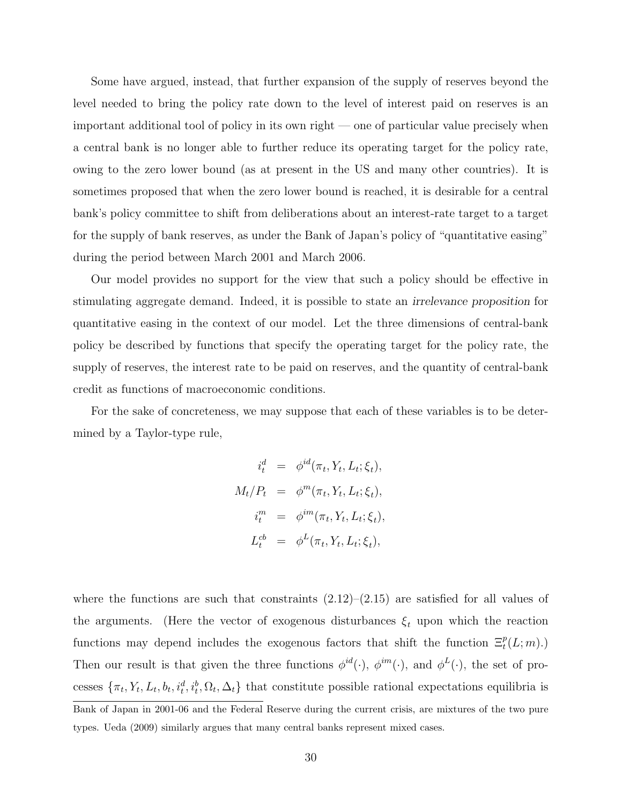Some have argued, instead, that further expansion of the supply of reserves beyond the level needed to bring the policy rate down to the level of interest paid on reserves is an important additional tool of policy in its own right — one of particular value precisely when a central bank is no longer able to further reduce its operating target for the policy rate, owing to the zero lower bound (as at present in the US and many other countries). It is sometimes proposed that when the zero lower bound is reached, it is desirable for a central bank's policy committee to shift from deliberations about an interest-rate target to a target for the supply of bank reserves, as under the Bank of Japan's policy of "quantitative easing" during the period between March 2001 and March 2006.

Our model provides no support for the view that such a policy should be effective in stimulating aggregate demand. Indeed, it is possible to state an irrelevance proposition for quantitative easing in the context of our model. Let the three dimensions of central-bank policy be described by functions that specify the operating target for the policy rate, the supply of reserves, the interest rate to be paid on reserves, and the quantity of central-bank credit as functions of macroeconomic conditions.

For the sake of concreteness, we may suppose that each of these variables is to be determined by a Taylor-type rule,

$$
i_t^d = \phi^{id}(\pi_t, Y_t, L_t; \xi_t),
$$
  
\n
$$
M_t/P_t = \phi^m(\pi_t, Y_t, L_t; \xi_t),
$$
  
\n
$$
i_t^m = \phi^{im}(\pi_t, Y_t, L_t; \xi_t),
$$
  
\n
$$
L_t^{cb} = \phi^L(\pi_t, Y_t, L_t; \xi_t),
$$

where the functions are such that constraints  $(2.12)$ – $(2.15)$  are satisfied for all values of the arguments. (Here the vector of exogenous disturbances  $\xi_t$  upon which the reaction functions may depend includes the exogenous factors that shift the function  $\Xi_t^p(L;m)$ . Then our result is that given the three functions  $\phi^{id}(\cdot)$ ,  $\phi^{im}(\cdot)$ , and  $\phi^{L}(\cdot)$ , the set of processes  $\{\pi_t, Y_t, L_t, b_t, i_t^d, i_t^b, \Omega_t, \Delta_t\}$  that constitute possible rational expectations equilibria is Bank of Japan in 2001-06 and the Federal Reserve during the current crisis, are mixtures of the two pure types. Ueda (2009) similarly argues that many central banks represent mixed cases.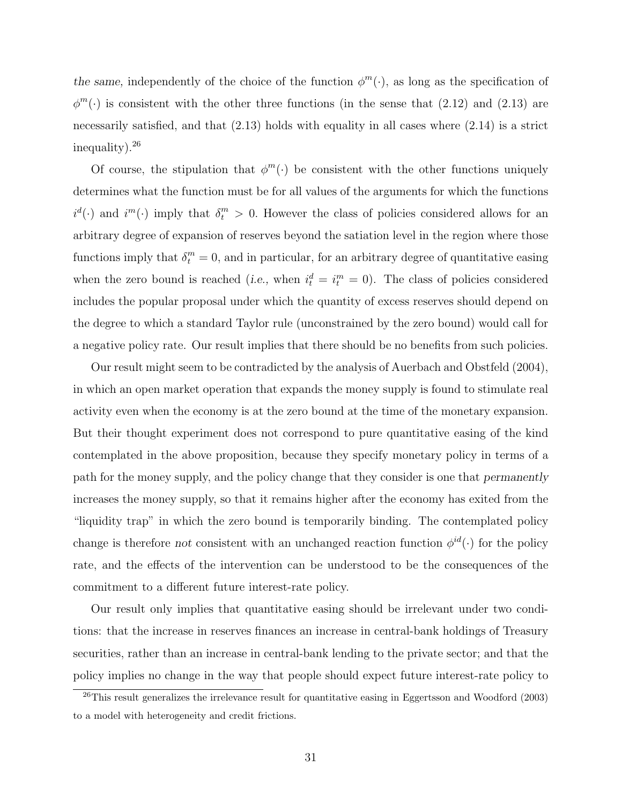the same, independently of the choice of the function  $\phi^m(\cdot)$ , as long as the specification of  $\phi^m(\cdot)$  is consistent with the other three functions (in the sense that (2.12) and (2.13) are necessarily satisfied, and that  $(2.13)$  holds with equality in all cases where  $(2.14)$  is a strict inequality).<sup>26</sup>

Of course, the stipulation that  $\phi^m(\cdot)$  be consistent with the other functions uniquely determines what the function must be for all values of the arguments for which the functions  $i^d(\cdot)$  and  $i^m(\cdot)$  imply that  $\delta_i^m > 0$ . However the class of policies considered allows for an arbitrary degree of expansion of reserves beyond the satiation level in the region where those functions imply that  $\delta_t^m = 0$ , and in particular, for an arbitrary degree of quantitative easing when the zero bound is reached (*i.e.*, when  $i_t^d = i_t^m = 0$ ). The class of policies considered includes the popular proposal under which the quantity of excess reserves should depend on the degree to which a standard Taylor rule (unconstrained by the zero bound) would call for a negative policy rate. Our result implies that there should be no benefits from such policies.

Our result might seem to be contradicted by the analysis of Auerbach and Obstfeld (2004), in which an open market operation that expands the money supply is found to stimulate real activity even when the economy is at the zero bound at the time of the monetary expansion. But their thought experiment does not correspond to pure quantitative easing of the kind contemplated in the above proposition, because they specify monetary policy in terms of a path for the money supply, and the policy change that they consider is one that permanently increases the money supply, so that it remains higher after the economy has exited from the "liquidity trap" in which the zero bound is temporarily binding. The contemplated policy change is therefore not consistent with an unchanged reaction function  $\phi^{id}(\cdot)$  for the policy rate, and the effects of the intervention can be understood to be the consequences of the commitment to a different future interest-rate policy.

Our result only implies that quantitative easing should be irrelevant under two conditions: that the increase in reserves finances an increase in central-bank holdings of Treasury securities, rather than an increase in central-bank lending to the private sector; and that the policy implies no change in the way that people should expect future interest-rate policy to

 $^{26}$ This result generalizes the irrelevance result for quantitative easing in Eggertsson and Woodford (2003) to a model with heterogeneity and credit frictions.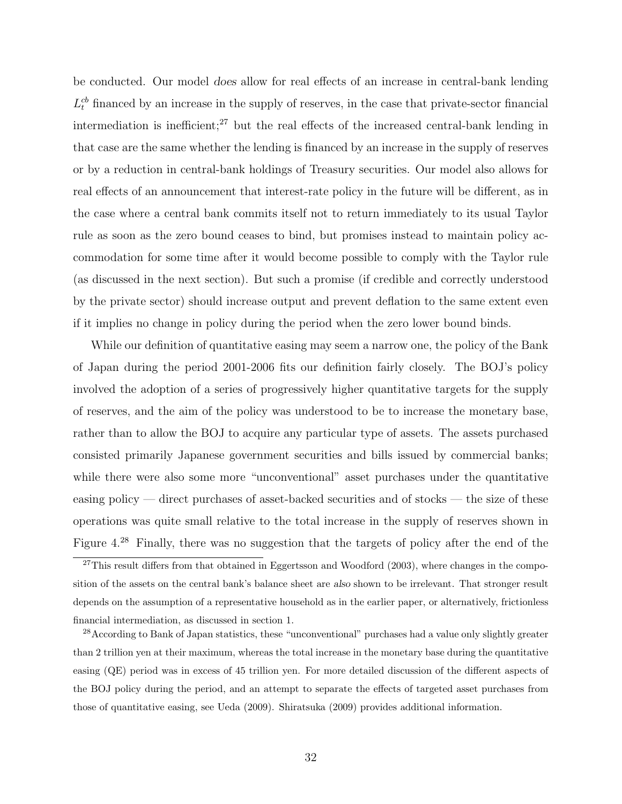be conducted. Our model does allow for real effects of an increase in central-bank lending  $L_t^{cb}$  financed by an increase in the supply of reserves, in the case that private-sector financial intermediation is inefficient; $^{27}$  but the real effects of the increased central-bank lending in that case are the same whether the lending is financed by an increase in the supply of reserves or by a reduction in central-bank holdings of Treasury securities. Our model also allows for real effects of an announcement that interest-rate policy in the future will be different, as in the case where a central bank commits itself not to return immediately to its usual Taylor rule as soon as the zero bound ceases to bind, but promises instead to maintain policy accommodation for some time after it would become possible to comply with the Taylor rule (as discussed in the next section). But such a promise (if credible and correctly understood by the private sector) should increase output and prevent deflation to the same extent even if it implies no change in policy during the period when the zero lower bound binds.

While our definition of quantitative easing may seem a narrow one, the policy of the Bank of Japan during the period 2001-2006 fits our definition fairly closely. The BOJ's policy involved the adoption of a series of progressively higher quantitative targets for the supply of reserves, and the aim of the policy was understood to be to increase the monetary base, rather than to allow the BOJ to acquire any particular type of assets. The assets purchased consisted primarily Japanese government securities and bills issued by commercial banks; while there were also some more "unconventional" asset purchases under the quantitative easing policy — direct purchases of asset-backed securities and of stocks — the size of these operations was quite small relative to the total increase in the supply of reserves shown in Figure 4.<sup>28</sup> Finally, there was no suggestion that the targets of policy after the end of the

 $27$ This result differs from that obtained in Eggertsson and Woodford (2003), where changes in the composition of the assets on the central bank's balance sheet are also shown to be irrelevant. That stronger result depends on the assumption of a representative household as in the earlier paper, or alternatively, frictionless financial intermediation, as discussed in section 1.

<sup>&</sup>lt;sup>28</sup>According to Bank of Japan statistics, these "unconventional" purchases had a value only slightly greater than 2 trillion yen at their maximum, whereas the total increase in the monetary base during the quantitative easing (QE) period was in excess of 45 trillion yen. For more detailed discussion of the different aspects of the BOJ policy during the period, and an attempt to separate the effects of targeted asset purchases from those of quantitative easing, see Ueda (2009). Shiratsuka (2009) provides additional information.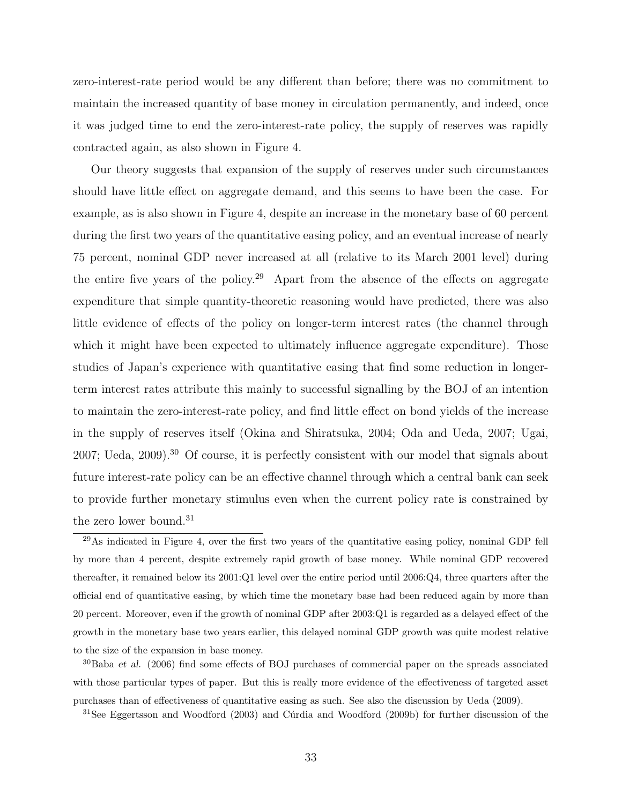zero-interest-rate period would be any different than before; there was no commitment to maintain the increased quantity of base money in circulation permanently, and indeed, once it was judged time to end the zero-interest-rate policy, the supply of reserves was rapidly contracted again, as also shown in Figure 4.

Our theory suggests that expansion of the supply of reserves under such circumstances should have little effect on aggregate demand, and this seems to have been the case. For example, as is also shown in Figure 4, despite an increase in the monetary base of 60 percent during the first two years of the quantitative easing policy, and an eventual increase of nearly 75 percent, nominal GDP never increased at all (relative to its March 2001 level) during the entire five years of the policy.<sup>29</sup> Apart from the absence of the effects on aggregate expenditure that simple quantity-theoretic reasoning would have predicted, there was also little evidence of effects of the policy on longer-term interest rates (the channel through which it might have been expected to ultimately influence aggregate expenditure). Those studies of Japan's experience with quantitative easing that find some reduction in longerterm interest rates attribute this mainly to successful signalling by the BOJ of an intention to maintain the zero-interest-rate policy, and find little effect on bond yields of the increase in the supply of reserves itself (Okina and Shiratsuka, 2004; Oda and Ueda, 2007; Ugai, 2007; Ueda, 2009).<sup>30</sup> Of course, it is perfectly consistent with our model that signals about future interest-rate policy can be an effective channel through which a central bank can seek to provide further monetary stimulus even when the current policy rate is constrained by the zero lower bound. $31$ 

<sup>29</sup>As indicated in Figure 4, over the first two years of the quantitative easing policy, nominal GDP fell by more than 4 percent, despite extremely rapid growth of base money. While nominal GDP recovered thereafter, it remained below its 2001:Q1 level over the entire period until 2006:Q4, three quarters after the official end of quantitative easing, by which time the monetary base had been reduced again by more than 20 percent. Moreover, even if the growth of nominal GDP after 2003:Q1 is regarded as a delayed effect of the growth in the monetary base two years earlier, this delayed nominal GDP growth was quite modest relative to the size of the expansion in base money.

 $30B$ aba et al. (2006) find some effects of BOJ purchases of commercial paper on the spreads associated with those particular types of paper. But this is really more evidence of the effectiveness of targeted asset purchases than of effectiveness of quantitative easing as such. See also the discussion by Ueda (2009).

<sup>31</sup>See Eggertsson and Woodford (2003) and Cúrdia and Woodford (2009b) for further discussion of the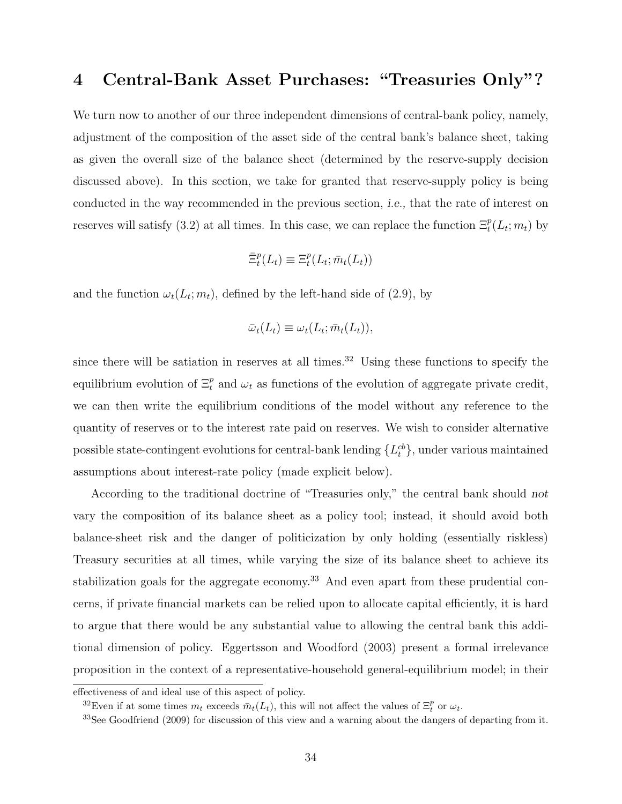# 4 Central-Bank Asset Purchases: "Treasuries Only"?

We turn now to another of our three independent dimensions of central-bank policy, namely, adjustment of the composition of the asset side of the central bank's balance sheet, taking as given the overall size of the balance sheet (determined by the reserve-supply decision discussed above). In this section, we take for granted that reserve-supply policy is being conducted in the way recommended in the previous section, i.e., that the rate of interest on reserves will satisfy (3.2) at all times. In this case, we can replace the function  $\Xi_t^p(L_t; m_t)$  by

$$
\bar{\Xi}_t^p(L_t) \equiv \Xi_t^p(L_t; \bar{m}_t(L_t))
$$

and the function  $\omega_t(L_t; m_t)$ , defined by the left-hand side of (2.9), by

$$
\bar{\omega}_t(L_t) \equiv \omega_t(L_t; \bar{m}_t(L_t)),
$$

since there will be satiation in reserves at all times.<sup>32</sup> Using these functions to specify the equilibrium evolution of  $\Xi_t^p$  and  $\omega_t$  as functions of the evolution of aggregate private credit, we can then write the equilibrium conditions of the model without any reference to the quantity of reserves or to the interest rate paid on reserves. We wish to consider alternative possible state-contingent evolutions for central-bank lending  $\{L_t^{cb}\}$ , under various maintained assumptions about interest-rate policy (made explicit below).

According to the traditional doctrine of "Treasuries only," the central bank should not vary the composition of its balance sheet as a policy tool; instead, it should avoid both balance-sheet risk and the danger of politicization by only holding (essentially riskless) Treasury securities at all times, while varying the size of its balance sheet to achieve its stabilization goals for the aggregate economy.<sup>33</sup> And even apart from these prudential concerns, if private financial markets can be relied upon to allocate capital efficiently, it is hard to argue that there would be any substantial value to allowing the central bank this additional dimension of policy. Eggertsson and Woodford (2003) present a formal irrelevance proposition in the context of a representative-household general-equilibrium model; in their

effectiveness of and ideal use of this aspect of policy.

<sup>&</sup>lt;sup>32</sup>Even if at some times  $m_t$  exceeds  $\bar{m}_t(L_t)$ , this will not affect the values of  $\Xi_t^p$  or  $\omega_t$ .

<sup>&</sup>lt;sup>33</sup>See Goodfriend (2009) for discussion of this view and a warning about the dangers of departing from it.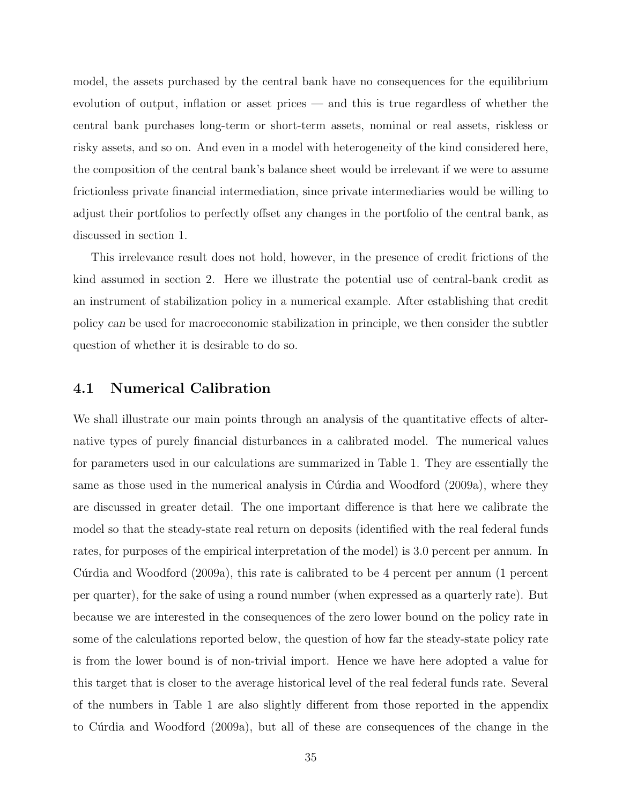model, the assets purchased by the central bank have no consequences for the equilibrium evolution of output, inflation or asset prices — and this is true regardless of whether the central bank purchases long-term or short-term assets, nominal or real assets, riskless or risky assets, and so on. And even in a model with heterogeneity of the kind considered here, the composition of the central bank's balance sheet would be irrelevant if we were to assume frictionless private financial intermediation, since private intermediaries would be willing to adjust their portfolios to perfectly offset any changes in the portfolio of the central bank, as discussed in section 1.

This irrelevance result does not hold, however, in the presence of credit frictions of the kind assumed in section 2. Here we illustrate the potential use of central-bank credit as an instrument of stabilization policy in a numerical example. After establishing that credit policy can be used for macroeconomic stabilization in principle, we then consider the subtler question of whether it is desirable to do so.

#### 4.1 Numerical Calibration

We shall illustrate our main points through an analysis of the quantitative effects of alternative types of purely financial disturbances in a calibrated model. The numerical values for parameters used in our calculations are summarized in Table 1. They are essentially the same as those used in the numerical analysis in Cúrdia and Woodford (2009a), where they are discussed in greater detail. The one important difference is that here we calibrate the model so that the steady-state real return on deposits (identified with the real federal funds rates, for purposes of the empirical interpretation of the model) is 3.0 percent per annum. In Cúrdia and Woodford (2009a), this rate is calibrated to be 4 percent per annum (1 percent per quarter), for the sake of using a round number (when expressed as a quarterly rate). But because we are interested in the consequences of the zero lower bound on the policy rate in some of the calculations reported below, the question of how far the steady-state policy rate is from the lower bound is of non-trivial import. Hence we have here adopted a value for this target that is closer to the average historical level of the real federal funds rate. Several of the numbers in Table 1 are also slightly different from those reported in the appendix to Curdia and Woodford (2009a), but all of these are consequences of the change in the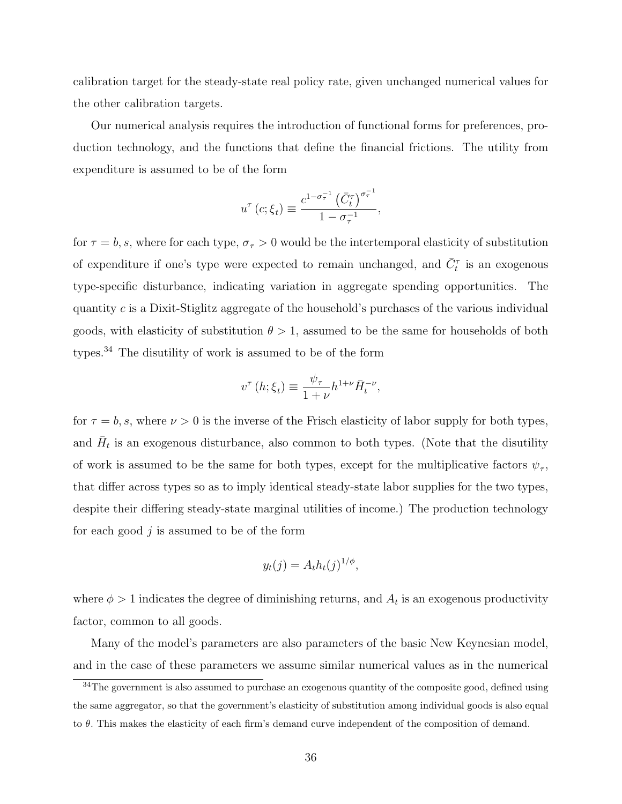calibration target for the steady-state real policy rate, given unchanged numerical values for the other calibration targets.

Our numerical analysis requires the introduction of functional forms for preferences, production technology, and the functions that define the financial frictions. The utility from expenditure is assumed to be of the form

$$
u^{\tau}\left(c;\xi_{t}\right) \equiv \frac{c^{1-\sigma_{\tau}^{-1}}\left(\bar{C}_{t}^{\tau}\right)^{\sigma_{\tau}^{-1}}}{1-\sigma_{\tau}^{-1}},
$$

for  $\tau = b, s$ , where for each type,  $\sigma_{\tau} > 0$  would be the intertemporal elasticity of substitution of expenditure if one's type were expected to remain unchanged, and  $\bar{C}^{\tau}_{t}$  is an exogenous type-specific disturbance, indicating variation in aggregate spending opportunities. The quantity c is a Dixit-Stiglitz aggregate of the household's purchases of the various individual goods, with elasticity of substitution  $\theta > 1$ , assumed to be the same for households of both types.<sup>34</sup> The disutility of work is assumed to be of the form

$$
v^{\tau} (h; \xi_t) \equiv \frac{\psi_{\tau}}{1 + \nu} h^{1 + \nu} \bar{H}_t^{-\nu},
$$

for  $\tau = b$ , s, where  $\nu > 0$  is the inverse of the Frisch elasticity of labor supply for both types, and  $\bar{H}_t$  is an exogenous disturbance, also common to both types. (Note that the disutility of work is assumed to be the same for both types, except for the multiplicative factors  $\psi_{\tau}$ , that differ across types so as to imply identical steady-state labor supplies for the two types, despite their differing steady-state marginal utilities of income.) The production technology for each good  $j$  is assumed to be of the form

$$
y_t(j) = A_t h_t(j)^{1/\phi},
$$

where  $\phi > 1$  indicates the degree of diminishing returns, and  $A_t$  is an exogenous productivity factor, common to all goods.

Many of the model's parameters are also parameters of the basic New Keynesian model, and in the case of these parameters we assume similar numerical values as in the numerical

 $34$ The government is also assumed to purchase an exogenous quantity of the composite good, defined using the same aggregator, so that the government's elasticity of substitution among individual goods is also equal to  $\theta$ . This makes the elasticity of each firm's demand curve independent of the composition of demand.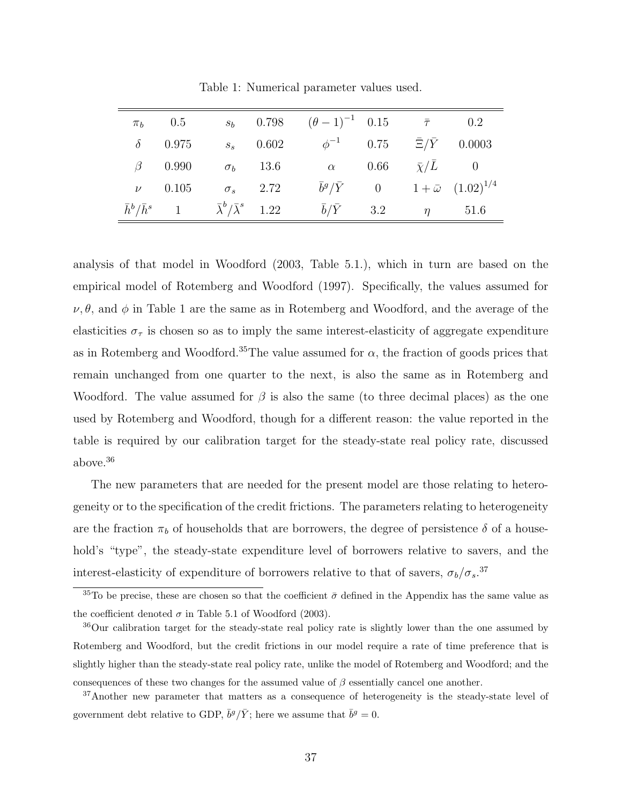| $\pi_b$ 0.5             |                                        |                 | $s_b$ 0.798 $(\theta - 1)^{-1}$ 0.15 |          | $\bar{\tau}$                                           | 0.2                        |
|-------------------------|----------------------------------------|-----------------|--------------------------------------|----------|--------------------------------------------------------|----------------------------|
| $\delta$ 0.975          |                                        | $s_s$ 0.602     | $\phi^{-1}$ 0.75                     |          |                                                        | $\bar{\Xi}/\bar{Y}$ 0.0003 |
| $\beta$ 0.990           |                                        | $\sigma_b$ 13.6 | $\alpha$                             | $0.66\,$ | $\bar{\chi}/\bar{L}$ 0                                 |                            |
| $\nu$ 0.105             | $\sigma_s$ 2.72                        |                 |                                      |          | $\bar{b}^g/\bar{Y}$ 0 1+ $\bar{\omega}$ $(1.02)^{1/4}$ |                            |
| $\bar{h}^b/\bar{h}^s$ 1 | $\bar{\lambda}^b/\bar{\lambda}^s$ 1.22 |                 | $\bar{b}/\bar{Y}$ 3.2                |          | $\eta$                                                 | 51.6                       |

Table 1: Numerical parameter values used.

analysis of that model in Woodford (2003, Table 5.1.), which in turn are based on the empirical model of Rotemberg and Woodford (1997). Specifically, the values assumed for  $\nu, \theta$ , and  $\phi$  in Table 1 are the same as in Rotemberg and Woodford, and the average of the elasticities  $\sigma_{\tau}$  is chosen so as to imply the same interest-elasticity of aggregate expenditure as in Rotemberg and Woodford.<sup>35</sup>The value assumed for  $\alpha$ , the fraction of goods prices that remain unchanged from one quarter to the next, is also the same as in Rotemberg and Woodford. The value assumed for  $\beta$  is also the same (to three decimal places) as the one used by Rotemberg and Woodford, though for a different reason: the value reported in the table is required by our calibration target for the steady-state real policy rate, discussed above.<sup>36</sup>

The new parameters that are needed for the present model are those relating to heterogeneity or to the specification of the credit frictions. The parameters relating to heterogeneity are the fraction  $\pi_b$  of households that are borrowers, the degree of persistence  $\delta$  of a household's "type", the steady-state expenditure level of borrowers relative to savers, and the interest-elasticity of expenditure of borrowers relative to that of savers,  $\sigma_b/\sigma_s$ .<sup>37</sup>

<sup>&</sup>lt;sup>35</sup>To be precise, these are chosen so that the coefficient  $\bar{\sigma}$  defined in the Appendix has the same value as the coefficient denoted  $\sigma$  in Table 5.1 of Woodford (2003).

<sup>&</sup>lt;sup>36</sup>Our calibration target for the steady-state real policy rate is slightly lower than the one assumed by Rotemberg and Woodford, but the credit frictions in our model require a rate of time preference that is slightly higher than the steady-state real policy rate, unlike the model of Rotemberg and Woodford; and the consequences of these two changes for the assumed value of  $\beta$  essentially cancel one another.

<sup>&</sup>lt;sup>37</sup>Another new parameter that matters as a consequence of heterogeneity is the steady-state level of government debt relative to GDP,  $\bar{b}^g/\bar{Y}$ ; here we assume that  $\bar{b}^g = 0$ .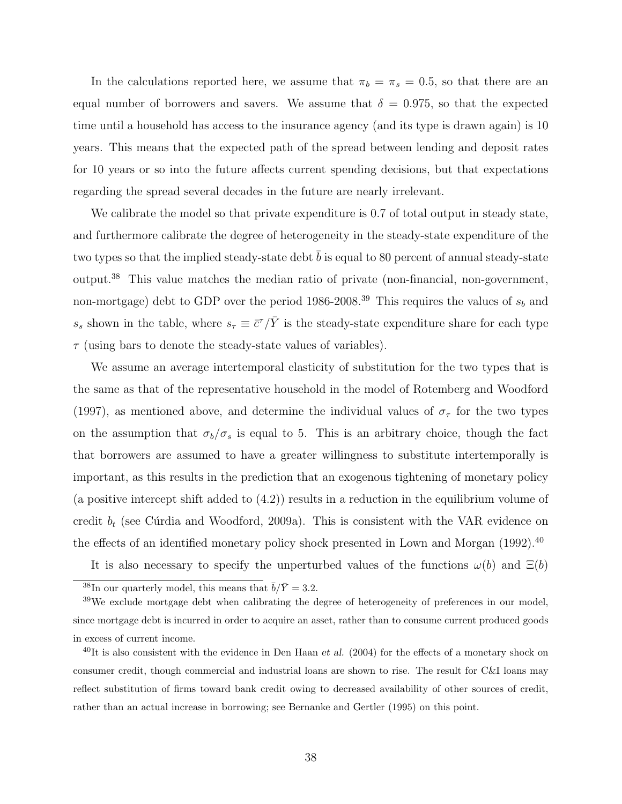In the calculations reported here, we assume that  $\pi_b = \pi_s = 0.5$ , so that there are an equal number of borrowers and savers. We assume that  $\delta = 0.975$ , so that the expected time until a household has access to the insurance agency (and its type is drawn again) is 10 years. This means that the expected path of the spread between lending and deposit rates for 10 years or so into the future affects current spending decisions, but that expectations regarding the spread several decades in the future are nearly irrelevant.

We calibrate the model so that private expenditure is 0.7 of total output in steady state, and furthermore calibrate the degree of heterogeneity in the steady-state expenditure of the two types so that the implied steady-state debt  $\bar{b}$  is equal to 80 percent of annual steady-state output.<sup>38</sup> This value matches the median ratio of private (non-financial, non-government, non-mortgage) debt to GDP over the period 1986-2008.<sup>39</sup> This requires the values of  $s_b$  and  $s_s$  shown in the table, where  $s_\tau \equiv \bar{c}^\tau / \bar{Y}$  is the steady-state expenditure share for each type  $\tau$  (using bars to denote the steady-state values of variables).

We assume an average intertemporal elasticity of substitution for the two types that is the same as that of the representative household in the model of Rotemberg and Woodford (1997), as mentioned above, and determine the individual values of  $\sigma_{\tau}$  for the two types on the assumption that  $\sigma_b/\sigma_s$  is equal to 5. This is an arbitrary choice, though the fact that borrowers are assumed to have a greater willingness to substitute intertemporally is important, as this results in the prediction that an exogenous tightening of monetary policy (a positive intercept shift added to  $(4.2)$ ) results in a reduction in the equilibrium volume of credit  $b_t$  (see Cúrdia and Woodford, 2009a). This is consistent with the VAR evidence on the effects of an identified monetary policy shock presented in Lown and Morgan (1992).<sup>40</sup>

It is also necessary to specify the unperturbed values of the functions  $\omega(b)$  and  $\Xi(b)$ 

<sup>&</sup>lt;sup>38</sup>In our quarterly model, this means that  $\bar{b}/\bar{Y} = 3.2$ .

<sup>&</sup>lt;sup>39</sup>We exclude mortgage debt when calibrating the degree of heterogeneity of preferences in our model, since mortgage debt is incurred in order to acquire an asset, rather than to consume current produced goods in excess of current income.

 $^{40}$ It is also consistent with the evidence in Den Haan *et al.* (2004) for the effects of a monetary shock on consumer credit, though commercial and industrial loans are shown to rise. The result for C&I loans may reflect substitution of firms toward bank credit owing to decreased availability of other sources of credit, rather than an actual increase in borrowing; see Bernanke and Gertler (1995) on this point.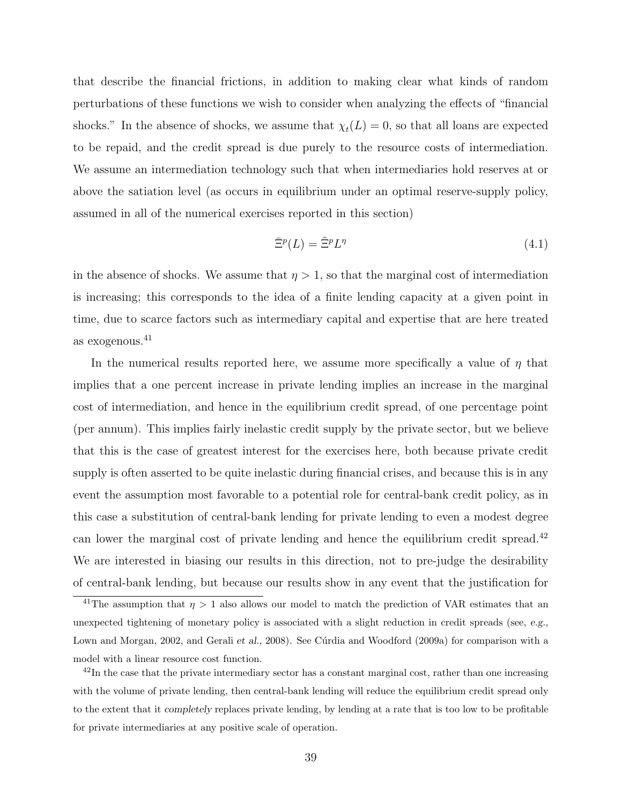that describe the financial frictions, in addition to making clear what kinds of random perturbations of these functions we wish to consider when analyzing the effects of "financial shocks." In the absence of shocks, we assume that  $\chi_t(L) = 0$ , so that all loans are expected to be repaid, and the credit spread is due purely to the resource costs of intermediation. We assume an intermediation technology such that when intermediaries hold reserves at or above the satiation level (as occurs in equilibrium under an optimal reserve-supply policy, assumed in all of the numerical exercises reported in this section)

$$
\bar{\Xi}^p(L) = \tilde{\Xi}^p L^\eta \tag{4.1}
$$

in the absence of shocks. We assume that  $\eta > 1$ , so that the marginal cost of intermediation is increasing; this corresponds to the idea of a finite lending capacity at a given point in time, due to scarce factors such as intermediary capital and expertise that are here treated as exogenous.<sup>41</sup>

In the numerical results reported here, we assume more specifically a value of  $\eta$  that implies that a one percent increase in private lending implies an increase in the marginal cost of intermediation, and hence in the equilibrium credit spread, of one percentage point (per annum). This implies fairly inelastic credit supply by the private sector, but we believe that this is the case of greatest interest for the exercises here, both because private credit supply is often asserted to be quite inelastic during financial crises, and because this is in any event the assumption most favorable to a potential role for central-bank credit policy, as in this case a substitution of central-bank lending for private lending to even a modest degree can lower the marginal cost of private lending and hence the equilibrium credit spread.<sup>42</sup> We are interested in biasing our results in this direction, not to pre-judge the desirability of central-bank lending, but because our results show in any event that the justification for

<sup>&</sup>lt;sup>41</sup>The assumption that  $\eta > 1$  also allows our model to match the prediction of VAR estimates that an unexpected tightening of monetary policy is associated with a slight reduction in credit spreads (see, e.g., Lown and Morgan, 2002, and Gerali et al., 2008). See Cúrdia and Woodford (2009a) for comparison with a model with a linear resource cost function.

 $^{42}$ In the case that the private intermediary sector has a constant marginal cost, rather than one increasing with the volume of private lending, then central-bank lending will reduce the equilibrium credit spread only to the extent that it completely replaces private lending, by lending at a rate that is too low to be profitable for private intermediaries at any positive scale of operation.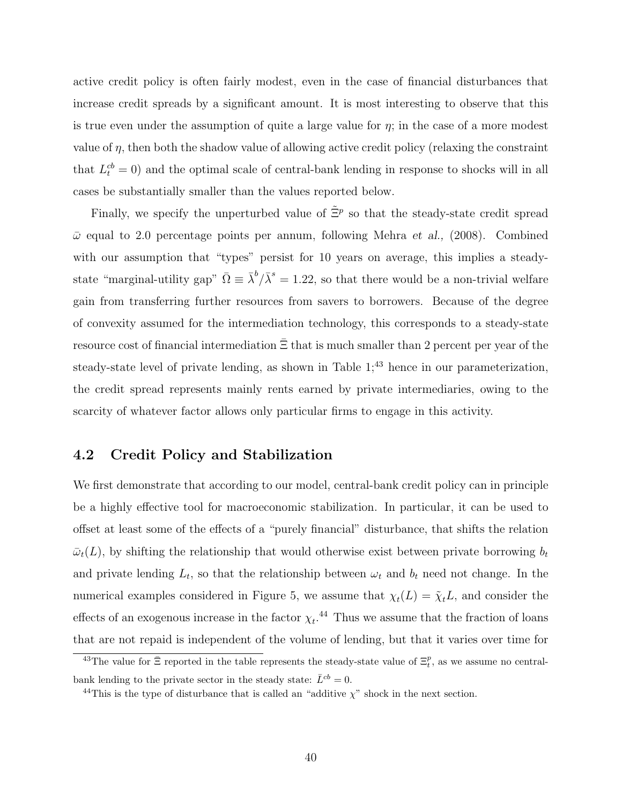active credit policy is often fairly modest, even in the case of financial disturbances that increase credit spreads by a significant amount. It is most interesting to observe that this is true even under the assumption of quite a large value for  $\eta$ ; in the case of a more modest value of  $\eta$ , then both the shadow value of allowing active credit policy (relaxing the constraint that  $L_t^{cb} = 0$  and the optimal scale of central-bank lending in response to shocks will in all cases be substantially smaller than the values reported below.

Finally, we specify the unperturbed value of  $\tilde{\Xi}^p$  so that the steady-state credit spread  $\bar{\omega}$  equal to 2.0 percentage points per annum, following Mehra et al., (2008). Combined with our assumption that "types" persist for 10 years on average, this implies a steadystate "marginal-utility gap"  $\bar{\Omega} \equiv \bar{\lambda}^b / \bar{\lambda}^s = 1.22$ , so that there would be a non-trivial welfare gain from transferring further resources from savers to borrowers. Because of the degree of convexity assumed for the intermediation technology, this corresponds to a steady-state resource cost of financial intermediation  $\Xi$  that is much smaller than 2 percent per year of the steady-state level of private lending, as shown in Table  $1;^{43}$  hence in our parameterization, the credit spread represents mainly rents earned by private intermediaries, owing to the scarcity of whatever factor allows only particular firms to engage in this activity.

#### 4.2 Credit Policy and Stabilization

We first demonstrate that according to our model, central-bank credit policy can in principle be a highly effective tool for macroeconomic stabilization. In particular, it can be used to offset at least some of the effects of a "purely financial" disturbance, that shifts the relation  $\bar{\omega}_t(L)$ , by shifting the relationship that would otherwise exist between private borrowing  $b_t$ and private lending  $L_t$ , so that the relationship between  $\omega_t$  and  $b_t$  need not change. In the numerical examples considered in Figure 5, we assume that  $\chi_t(L) = \tilde{\chi}_t L$ , and consider the effects of an exogenous increase in the factor  $\chi_t$ .<sup>44</sup> Thus we assume that the fraction of loans that are not repaid is independent of the volume of lending, but that it varies over time for

<sup>&</sup>lt;sup>43</sup>The value for  $\bar{\Xi}$  reported in the table represents the steady-state value of  $\Xi_t^p$ , as we assume no centralbank lending to the private sector in the steady state:  $\bar{L}^{cb} = 0$ .

<sup>&</sup>lt;sup>44</sup>This is the type of disturbance that is called an "additive  $\chi$ " shock in the next section.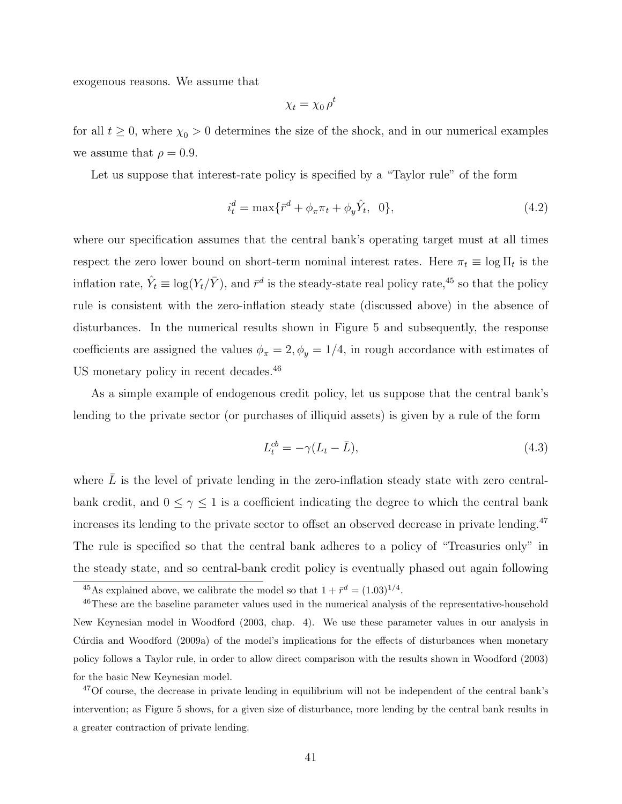exogenous reasons. We assume that

$$
\chi_t = \chi_0 \,\rho^t
$$

for all  $t \geq 0$ , where  $\chi_0 > 0$  determines the size of the shock, and in our numerical examples we assume that  $\rho = 0.9$ .

Let us suppose that interest-rate policy is specified by a "Taylor rule" of the form

$$
i_t^d = \max\{\bar{r}^d + \phi_\pi \pi_t + \phi_y \hat{Y}_t, 0\},\tag{4.2}
$$

where our specification assumes that the central bank's operating target must at all times respect the zero lower bound on short-term nominal interest rates. Here  $\pi_t \equiv \log \Pi_t$  is the inflation rate,  $\hat{Y}_t \equiv \log(Y_t/\bar{Y})$ , and  $\bar{r}^d$  is the steady-state real policy rate,<sup>45</sup> so that the policy rule is consistent with the zero-inflation steady state (discussed above) in the absence of disturbances. In the numerical results shown in Figure 5 and subsequently, the response coefficients are assigned the values  $\phi_{\pi} = 2, \phi_y = 1/4$ , in rough accordance with estimates of US monetary policy in recent decades.<sup>46</sup>

As a simple example of endogenous credit policy, let us suppose that the central bank's lending to the private sector (or purchases of illiquid assets) is given by a rule of the form

$$
L_t^{cb} = -\gamma (L_t - \bar{L}),\tag{4.3}
$$

where  $\overline{L}$  is the level of private lending in the zero-inflation steady state with zero centralbank credit, and  $0\leq \gamma \leq 1$  is a coefficient indicating the degree to which the central bank increases its lending to the private sector to offset an observed decrease in private lending.  $^{47}$ The rule is specified so that the central bank adheres to a policy of "Treasuries only" in the steady state, and so central-bank credit policy is eventually phased out again following

<sup>&</sup>lt;sup>45</sup>As explained above, we calibrate the model so that  $1 + \bar{r}^d = (1.03)^{1/4}$ .

<sup>&</sup>lt;sup>46</sup>These are the baseline parameter values used in the numerical analysis of the representative-household New Keynesian model in Woodford (2003, chap. 4). We use these parameter values in our analysis in Cúrdia and Woodford (2009a) of the model's implications for the effects of disturbances when monetary policy follows a Taylor rule, in order to allow direct comparison with the results shown in Woodford (2003) for the basic New Keynesian model.

<sup>47</sup>Of course, the decrease in private lending in equilibrium will not be independent of the central bank's intervention; as Figure 5 shows, for a given size of disturbance, more lending by the central bank results in a greater contraction of private lending.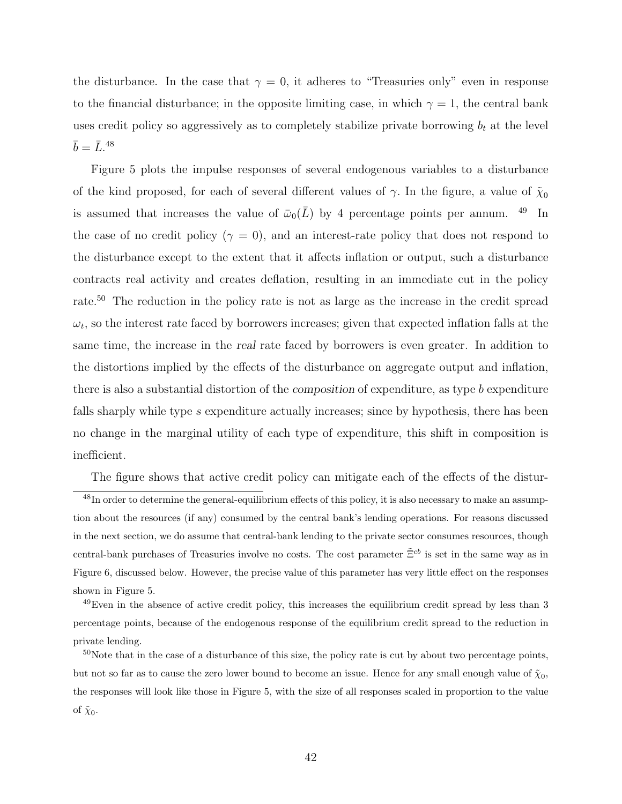the disturbance. In the case that  $\gamma = 0$ , it adheres to "Treasuries only" even in response to the financial disturbance; in the opposite limiting case, in which  $\gamma = 1$ , the central bank uses credit policy so aggressively as to completely stabilize private borrowing  $b_t$  at the level  $\bar{b} = \bar{L}$ .<sup>48</sup>

Figure 5 plots the impulse responses of several endogenous variables to a disturbance of the kind proposed, for each of several different values of  $\gamma$ . In the figure, a value of  $\tilde{\chi}_0$ is assumed that increases the value of  $\bar{\omega}_0(\bar{L})$  by 4 percentage points per annum. <sup>49</sup> In the case of no credit policy ( $\gamma = 0$ ), and an interest-rate policy that does not respond to the disturbance except to the extent that it affects inflation or output, such a disturbance contracts real activity and creates deflation, resulting in an immediate cut in the policy rate.<sup>50</sup> The reduction in the policy rate is not as large as the increase in the credit spread  $\omega_t$ , so the interest rate faced by borrowers increases; given that expected inflation falls at the same time, the increase in the real rate faced by borrowers is even greater. In addition to the distortions implied by the effects of the disturbance on aggregate output and inflation, there is also a substantial distortion of the composition of expenditure, as type b expenditure falls sharply while type s expenditure actually increases; since by hypothesis, there has been no change in the marginal utility of each type of expenditure, this shift in composition is inefficient.

The figure shows that active credit policy can mitigate each of the effects of the distur-

<sup>48</sup>In order to determine the general-equilibrium effects of this policy, it is also necessary to make an assumption about the resources (if any) consumed by the central bank's lending operations. For reasons discussed in the next section, we do assume that central-bank lending to the private sector consumes resources, though central-bank purchases of Treasuries involve no costs. The cost parameter  $\tilde{\Xi}^{cb}$  is set in the same way as in Figure 6, discussed below. However, the precise value of this parameter has very little effect on the responses shown in Figure 5.

 $^{49}$ Even in the absence of active credit policy, this increases the equilibrium credit spread by less than 3 percentage points, because of the endogenous response of the equilibrium credit spread to the reduction in private lending.

<sup>50</sup>Note that in the case of a disturbance of this size, the policy rate is cut by about two percentage points, but not so far as to cause the zero lower bound to become an issue. Hence for any small enough value of  $\tilde{\chi}_0$ , the responses will look like those in Figure 5, with the size of all responses scaled in proportion to the value of  $\tilde{\chi}_0$ .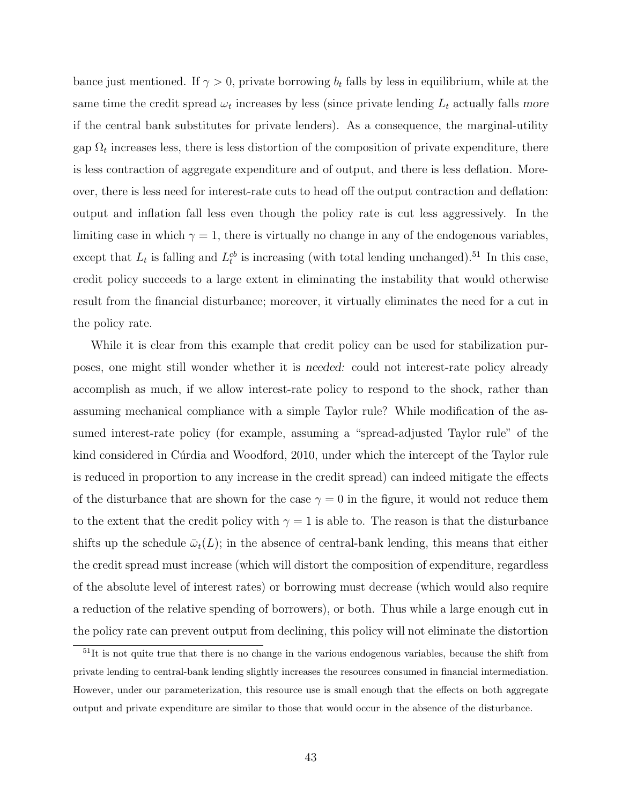bance just mentioned. If  $\gamma > 0$ , private borrowing  $b_t$  falls by less in equilibrium, while at the same time the credit spread  $\omega_t$  increases by less (since private lending  $L_t$  actually falls more if the central bank substitutes for private lenders). As a consequence, the marginal-utility gap  $\Omega_t$  increases less, there is less distortion of the composition of private expenditure, there is less contraction of aggregate expenditure and of output, and there is less deflation. Moreover, there is less need for interest-rate cuts to head off the output contraction and deflation: output and inflation fall less even though the policy rate is cut less aggressively. In the limiting case in which  $\gamma = 1$ , there is virtually no change in any of the endogenous variables, except that  $L_t$  is falling and  $L_t^{cb}$  is increasing (with total lending unchanged).<sup>51</sup> In this case, credit policy succeeds to a large extent in eliminating the instability that would otherwise result from the financial disturbance; moreover, it virtually eliminates the need for a cut in the policy rate.

While it is clear from this example that credit policy can be used for stabilization purposes, one might still wonder whether it is needed: could not interest-rate policy already accomplish as much, if we allow interest-rate policy to respond to the shock, rather than assuming mechanical compliance with a simple Taylor rule? While modification of the assumed interest-rate policy (for example, assuming a "spread-adjusted Taylor rule" of the kind considered in Curdia and Woodford, 2010, under which the intercept of the Taylor rule is reduced in proportion to any increase in the credit spread) can indeed mitigate the effects of the disturbance that are shown for the case  $\gamma = 0$  in the figure, it would not reduce them to the extent that the credit policy with  $\gamma = 1$  is able to. The reason is that the disturbance shifts up the schedule  $\bar{\omega}_t(L)$ ; in the absence of central-bank lending, this means that either the credit spread must increase (which will distort the composition of expenditure, regardless of the absolute level of interest rates) or borrowing must decrease (which would also require a reduction of the relative spending of borrowers), or both. Thus while a large enough cut in the policy rate can prevent output from declining, this policy will not eliminate the distortion

 $\frac{51}{11}$  is not quite true that there is no change in the various endogenous variables, because the shift from private lending to central-bank lending slightly increases the resources consumed in financial intermediation. However, under our parameterization, this resource use is small enough that the effects on both aggregate output and private expenditure are similar to those that would occur in the absence of the disturbance.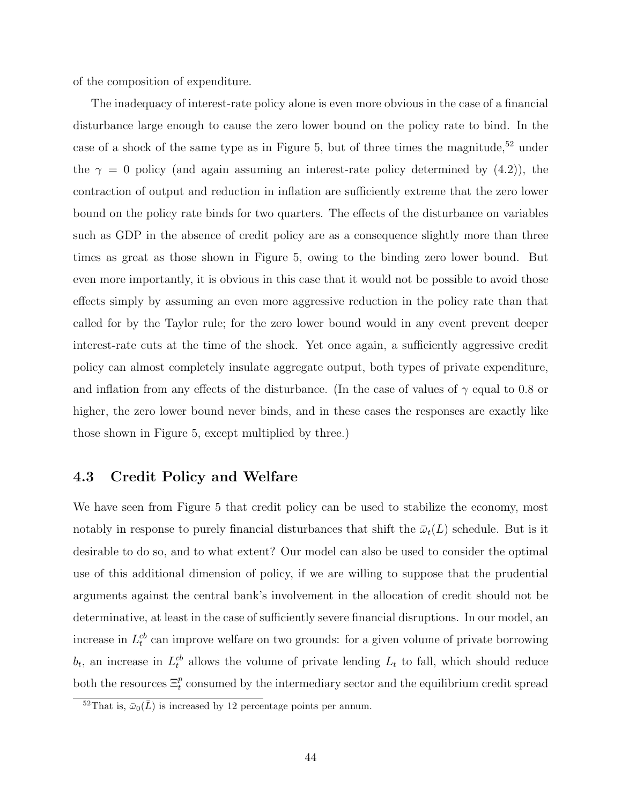of the composition of expenditure.

The inadequacy of interest-rate policy alone is even more obvious in the case of a financial disturbance large enough to cause the zero lower bound on the policy rate to bind. In the case of a shock of the same type as in Figure 5, but of three times the magnitude, $52$  under the  $\gamma = 0$  policy (and again assuming an interest-rate policy determined by (4.2)), the contraction of output and reduction in inflation are sufficiently extreme that the zero lower bound on the policy rate binds for two quarters. The effects of the disturbance on variables such as GDP in the absence of credit policy are as a consequence slightly more than three times as great as those shown in Figure 5, owing to the binding zero lower bound. But even more importantly, it is obvious in this case that it would not be possible to avoid those effects simply by assuming an even more aggressive reduction in the policy rate than that called for by the Taylor rule; for the zero lower bound would in any event prevent deeper interest-rate cuts at the time of the shock. Yet once again, a sufficiently aggressive credit policy can almost completely insulate aggregate output, both types of private expenditure, and inflation from any effects of the disturbance. (In the case of values of  $\gamma$  equal to 0.8 or higher, the zero lower bound never binds, and in these cases the responses are exactly like those shown in Figure 5, except multiplied by three.)

#### 4.3 Credit Policy and Welfare

We have seen from Figure 5 that credit policy can be used to stabilize the economy, most notably in response to purely financial disturbances that shift the  $\bar{\omega}_t(L)$  schedule. But is it desirable to do so, and to what extent? Our model can also be used to consider the optimal use of this additional dimension of policy, if we are willing to suppose that the prudential arguments against the central bank's involvement in the allocation of credit should not be determinative, at least in the case of sufficiently severe financial disruptions. In our model, an increase in  $L_t^{cb}$  can improve welfare on two grounds: for a given volume of private borrowing  $b_t$ , an increase in  $L_t^{cb}$  allows the volume of private lending  $L_t$  to fall, which should reduce both the resources  $\Xi_t^p$  consumed by the intermediary sector and the equilibrium credit spread

 $\frac{52 \text{That is, } \bar{\omega}_0(\bar{L}) \text{ is increased by 12 percentage points per annum.}}{2 \pm \sqrt{\bar{\omega}_0(\bar{L}) \text{ is increased by 12 percentage point}}$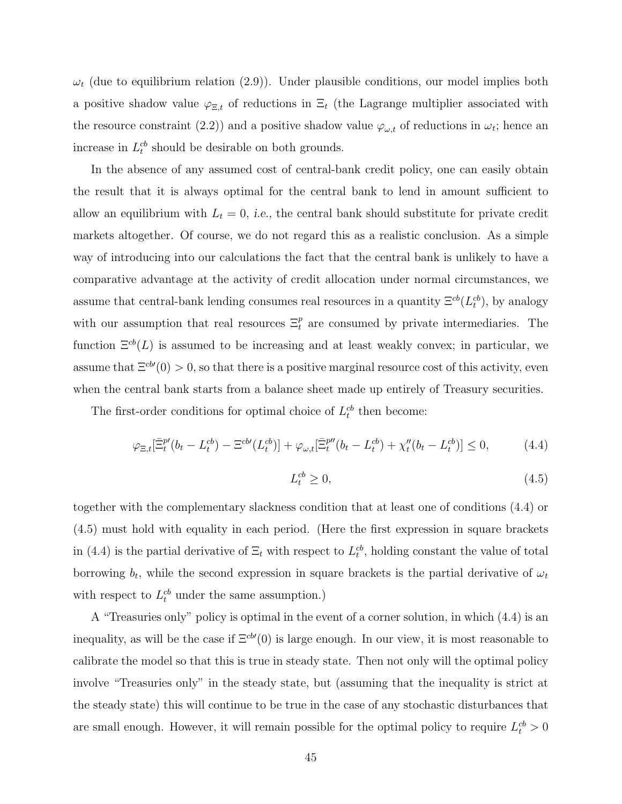$\omega_t$  (due to equilibrium relation (2.9)). Under plausible conditions, our model implies both a positive shadow value  $\varphi_{\Xi,t}$  of reductions in  $\Xi_t$  (the Lagrange multiplier associated with the resource constraint (2.2)) and a positive shadow value  $\varphi_{\omega,t}$  of reductions in  $\omega_t$ ; hence an increase in  $L_t^{cb}$  should be desirable on both grounds.

In the absence of any assumed cost of central-bank credit policy, one can easily obtain the result that it is always optimal for the central bank to lend in amount sufficient to allow an equilibrium with  $L_t = 0$ , i.e., the central bank should substitute for private credit markets altogether. Of course, we do not regard this as a realistic conclusion. As a simple way of introducing into our calculations the fact that the central bank is unlikely to have a comparative advantage at the activity of credit allocation under normal circumstances, we assume that central-bank lending consumes real resources in a quantity  $\Xi^{cb}(L_t^{cb})$ , by analogy with our assumption that real resources  $\Xi_t^p$  are consumed by private intermediaries. The function  $\Xi^{cb}(L)$  is assumed to be increasing and at least weakly convex; in particular, we assume that  $\Xi^{cb'}(0) > 0$ , so that there is a positive marginal resource cost of this activity, even when the central bank starts from a balance sheet made up entirely of Treasury securities.

The first-order conditions for optimal choice of  $L_t^{cb}$  then become:

$$
\varphi_{\Xi,t}[\bar{\Xi}_t^{p}(b_t - L_t^{cb}) - \Xi^{cb}(L_t^{cb})] + \varphi_{\omega,t}[\bar{\Xi}_t^{p}(b_t - L_t^{cb}) + \chi_t''(b_t - L_t^{cb})] \le 0,
$$
\n(4.4)

$$
L_t^{cb} \ge 0,\tag{4.5}
$$

together with the complementary slackness condition that at least one of conditions (4.4) or (4.5) must hold with equality in each period. (Here the first expression in square brackets in (4.4) is the partial derivative of  $\Xi_t$  with respect to  $L_t^{cb}$ , holding constant the value of total borrowing  $b_t$ , while the second expression in square brackets is the partial derivative of  $\omega_t$ with respect to  $L_t^{cb}$  under the same assumption.)

A "Treasuries only" policy is optimal in the event of a corner solution, in which (4.4) is an inequality, as will be the case if  $\Xi^{cb'}(0)$  is large enough. In our view, it is most reasonable to calibrate the model so that this is true in steady state. Then not only will the optimal policy involve "Treasuries only" in the steady state, but (assuming that the inequality is strict at the steady state) this will continue to be true in the case of any stochastic disturbances that are small enough. However, it will remain possible for the optimal policy to require  $L_t^{cb} > 0$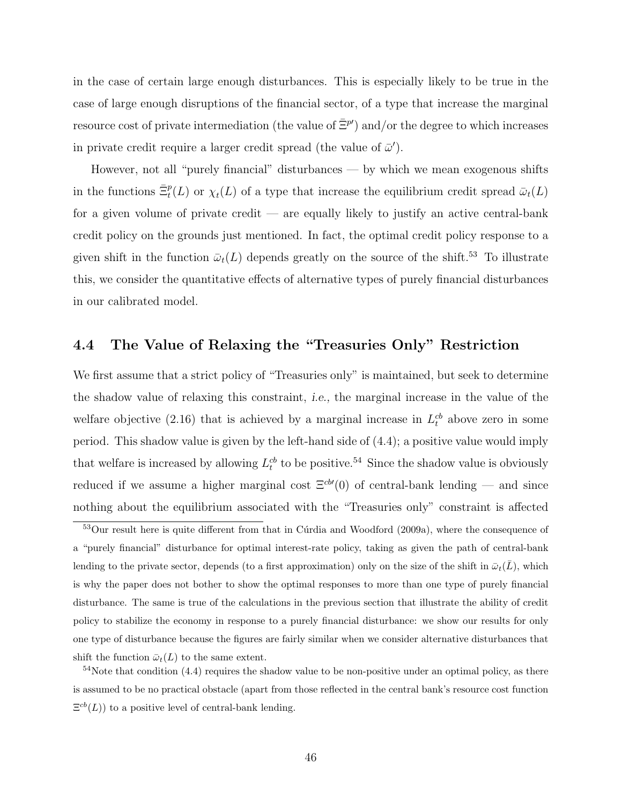in the case of certain large enough disturbances. This is especially likely to be true in the case of large enough disruptions of the financial sector, of a type that increase the marginal resource cost of private intermediation (the value of  $\bar{\Xi}^{p}$ ) and/or the degree to which increases in private credit require a larger credit spread (the value of  $\bar{\omega}'$ ).

However, not all "purely financial" disturbances — by which we mean exogenous shifts in the functions  $\bar{\Xi}_t^p(L)$  or  $\chi_t(L)$  of a type that increase the equilibrium credit spread  $\bar{\omega}_t(L)$ for a given volume of private credit  $-$  are equally likely to justify an active central-bank credit policy on the grounds just mentioned. In fact, the optimal credit policy response to a given shift in the function  $\bar{\omega}_t(L)$  depends greatly on the source of the shift.<sup>53</sup> To illustrate this, we consider the quantitative effects of alternative types of purely financial disturbances in our calibrated model.

### 4.4 The Value of Relaxing the "Treasuries Only" Restriction

We first assume that a strict policy of "Treasuries only" is maintained, but seek to determine the shadow value of relaxing this constraint, i.e., the marginal increase in the value of the welfare objective (2.16) that is achieved by a marginal increase in  $L_t^{cb}$  above zero in some period. This shadow value is given by the left-hand side of (4.4); a positive value would imply that welfare is increased by allowing  $L_t^{cb}$  to be positive.<sup>54</sup> Since the shadow value is obviously reduced if we assume a higher marginal cost  $\Xi^{cb'}(0)$  of central-bank lending — and since nothing about the equilibrium associated with the "Treasuries only" constraint is affected

 $53$ Our result here is quite different from that in Cúrdia and Woodford (2009a), where the consequence of a "purely financial" disturbance for optimal interest-rate policy, taking as given the path of central-bank lending to the private sector, depends (to a first approximation) only on the size of the shift in  $\bar{\omega}_t(\bar{L})$ , which is why the paper does not bother to show the optimal responses to more than one type of purely financial disturbance. The same is true of the calculations in the previous section that illustrate the ability of credit policy to stabilize the economy in response to a purely financial disturbance: we show our results for only one type of disturbance because the figures are fairly similar when we consider alternative disturbances that shift the function  $\bar{\omega}_t(L)$  to the same extent.

 $54$ Note that condition (4.4) requires the shadow value to be non-positive under an optimal policy, as there is assumed to be no practical obstacle (apart from those reflected in the central bank's resource cost function  $\Xi^{cb}(L)$  to a positive level of central-bank lending.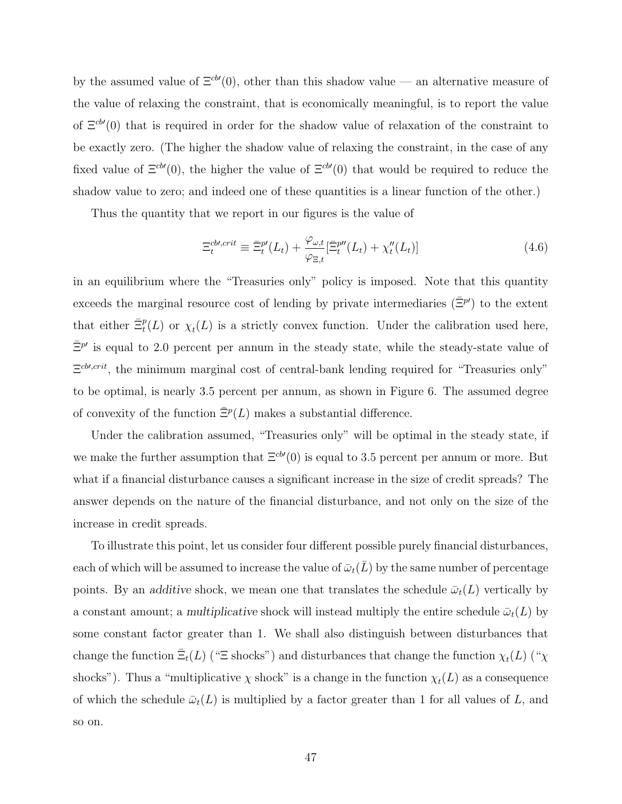by the assumed value of  $\Xi^{cb'}(0)$ , other than this shadow value — an alternative measure of the value of relaxing the constraint, that is economically meaningful, is to report the value of  $\Xi^{cb'}(0)$  that is required in order for the shadow value of relaxation of the constraint to be exactly zero. (The higher the shadow value of relaxing the constraint, in the case of any fixed value of  $\Xi^{cb'}(0)$ , the higher the value of  $\Xi^{cb'}(0)$  that would be required to reduce the shadow value to zero; and indeed one of these quantities is a linear function of the other.)

Thus the quantity that we report in our figures is the value of

$$
\Xi_t^{cb\prime,crit} \equiv \bar{\Xi}_t^{p\prime}(L_t) + \frac{\varphi_{\omega,t}}{\varphi_{\Xi,t}} [\bar{\Xi}_t^{p\prime\prime}(L_t) + \chi_t^{\prime\prime}(L_t)] \tag{4.6}
$$

in an equilibrium where the "Treasuries only" policy is imposed. Note that this quantity exceeds the marginal resource cost of lending by private intermediaries  $(\bar{\Xi}^{p})$  to the extent that either  $\bar{\Xi}_t^p(L)$  or  $\chi_t(L)$  is a strictly convex function. Under the calibration used here,  $\bar{\Xi}^{p}$  is equal to 2.0 percent per annum in the steady state, while the steady-state value of  $\Xi^{cb,crit}$ , the minimum marginal cost of central-bank lending required for "Treasuries only" to be optimal, is nearly 3.5 percent per annum, as shown in Figure 6. The assumed degree of convexity of the function  $\bar{\Xi}^p(L)$  makes a substantial difference.

Under the calibration assumed, "Treasuries only" will be optimal in the steady state, if we make the further assumption that  $\Xi^{cb'}(0)$  is equal to 3.5 percent per annum or more. But what if a financial disturbance causes a significant increase in the size of credit spreads? The answer depends on the nature of the financial disturbance, and not only on the size of the increase in credit spreads.

To illustrate this point, let us consider four different possible purely financial disturbances, each of which will be assumed to increase the value of  $\bar{\omega}_t(\bar{L})$  by the same number of percentage points. By an additive shock, we mean one that translates the schedule  $\bar{\omega}_t(L)$  vertically by a constant amount; a multiplicative shock will instead multiply the entire schedule  $\bar{\omega}_t(L)$  by some constant factor greater than 1. We shall also distinguish between disturbances that change the function  $\bar{\Xi}_t(L)$  (" $\Xi$  shocks") and disturbances that change the function  $\chi_t(L)$  (" $\chi$ shocks"). Thus a "multiplicative  $\chi$  shock" is a change in the function  $\chi_t(L)$  as a consequence of which the schedule  $\bar{\omega}_t(L)$  is multiplied by a factor greater than 1 for all values of L, and so on.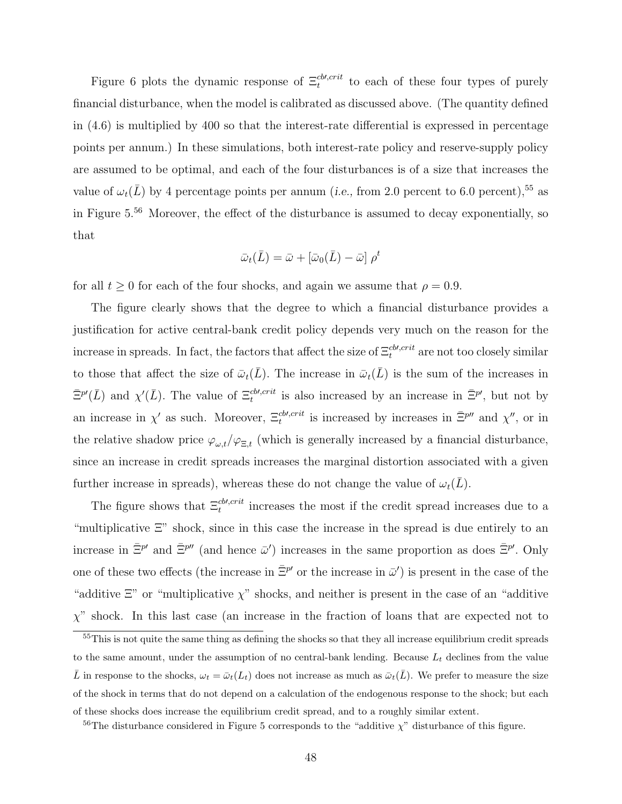Figure 6 plots the dynamic response of  $\Xi_t^{cb,crit}$  to each of these four types of purely financial disturbance, when the model is calibrated as discussed above. (The quantity defined in (4.6) is multiplied by 400 so that the interest-rate differential is expressed in percentage points per annum.) In these simulations, both interest-rate policy and reserve-supply policy are assumed to be optimal, and each of the four disturbances is of a size that increases the value of  $\omega_t(\bar{L})$  by 4 percentage points per annum (i.e., from 2.0 percent to 6.0 percent),<sup>55</sup> as in Figure 5.<sup>56</sup> Moreover, the effect of the disturbance is assumed to decay exponentially, so that

$$
\bar{\omega}_t(\bar{L}) = \bar{\omega} + [\bar{\omega}_0(\bar{L}) - \bar{\omega}] \rho^t
$$

for all  $t \geq 0$  for each of the four shocks, and again we assume that  $\rho = 0.9$ .

The figure clearly shows that the degree to which a financial disturbance provides a justification for active central-bank credit policy depends very much on the reason for the increase in spreads. In fact, the factors that affect the size of  $\Xi_t^{cb\prime,crit}$  are not too closely similar to those that affect the size of  $\bar{\omega}_t(\bar{L})$ . The increase in  $\bar{\omega}_t(\bar{L})$  is the sum of the increases in  $\bar{\Xi}^{p}(\bar{L})$  and  $\chi'(\bar{L})$ . The value of  $\Xi_t^{cb,crit}$  is also increased by an increase in  $\bar{\Xi}^{p'}$ , but not by an increase in  $\chi'$  as such. Moreover,  $\Xi_t^{cb,crit}$  is increased by increases in  $\bar{\Xi}^{p''}$  and  $\chi''$ , or in the relative shadow price  $\varphi_{\omega,t}/\varphi_{\Xi,t}$  (which is generally increased by a financial disturbance, since an increase in credit spreads increases the marginal distortion associated with a given further increase in spreads), whereas these do not change the value of  $\omega_t(L)$ .

The figure shows that  $\Xi_t^{cb\prime,crit}$  increases the most if the credit spread increases due to a "multiplicative Ξ" shock, since in this case the increase in the spread is due entirely to an increase in  $\bar{\Xi}^{p}$  and  $\bar{\Xi}^{p}$  (and hence  $\bar{\omega}'$ ) increases in the same proportion as does  $\bar{\Xi}^{p}$ . Only one of these two effects (the increase in  $\bar{\Xi}^{p}$  or the increase in  $\bar{\omega}'$ ) is present in the case of the "additive  $\Xi$ " or "multiplicative  $\chi$ " shocks, and neither is present in the case of an "additive"  $\chi$ <sup>"</sup> shock. In this last case (an increase in the fraction of loans that are expected not to

<sup>&</sup>lt;sup>55</sup>This is not quite the same thing as defining the shocks so that they all increase equilibrium credit spreads to the same amount, under the assumption of no central-bank lending. Because  $L_t$  declines from the value  $\bar{L}$  in response to the shocks,  $\omega_t = \bar{\omega}_t(L_t)$  does not increase as much as  $\bar{\omega}_t(\bar{L})$ . We prefer to measure the size of the shock in terms that do not depend on a calculation of the endogenous response to the shock; but each of these shocks does increase the equilibrium credit spread, and to a roughly similar extent.

<sup>&</sup>lt;sup>56</sup>The disturbance considered in Figure 5 corresponds to the "additive  $\chi$ " disturbance of this figure.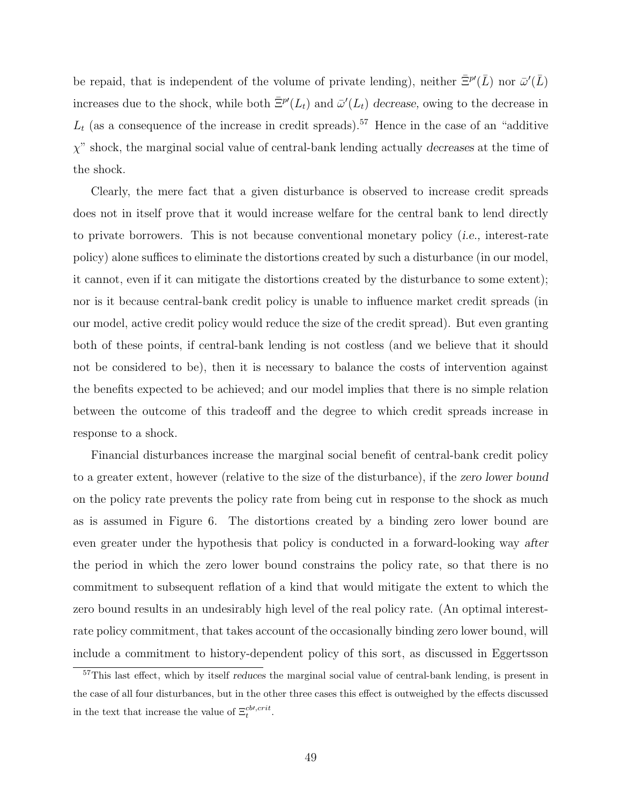be repaid, that is independent of the volume of private lending), neither  $\bar{\Xi}^{p'}(\bar{L})$  nor  $\bar{\omega}'(\bar{L})$ increases due to the shock, while both  $\bar{\Xi}^{p}(L_t)$  and  $\bar{\omega}'(L_t)$  decrease, owing to the decrease in  $L_t$  (as a consequence of the increase in credit spreads).<sup>57</sup> Hence in the case of an "additive  $\chi$ " shock, the marginal social value of central-bank lending actually decreases at the time of the shock.

Clearly, the mere fact that a given disturbance is observed to increase credit spreads does not in itself prove that it would increase welfare for the central bank to lend directly to private borrowers. This is not because conventional monetary policy (i.e., interest-rate policy) alone suffices to eliminate the distortions created by such a disturbance (in our model, it cannot, even if it can mitigate the distortions created by the disturbance to some extent); nor is it because central-bank credit policy is unable to influence market credit spreads (in our model, active credit policy would reduce the size of the credit spread). But even granting both of these points, if central-bank lending is not costless (and we believe that it should not be considered to be), then it is necessary to balance the costs of intervention against the benefits expected to be achieved; and our model implies that there is no simple relation between the outcome of this tradeoff and the degree to which credit spreads increase in response to a shock.

Financial disturbances increase the marginal social benefit of central-bank credit policy to a greater extent, however (relative to the size of the disturbance), if the zero lower bound on the policy rate prevents the policy rate from being cut in response to the shock as much as is assumed in Figure 6. The distortions created by a binding zero lower bound are even greater under the hypothesis that policy is conducted in a forward-looking way after the period in which the zero lower bound constrains the policy rate, so that there is no commitment to subsequent reflation of a kind that would mitigate the extent to which the zero bound results in an undesirably high level of the real policy rate. (An optimal interestrate policy commitment, that takes account of the occasionally binding zero lower bound, will include a commitment to history-dependent policy of this sort, as discussed in Eggertsson

<sup>57</sup>This last effect, which by itself reduces the marginal social value of central-bank lending, is present in the case of all four disturbances, but in the other three cases this effect is outweighed by the effects discussed in the text that increase the value of  $\Xi_t^{cb\prime,crit}$ .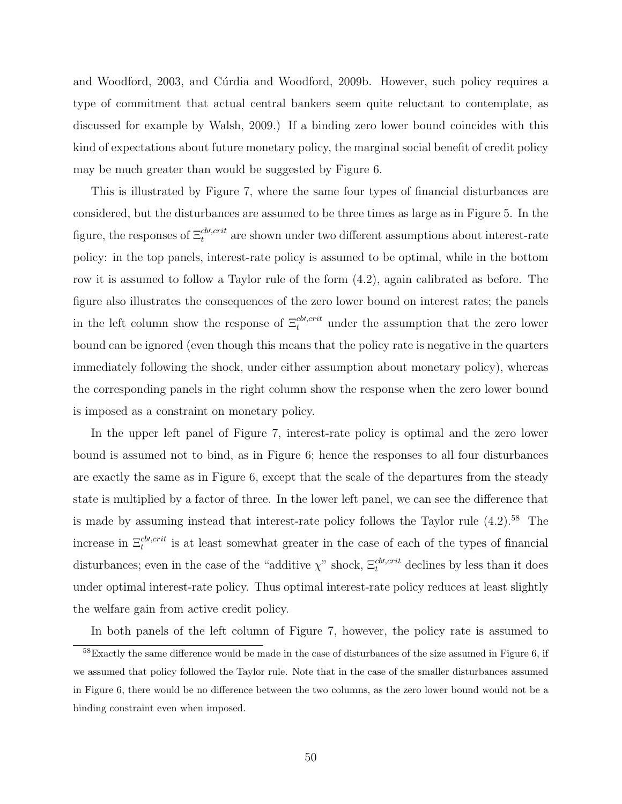and Woodford, 2003, and Cúrdia and Woodford, 2009b. However, such policy requires a type of commitment that actual central bankers seem quite reluctant to contemplate, as discussed for example by Walsh, 2009.) If a binding zero lower bound coincides with this kind of expectations about future monetary policy, the marginal social benefit of credit policy may be much greater than would be suggested by Figure 6.

This is illustrated by Figure 7, where the same four types of financial disturbances are considered, but the disturbances are assumed to be three times as large as in Figure 5. In the figure, the responses of  $\Xi_t^{cb\prime,crit}$  are shown under two different assumptions about interest-rate policy: in the top panels, interest-rate policy is assumed to be optimal, while in the bottom row it is assumed to follow a Taylor rule of the form (4.2), again calibrated as before. The figure also illustrates the consequences of the zero lower bound on interest rates; the panels in the left column show the response of  $\Xi_t^{cb,crit}$  under the assumption that the zero lower bound can be ignored (even though this means that the policy rate is negative in the quarters immediately following the shock, under either assumption about monetary policy), whereas the corresponding panels in the right column show the response when the zero lower bound is imposed as a constraint on monetary policy.

In the upper left panel of Figure 7, interest-rate policy is optimal and the zero lower bound is assumed not to bind, as in Figure 6; hence the responses to all four disturbances are exactly the same as in Figure 6, except that the scale of the departures from the steady state is multiplied by a factor of three. In the lower left panel, we can see the difference that is made by assuming instead that interest-rate policy follows the Taylor rule  $(4.2).<sup>58</sup>$  The increase in  $\Xi_t^{cb,crit}$  is at least somewhat greater in the case of each of the types of financial disturbances; even in the case of the "additive  $\chi$ " shock,  $\Xi_t^{cb,crit}$  declines by less than it does under optimal interest-rate policy. Thus optimal interest-rate policy reduces at least slightly the welfare gain from active credit policy.

In both panels of the left column of Figure 7, however, the policy rate is assumed to

 $58$ Exactly the same difference would be made in the case of disturbances of the size assumed in Figure 6, if we assumed that policy followed the Taylor rule. Note that in the case of the smaller disturbances assumed in Figure 6, there would be no difference between the two columns, as the zero lower bound would not be a binding constraint even when imposed.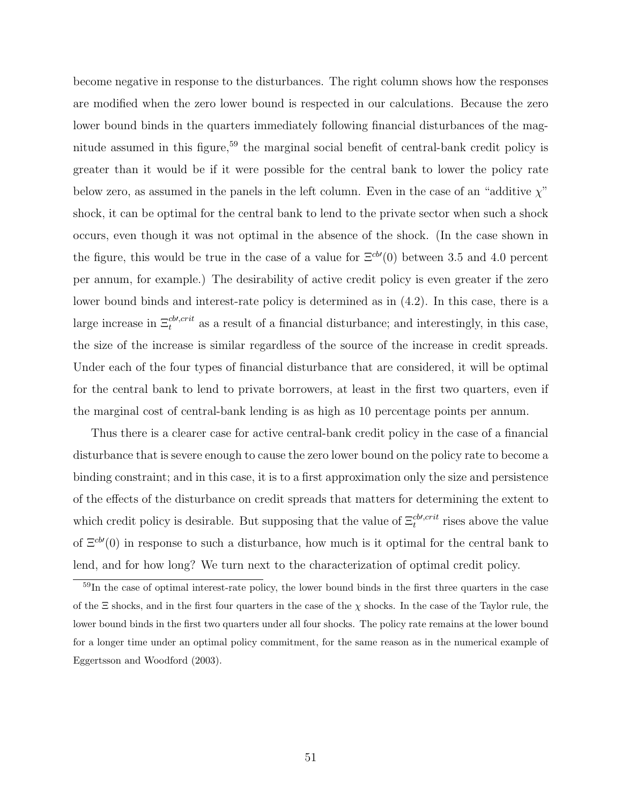become negative in response to the disturbances. The right column shows how the responses are modified when the zero lower bound is respected in our calculations. Because the zero lower bound binds in the quarters immediately following financial disturbances of the magnitude assumed in this figure,<sup>59</sup> the marginal social benefit of central-bank credit policy is greater than it would be if it were possible for the central bank to lower the policy rate below zero, as assumed in the panels in the left column. Even in the case of an "additive  $\chi$ " shock, it can be optimal for the central bank to lend to the private sector when such a shock occurs, even though it was not optimal in the absence of the shock. (In the case shown in the figure, this would be true in the case of a value for  $\Xi^{cb'}(0)$  between 3.5 and 4.0 percent per annum, for example.) The desirability of active credit policy is even greater if the zero lower bound binds and interest-rate policy is determined as in (4.2). In this case, there is a large increase in  $\Xi_t^{cb,crit}$  as a result of a financial disturbance; and interestingly, in this case, the size of the increase is similar regardless of the source of the increase in credit spreads. Under each of the four types of financial disturbance that are considered, it will be optimal for the central bank to lend to private borrowers, at least in the first two quarters, even if the marginal cost of central-bank lending is as high as 10 percentage points per annum.

Thus there is a clearer case for active central-bank credit policy in the case of a financial disturbance that is severe enough to cause the zero lower bound on the policy rate to become a binding constraint; and in this case, it is to a first approximation only the size and persistence of the effects of the disturbance on credit spreads that matters for determining the extent to which credit policy is desirable. But supposing that the value of  $\Xi_t^{cb,crit}$  rises above the value of  $\Xi^{cb'}(0)$  in response to such a disturbance, how much is it optimal for the central bank to lend, and for how long? We turn next to the characterization of optimal credit policy.

 $\frac{59}{\text{In the case of optimal interest-rate policy, the lower bound binds in the first three quarters in the case}$ of the  $\Xi$  shocks, and in the first four quarters in the case of the  $\chi$  shocks. In the case of the Taylor rule, the lower bound binds in the first two quarters under all four shocks. The policy rate remains at the lower bound for a longer time under an optimal policy commitment, for the same reason as in the numerical example of Eggertsson and Woodford (2003).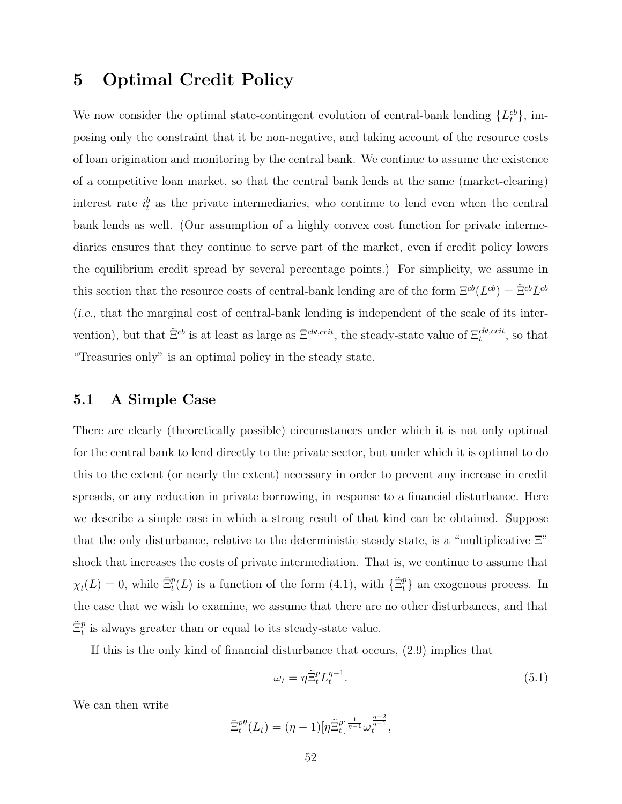# 5 Optimal Credit Policy

We now consider the optimal state-contingent evolution of central-bank lending  $\{L_t^{cb}\},\$ imposing only the constraint that it be non-negative, and taking account of the resource costs of loan origination and monitoring by the central bank. We continue to assume the existence of a competitive loan market, so that the central bank lends at the same (market-clearing) interest rate  $i_t^b$  as the private intermediaries, who continue to lend even when the central bank lends as well. (Our assumption of a highly convex cost function for private intermediaries ensures that they continue to serve part of the market, even if credit policy lowers the equilibrium credit spread by several percentage points.) For simplicity, we assume in this section that the resource costs of central-bank lending are of the form  $\Xi^{cb}(L^{cb}) = \tilde{\Xi}^{cb}L^{cb}$ (i.e., that the marginal cost of central-bank lending is independent of the scale of its intervention), but that  $\tilde{\Xi}^{cb}$  is at least as large as  $\bar{\Xi}^{cb,crit}$ , the steady-state value of  $\Xi_t^{cb,crit}$ , so that "Treasuries only" is an optimal policy in the steady state.

#### 5.1 A Simple Case

There are clearly (theoretically possible) circumstances under which it is not only optimal for the central bank to lend directly to the private sector, but under which it is optimal to do this to the extent (or nearly the extent) necessary in order to prevent any increase in credit spreads, or any reduction in private borrowing, in response to a financial disturbance. Here we describe a simple case in which a strong result of that kind can be obtained. Suppose that the only disturbance, relative to the deterministic steady state, is a "multiplicative Ξ" shock that increases the costs of private intermediation. That is, we continue to assume that  $\chi_t(L) = 0$ , while  $\bar{\Xi}_t^p(L)$  is a function of the form  $(4.1)$ , with  $\{\tilde{\Xi}_t^p\}$  an exogenous process. In the case that we wish to examine, we assume that there are no other disturbances, and that  $\tilde{\Xi}^p_t$  is always greater than or equal to its steady-state value.

If this is the only kind of financial disturbance that occurs, (2.9) implies that

$$
\omega_t = \eta \tilde{\Xi}_t^p L_t^{\eta - 1}.\tag{5.1}
$$

We can then write

$$
\bar{\Xi}_t^{p''}(L_t) = (\eta - 1)[\eta \tilde{\Xi}_t^p]^{\frac{1}{\eta - 1}} \omega_t^{\frac{\eta - 2}{\eta - 1}},
$$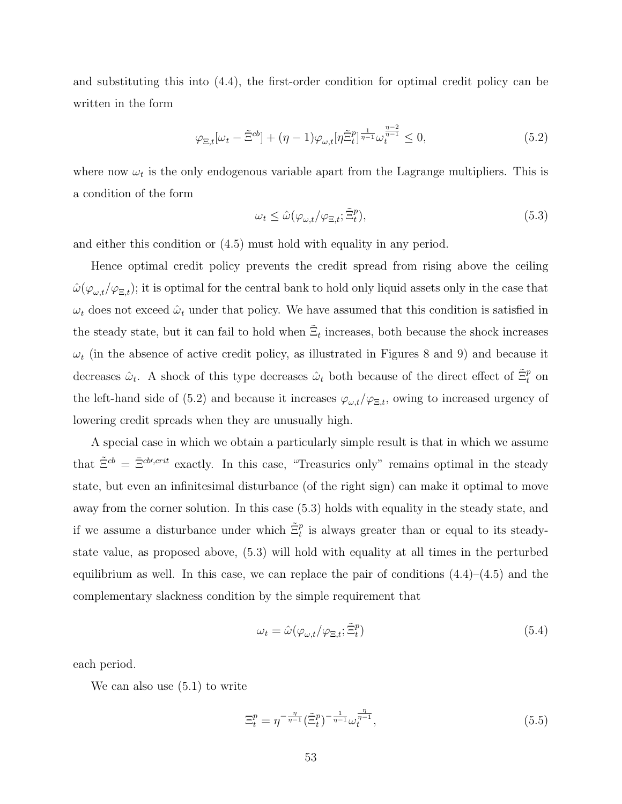and substituting this into (4.4), the first-order condition for optimal credit policy can be written in the form

$$
\varphi_{\Xi,t}[\omega_t - \tilde{\Xi}^{cb}] + (\eta - 1)\varphi_{\omega,t}[\eta \tilde{\Xi}_t^p]^{\frac{1}{\eta - 1}} \omega_t^{\frac{\eta - 2}{\eta - 1}} \le 0,\tag{5.2}
$$

where now  $\omega_t$  is the only endogenous variable apart from the Lagrange multipliers. This is a condition of the form

$$
\omega_t \le \hat{\omega}(\varphi_{\omega,t}/\varphi_{\Xi,t}; \tilde{\Xi}_t^p),\tag{5.3}
$$

and either this condition or (4.5) must hold with equality in any period.

Hence optimal credit policy prevents the credit spread from rising above the ceiling  $\hat{\omega}(\varphi_{\omega,t}/\varphi_{\Xi,t});$  it is optimal for the central bank to hold only liquid assets only in the case that  $\omega_t$  does not exceed  $\hat{\omega}_t$  under that policy. We have assumed that this condition is satisfied in the steady state, but it can fail to hold when  $\tilde{\Xi}_t$  increases, both because the shock increases  $\omega_t$  (in the absence of active credit policy, as illustrated in Figures 8 and 9) and because it decreases  $\hat{\omega}_t$ . A shock of this type decreases  $\hat{\omega}_t$  both because of the direct effect of  $\tilde{\Xi}_t^p$  on the left-hand side of (5.2) and because it increases  $\varphi_{\omega,t}/\varphi_{\Xi,t}$ , owing to increased urgency of lowering credit spreads when they are unusually high.

A special case in which we obtain a particularly simple result is that in which we assume that  $\tilde{\Xi}^{cb} = \tilde{\Xi}^{cb,crit}$  exactly. In this case, "Treasuries only" remains optimal in the steady state, but even an infinitesimal disturbance (of the right sign) can make it optimal to move away from the corner solution. In this case (5.3) holds with equality in the steady state, and if we assume a disturbance under which  $\tilde{\Xi}^p_t$  is always greater than or equal to its steadystate value, as proposed above, (5.3) will hold with equality at all times in the perturbed equilibrium as well. In this case, we can replace the pair of conditions  $(4.4)$ – $(4.5)$  and the complementary slackness condition by the simple requirement that

$$
\omega_t = \hat{\omega}(\varphi_{\omega,t}/\varphi_{\Xi,t}; \tilde{\Xi}_t^p)
$$
\n(5.4)

each period.

We can also use (5.1) to write

$$
\Xi_t^p = \eta^{-\frac{\eta}{\eta-1}} (\tilde{\Xi}_t^p)^{-\frac{1}{\eta-1}} \omega_t^{\frac{\eta}{\eta-1}},\tag{5.5}
$$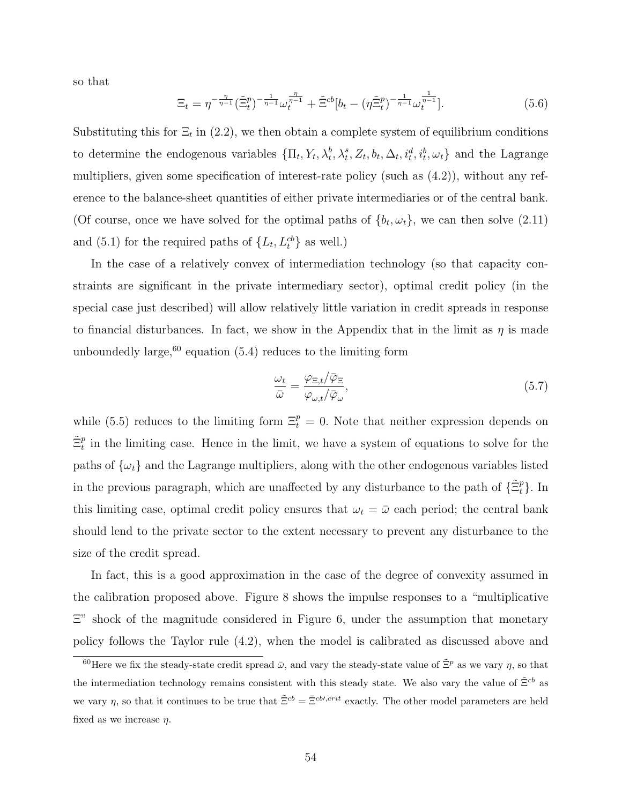so that

$$
\Xi_t = \eta^{-\frac{\eta}{\eta-1}} (\tilde{\Xi}_t^p)^{-\frac{1}{\eta-1}} \omega_t^{\frac{\eta}{\eta-1}} + \tilde{\Xi}^{cb} [b_t - (\eta \tilde{\Xi}_t^p)^{-\frac{1}{\eta-1}} \omega_t^{\frac{1}{\eta-1}}]. \tag{5.6}
$$

Substituting this for  $\Xi_t$  in (2.2), we then obtain a complete system of equilibrium conditions to determine the endogenous variables  $\{\Pi_t, Y_t, \lambda_t^b, \lambda_t^s, Z_t, b_t, \Delta_t, i_t^d, i_t^b, \omega_t\}$  and the Lagrange multipliers, given some specification of interest-rate policy (such as (4.2)), without any reference to the balance-sheet quantities of either private intermediaries or of the central bank. (Of course, once we have solved for the optimal paths of  $\{b_t, \omega_t\}$ , we can then solve (2.11) and (5.1) for the required paths of  $\{L_t, L_t^{cb}\}\)$  as well.)

In the case of a relatively convex of intermediation technology (so that capacity constraints are significant in the private intermediary sector), optimal credit policy (in the special case just described) will allow relatively little variation in credit spreads in response to financial disturbances. In fact, we show in the Appendix that in the limit as  $\eta$  is made unboundedly large,  $60$  equation (5.4) reduces to the limiting form

$$
\frac{\omega_t}{\bar{\omega}} = \frac{\varphi_{\Xi,t}/\bar{\varphi}_{\Xi}}{\varphi_{\omega,t}/\bar{\varphi}_{\omega}},\tag{5.7}
$$

while (5.5) reduces to the limiting form  $\Xi_t^p = 0$ . Note that neither expression depends on  $\tilde{\Xi}_t^p$  in the limiting case. Hence in the limit, we have a system of equations to solve for the paths of  $\{\omega_t\}$  and the Lagrange multipliers, along with the other endogenous variables listed in the previous paragraph, which are unaffected by any disturbance to the path of  $\{\tilde{\Xi}_t^p\}$ . In this limiting case, optimal credit policy ensures that  $\omega_t = \bar{\omega}$  each period; the central bank should lend to the private sector to the extent necessary to prevent any disturbance to the size of the credit spread.

In fact, this is a good approximation in the case of the degree of convexity assumed in the calibration proposed above. Figure 8 shows the impulse responses to a "multiplicative  $\Xi$ " shock of the magnitude considered in Figure 6, under the assumption that monetary policy follows the Taylor rule (4.2), when the model is calibrated as discussed above and

<sup>&</sup>lt;sup>60</sup>Here we fix the steady-state credit spread  $\bar{\omega}$ , and vary the steady-state value of  $\tilde{\Xi}^p$  as we vary  $\eta$ , so that the intermediation technology remains consistent with this steady state. We also vary the value of  $\tilde{\Xi}^{cb}$  as we vary  $\eta$ , so that it continues to be true that  $\tilde{\Xi}^{cb} = \bar{\Xi}^{cb,crit}$  exactly. The other model parameters are held fixed as we increase  $\eta$ .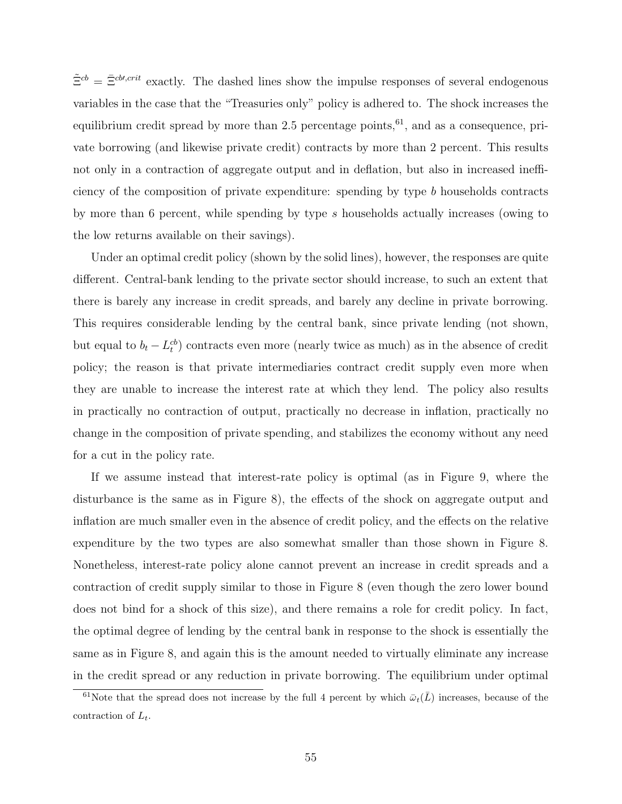$\tilde{\Xi}^{cb} = \bar{\Xi}^{cb,crit}$  exactly. The dashed lines show the impulse responses of several endogenous variables in the case that the "Treasuries only" policy is adhered to. The shock increases the equilibrium credit spread by more than 2.5 percentage points,  $61$ , and as a consequence, private borrowing (and likewise private credit) contracts by more than 2 percent. This results not only in a contraction of aggregate output and in deflation, but also in increased inefficiency of the composition of private expenditure: spending by type b households contracts by more than 6 percent, while spending by type s households actually increases (owing to the low returns available on their savings).

Under an optimal credit policy (shown by the solid lines), however, the responses are quite different. Central-bank lending to the private sector should increase, to such an extent that there is barely any increase in credit spreads, and barely any decline in private borrowing. This requires considerable lending by the central bank, since private lending (not shown, but equal to  $b_t - L_t^{cb}$  contracts even more (nearly twice as much) as in the absence of credit policy; the reason is that private intermediaries contract credit supply even more when they are unable to increase the interest rate at which they lend. The policy also results in practically no contraction of output, practically no decrease in inflation, practically no change in the composition of private spending, and stabilizes the economy without any need for a cut in the policy rate.

If we assume instead that interest-rate policy is optimal (as in Figure 9, where the disturbance is the same as in Figure 8), the effects of the shock on aggregate output and inflation are much smaller even in the absence of credit policy, and the effects on the relative expenditure by the two types are also somewhat smaller than those shown in Figure 8. Nonetheless, interest-rate policy alone cannot prevent an increase in credit spreads and a contraction of credit supply similar to those in Figure 8 (even though the zero lower bound does not bind for a shock of this size), and there remains a role for credit policy. In fact, the optimal degree of lending by the central bank in response to the shock is essentially the same as in Figure 8, and again this is the amount needed to virtually eliminate any increase in the credit spread or any reduction in private borrowing. The equilibrium under optimal

<sup>&</sup>lt;sup>61</sup>Note that the spread does not increase by the full 4 percent by which  $\bar{\omega}_t(\bar{L})$  increases, because of the contraction of  $L_t$ .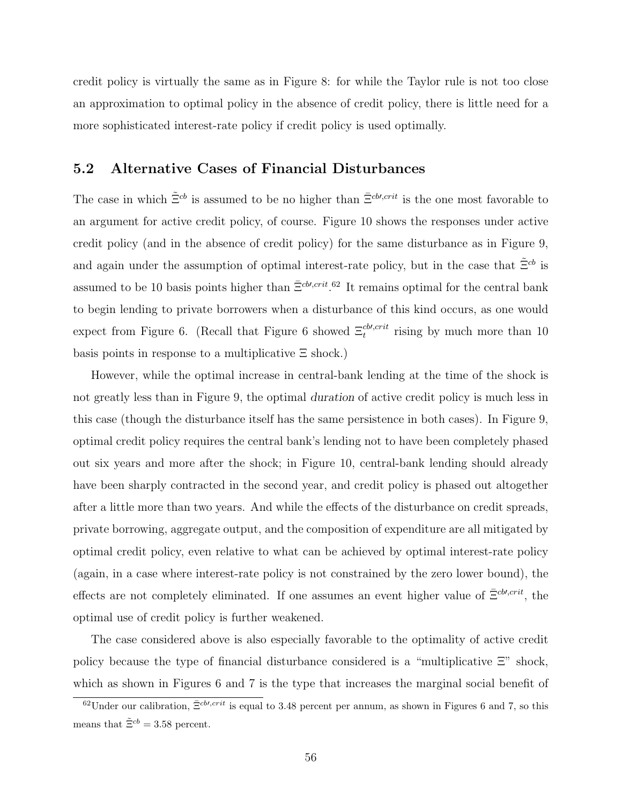credit policy is virtually the same as in Figure 8: for while the Taylor rule is not too close an approximation to optimal policy in the absence of credit policy, there is little need for a more sophisticated interest-rate policy if credit policy is used optimally.

### 5.2 Alternative Cases of Financial Disturbances

The case in which  $\tilde{\Xi}^{cb}$  is assumed to be no higher than  $\bar{\Xi}^{cb,crit}$  is the one most favorable to an argument for active credit policy, of course. Figure 10 shows the responses under active credit policy (and in the absence of credit policy) for the same disturbance as in Figure 9, and again under the assumption of optimal interest-rate policy, but in the case that  $\tilde{\Xi}^{cb}$  is assumed to be 10 basis points higher than  $\bar{\Xi}^{cb,crit}$ .<sup>62</sup> It remains optimal for the central bank to begin lending to private borrowers when a disturbance of this kind occurs, as one would expect from Figure 6. (Recall that Figure 6 showed  $\Xi_t^{cb,crit}$  rising by much more than 10 basis points in response to a multiplicative  $\Xi$  shock.)

However, while the optimal increase in central-bank lending at the time of the shock is not greatly less than in Figure 9, the optimal duration of active credit policy is much less in this case (though the disturbance itself has the same persistence in both cases). In Figure 9, optimal credit policy requires the central bank's lending not to have been completely phased out six years and more after the shock; in Figure 10, central-bank lending should already have been sharply contracted in the second year, and credit policy is phased out altogether after a little more than two years. And while the effects of the disturbance on credit spreads, private borrowing, aggregate output, and the composition of expenditure are all mitigated by optimal credit policy, even relative to what can be achieved by optimal interest-rate policy (again, in a case where interest-rate policy is not constrained by the zero lower bound), the effects are not completely eliminated. If one assumes an event higher value of  $\bar{\Xi}^{cb,crit}$ , the optimal use of credit policy is further weakened.

The case considered above is also especially favorable to the optimality of active credit policy because the type of financial disturbance considered is a "multiplicative  $\Xi$ " shock, which as shown in Figures 6 and 7 is the type that increases the marginal social benefit of

 $\frac{62 \text{Under our calibration}, \pm c^{cb,crit} \text{ is equal to 3.48 percent per annum, as shown in Figures 6 and 7, so this}$ means that  $\tilde{\Xi}^{cb} = 3.58$  percent.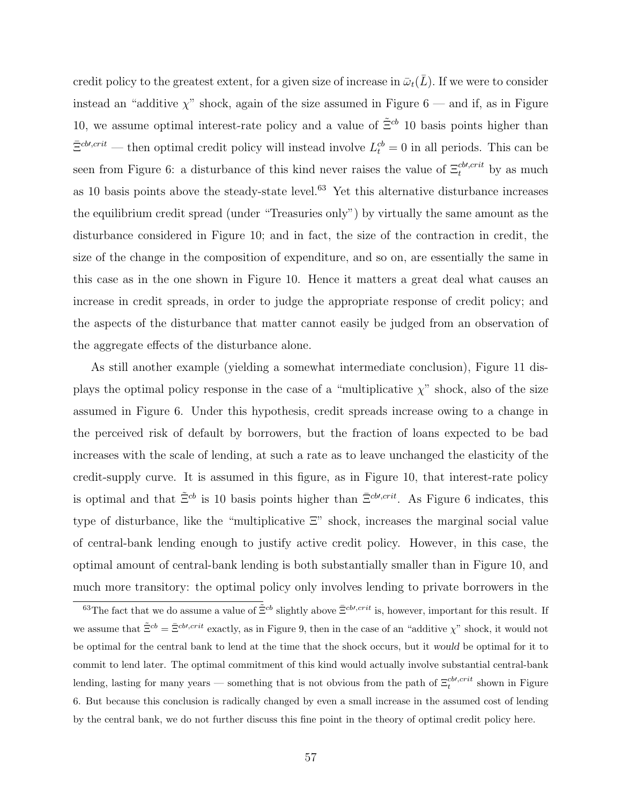credit policy to the greatest extent, for a given size of increase in  $\bar{\omega}_t(\bar{L})$ . If we were to consider instead an "additive  $\chi$ " shock, again of the size assumed in Figure 6 — and if, as in Figure 10, we assume optimal interest-rate policy and a value of  $\tilde{\Xi}^{cb}$  10 basis points higher than  $\bar{\Xi}^{cb,crit}$  — then optimal credit policy will instead involve  $L_t^{cb} = 0$  in all periods. This can be seen from Figure 6: a disturbance of this kind never raises the value of  $\Xi_t^{cb,crit}$  by as much as 10 basis points above the steady-state level.<sup>63</sup> Yet this alternative disturbance increases the equilibrium credit spread (under "Treasuries only") by virtually the same amount as the disturbance considered in Figure 10; and in fact, the size of the contraction in credit, the size of the change in the composition of expenditure, and so on, are essentially the same in this case as in the one shown in Figure 10. Hence it matters a great deal what causes an increase in credit spreads, in order to judge the appropriate response of credit policy; and the aspects of the disturbance that matter cannot easily be judged from an observation of the aggregate effects of the disturbance alone.

As still another example (yielding a somewhat intermediate conclusion), Figure 11 displays the optimal policy response in the case of a "multiplicative  $\chi$ " shock, also of the size assumed in Figure 6. Under this hypothesis, credit spreads increase owing to a change in the perceived risk of default by borrowers, but the fraction of loans expected to be bad increases with the scale of lending, at such a rate as to leave unchanged the elasticity of the credit-supply curve. It is assumed in this figure, as in Figure 10, that interest-rate policy is optimal and that  $\tilde{\Xi}^{cb}$  is 10 basis points higher than  $\tilde{\Xi}^{cb,crit}$ . As Figure 6 indicates, this type of disturbance, like the "multiplicative Ξ" shock, increases the marginal social value of central-bank lending enough to justify active credit policy. However, in this case, the optimal amount of central-bank lending is both substantially smaller than in Figure 10, and much more transitory: the optimal policy only involves lending to private borrowers in the

<sup>&</sup>lt;sup>63</sup>The fact that we do assume a value of  $\tilde{\Xi}^{cb}$  slightly above  $\tilde{\Xi}^{cb,crit}$  is, however, important for this result. If we assume that  $\tilde{\Xi}^{cb} = \bar{\Xi}^{cb,crit}$  exactly, as in Figure 9, then in the case of an "additive  $\chi$ " shock, it would not be optimal for the central bank to lend at the time that the shock occurs, but it would be optimal for it to commit to lend later. The optimal commitment of this kind would actually involve substantial central-bank lending, lasting for many years — something that is not obvious from the path of  $\Xi_t^{cb,crit}$  shown in Figure 6. But because this conclusion is radically changed by even a small increase in the assumed cost of lending by the central bank, we do not further discuss this fine point in the theory of optimal credit policy here.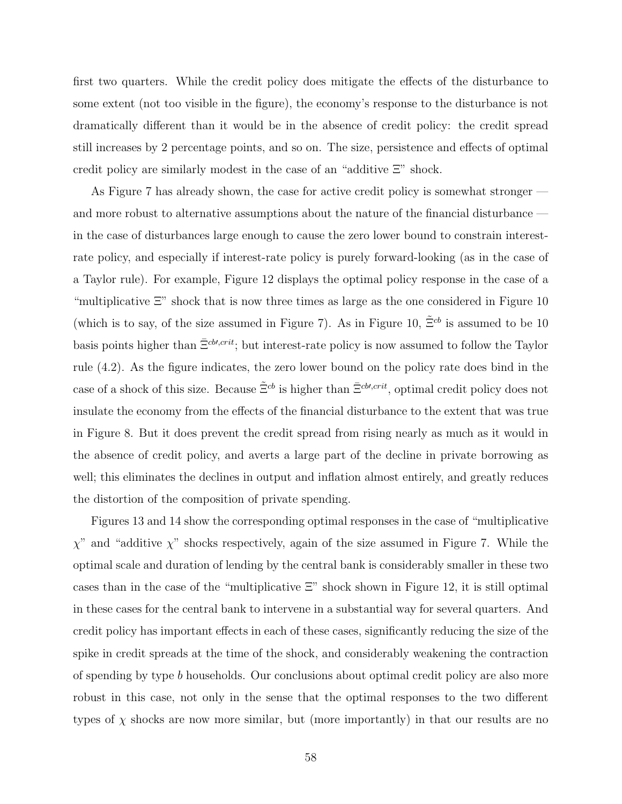first two quarters. While the credit policy does mitigate the effects of the disturbance to some extent (not too visible in the figure), the economy's response to the disturbance is not dramatically different than it would be in the absence of credit policy: the credit spread still increases by 2 percentage points, and so on. The size, persistence and effects of optimal credit policy are similarly modest in the case of an "additive Ξ" shock.

As Figure 7 has already shown, the case for active credit policy is somewhat stronger and more robust to alternative assumptions about the nature of the financial disturbance in the case of disturbances large enough to cause the zero lower bound to constrain interestrate policy, and especially if interest-rate policy is purely forward-looking (as in the case of a Taylor rule). For example, Figure 12 displays the optimal policy response in the case of a "multiplicative  $\Xi$ " shock that is now three times as large as the one considered in Figure 10 (which is to say, of the size assumed in Figure 7). As in Figure 10,  $\tilde{\Xi}^{cb}$  is assumed to be 10 basis points higher than  $\bar{\Xi}^{cb,crit}$ ; but interest-rate policy is now assumed to follow the Taylor rule (4.2). As the figure indicates, the zero lower bound on the policy rate does bind in the case of a shock of this size. Because  $\tilde{\Xi}^{cb}$  is higher than  $\bar{\Xi}^{cb,crit}$ , optimal credit policy does not insulate the economy from the effects of the financial disturbance to the extent that was true in Figure 8. But it does prevent the credit spread from rising nearly as much as it would in the absence of credit policy, and averts a large part of the decline in private borrowing as well; this eliminates the declines in output and inflation almost entirely, and greatly reduces the distortion of the composition of private spending.

Figures 13 and 14 show the corresponding optimal responses in the case of "multiplicative  $\chi$ " and "additive  $\chi$ " shocks respectively, again of the size assumed in Figure 7. While the optimal scale and duration of lending by the central bank is considerably smaller in these two cases than in the case of the "multiplicative  $\Xi$ " shock shown in Figure 12, it is still optimal in these cases for the central bank to intervene in a substantial way for several quarters. And credit policy has important effects in each of these cases, significantly reducing the size of the spike in credit spreads at the time of the shock, and considerably weakening the contraction of spending by type b households. Our conclusions about optimal credit policy are also more robust in this case, not only in the sense that the optimal responses to the two different types of  $\chi$  shocks are now more similar, but (more importantly) in that our results are no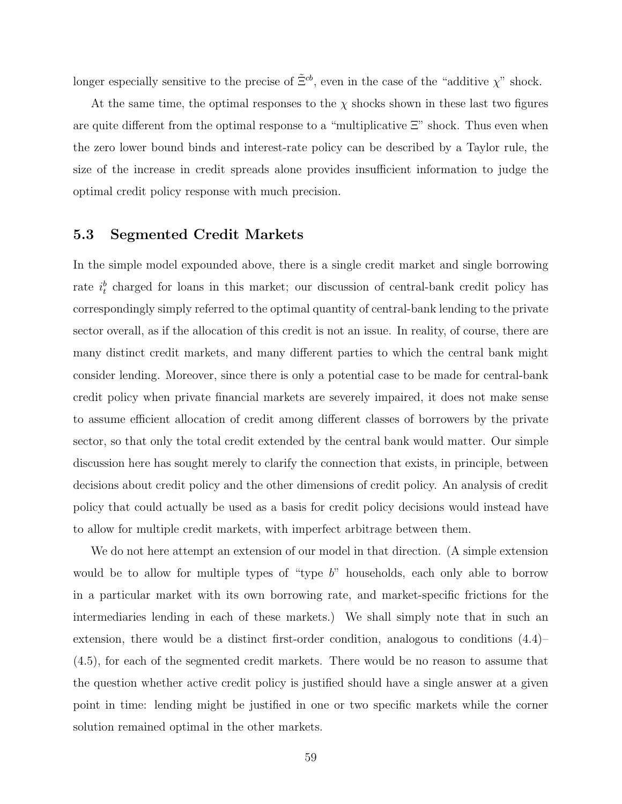longer especially sensitive to the precise of  $\tilde{\Xi}^{cb}$ , even in the case of the "additive  $\chi$ " shock.

At the same time, the optimal responses to the  $\chi$  shocks shown in these last two figures are quite different from the optimal response to a "multiplicative  $\Xi$ " shock. Thus even when the zero lower bound binds and interest-rate policy can be described by a Taylor rule, the size of the increase in credit spreads alone provides insufficient information to judge the optimal credit policy response with much precision.

#### 5.3 Segmented Credit Markets

In the simple model expounded above, there is a single credit market and single borrowing rate  $i_t^b$  charged for loans in this market; our discussion of central-bank credit policy has correspondingly simply referred to the optimal quantity of central-bank lending to the private sector overall, as if the allocation of this credit is not an issue. In reality, of course, there are many distinct credit markets, and many different parties to which the central bank might consider lending. Moreover, since there is only a potential case to be made for central-bank credit policy when private financial markets are severely impaired, it does not make sense to assume efficient allocation of credit among different classes of borrowers by the private sector, so that only the total credit extended by the central bank would matter. Our simple discussion here has sought merely to clarify the connection that exists, in principle, between decisions about credit policy and the other dimensions of credit policy. An analysis of credit policy that could actually be used as a basis for credit policy decisions would instead have to allow for multiple credit markets, with imperfect arbitrage between them.

We do not here attempt an extension of our model in that direction. (A simple extension would be to allow for multiple types of "type  $b$ " households, each only able to borrow in a particular market with its own borrowing rate, and market-specific frictions for the intermediaries lending in each of these markets.) We shall simply note that in such an extension, there would be a distinct first-order condition, analogous to conditions (4.4)– (4.5), for each of the segmented credit markets. There would be no reason to assume that the question whether active credit policy is justified should have a single answer at a given point in time: lending might be justified in one or two specific markets while the corner solution remained optimal in the other markets.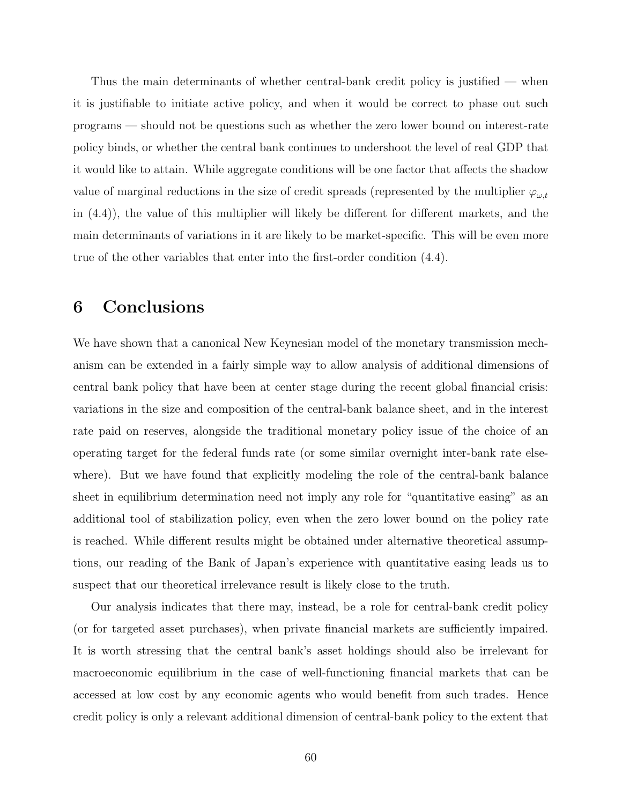Thus the main determinants of whether central-bank credit policy is justified — when it is justifiable to initiate active policy, and when it would be correct to phase out such programs — should not be questions such as whether the zero lower bound on interest-rate policy binds, or whether the central bank continues to undershoot the level of real GDP that it would like to attain. While aggregate conditions will be one factor that affects the shadow value of marginal reductions in the size of credit spreads (represented by the multiplier  $\varphi_{\omega,t}$ in (4.4)), the value of this multiplier will likely be different for different markets, and the main determinants of variations in it are likely to be market-specific. This will be even more true of the other variables that enter into the first-order condition (4.4).

## 6 Conclusions

We have shown that a canonical New Keynesian model of the monetary transmission mechanism can be extended in a fairly simple way to allow analysis of additional dimensions of central bank policy that have been at center stage during the recent global financial crisis: variations in the size and composition of the central-bank balance sheet, and in the interest rate paid on reserves, alongside the traditional monetary policy issue of the choice of an operating target for the federal funds rate (or some similar overnight inter-bank rate elsewhere). But we have found that explicitly modeling the role of the central-bank balance sheet in equilibrium determination need not imply any role for "quantitative easing" as an additional tool of stabilization policy, even when the zero lower bound on the policy rate is reached. While different results might be obtained under alternative theoretical assumptions, our reading of the Bank of Japan's experience with quantitative easing leads us to suspect that our theoretical irrelevance result is likely close to the truth.

Our analysis indicates that there may, instead, be a role for central-bank credit policy (or for targeted asset purchases), when private financial markets are sufficiently impaired. It is worth stressing that the central bank's asset holdings should also be irrelevant for macroeconomic equilibrium in the case of well-functioning financial markets that can be accessed at low cost by any economic agents who would benefit from such trades. Hence credit policy is only a relevant additional dimension of central-bank policy to the extent that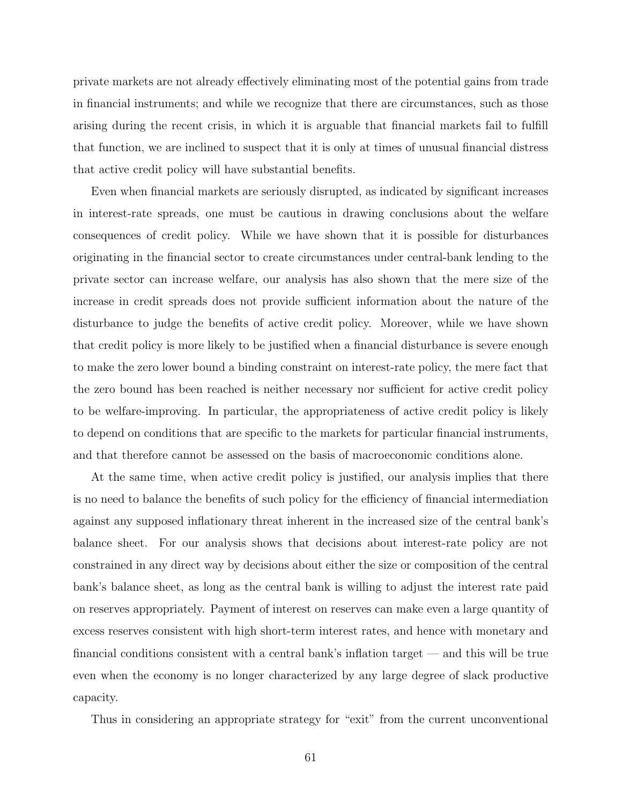private markets are not already effectively eliminating most of the potential gains from trade in financial instruments; and while we recognize that there are circumstances, such as those arising during the recent crisis, in which it is arguable that financial markets fail to fulfill that function, we are inclined to suspect that it is only at times of unusual financial distress that active credit policy will have substantial benefits.

Even when financial markets are seriously disrupted, as indicated by significant increases in interest-rate spreads, one must be cautious in drawing conclusions about the welfare consequences of credit policy. While we have shown that it is possible for disturbances originating in the financial sector to create circumstances under central-bank lending to the private sector can increase welfare, our analysis has also shown that the mere size of the increase in credit spreads does not provide sufficient information about the nature of the disturbance to judge the benefits of active credit policy. Moreover, while we have shown that credit policy is more likely to be justified when a financial disturbance is severe enough to make the zero lower bound a binding constraint on interest-rate policy, the mere fact that the zero bound has been reached is neither necessary nor sufficient for active credit policy to be welfare-improving. In particular, the appropriateness of active credit policy is likely to depend on conditions that are specific to the markets for particular financial instruments, and that therefore cannot be assessed on the basis of macroeconomic conditions alone.

At the same time, when active credit policy is justified, our analysis implies that there is no need to balance the benefits of such policy for the efficiency of financial intermediation against any supposed inflationary threat inherent in the increased size of the central bank's balance sheet. For our analysis shows that decisions about interest-rate policy are not constrained in any direct way by decisions about either the size or composition of the central bank's balance sheet, as long as the central bank is willing to adjust the interest rate paid on reserves appropriately. Payment of interest on reserves can make even a large quantity of excess reserves consistent with high short-term interest rates, and hence with monetary and financial conditions consistent with a central bank's inflation target — and this will be true even when the economy is no longer characterized by any large degree of slack productive capacity.

Thus in considering an appropriate strategy for "exit" from the current unconventional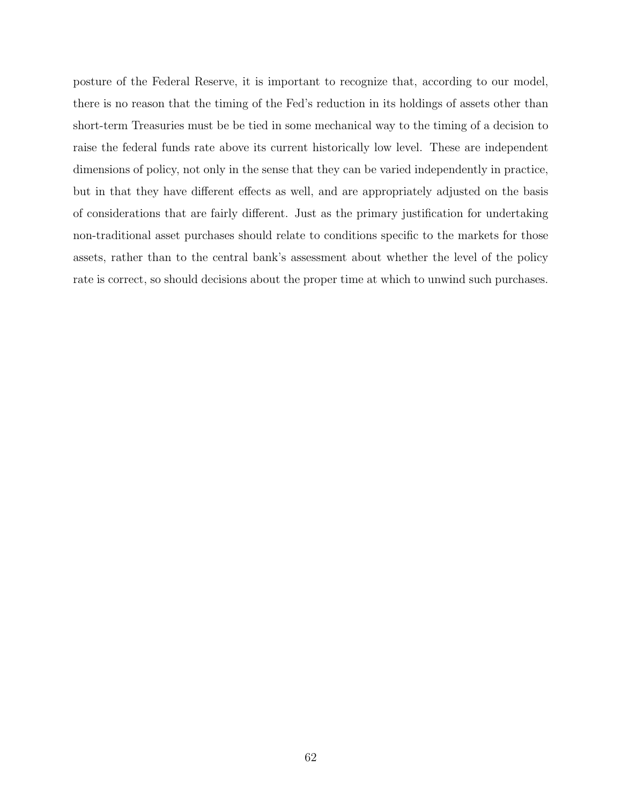posture of the Federal Reserve, it is important to recognize that, according to our model, there is no reason that the timing of the Fed's reduction in its holdings of assets other than short-term Treasuries must be be tied in some mechanical way to the timing of a decision to raise the federal funds rate above its current historically low level. These are independent dimensions of policy, not only in the sense that they can be varied independently in practice, but in that they have different effects as well, and are appropriately adjusted on the basis of considerations that are fairly different. Just as the primary justification for undertaking non-traditional asset purchases should relate to conditions specific to the markets for those assets, rather than to the central bank's assessment about whether the level of the policy rate is correct, so should decisions about the proper time at which to unwind such purchases.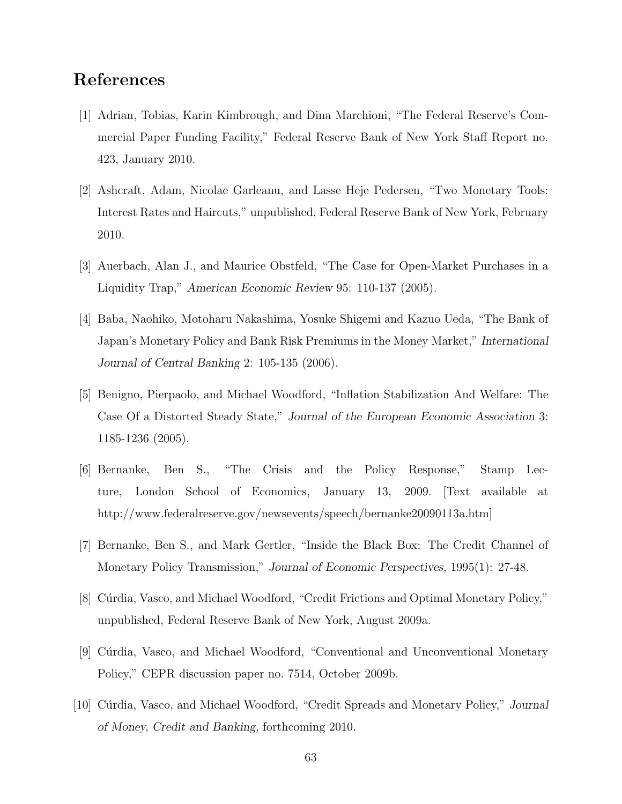## References

- [1] Adrian, Tobias, Karin Kimbrough, and Dina Marchioni, "The Federal Reserve's Commercial Paper Funding Facility," Federal Reserve Bank of New York Staff Report no. 423, January 2010.
- [2] Ashcraft, Adam, Nicolae Garleanu, and Lasse Heje Pedersen, "Two Monetary Tools: Interest Rates and Haircuts," unpublished, Federal Reserve Bank of New York, February 2010.
- [3] Auerbach, Alan J., and Maurice Obstfeld, "The Case for Open-Market Purchases in a Liquidity Trap," American Economic Review 95: 110-137 (2005).
- [4] Baba, Naohiko, Motoharu Nakashima, Yosuke Shigemi and Kazuo Ueda, "The Bank of Japan's Monetary Policy and Bank Risk Premiums in the Money Market," International Journal of Central Banking 2: 105-135 (2006).
- [5] Benigno, Pierpaolo, and Michael Woodford, "Inflation Stabilization And Welfare: The Case Of a Distorted Steady State," Journal of the European Economic Association 3: 1185-1236 (2005).
- [6] Bernanke, Ben S., "The Crisis and the Policy Response," Stamp Lecture, London School of Economics, January 13, 2009. [Text available at http://www.federalreserve.gov/newsevents/speech/bernanke20090113a.htm]
- [7] Bernanke, Ben S., and Mark Gertler, "Inside the Black Box: The Credit Channel of Monetary Policy Transmission," Journal of Economic Perspectives, 1995(1): 27-48.
- [8] Cúrdia, Vasco, and Michael Woodford, "Credit Frictions and Optimal Monetary Policy," unpublished, Federal Reserve Bank of New York, August 2009a.
- [9] C´urdia, Vasco, and Michael Woodford, "Conventional and Unconventional Monetary Policy," CEPR discussion paper no. 7514, October 2009b.
- [10] Cúrdia, Vasco, and Michael Woodford, "Credit Spreads and Monetary Policy," Journal of Money, Credit and Banking, forthcoming 2010.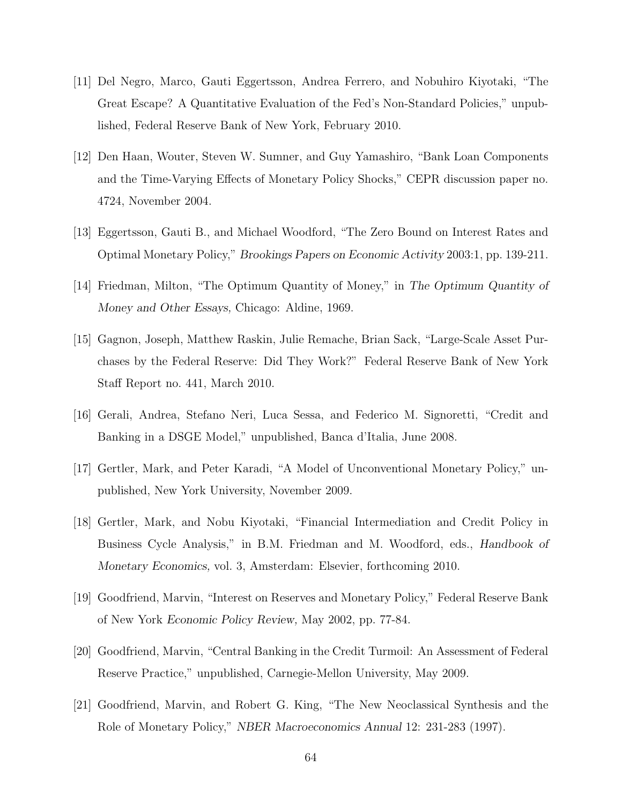- [11] Del Negro, Marco, Gauti Eggertsson, Andrea Ferrero, and Nobuhiro Kiyotaki, "The Great Escape? A Quantitative Evaluation of the Fed's Non-Standard Policies," unpublished, Federal Reserve Bank of New York, February 2010.
- [12] Den Haan, Wouter, Steven W. Sumner, and Guy Yamashiro, "Bank Loan Components and the Time-Varying Effects of Monetary Policy Shocks," CEPR discussion paper no. 4724, November 2004.
- [13] Eggertsson, Gauti B., and Michael Woodford, "The Zero Bound on Interest Rates and Optimal Monetary Policy," Brookings Papers on Economic Activity 2003:1, pp. 139-211.
- [14] Friedman, Milton, "The Optimum Quantity of Money," in The Optimum Quantity of Money and Other Essays, Chicago: Aldine, 1969.
- [15] Gagnon, Joseph, Matthew Raskin, Julie Remache, Brian Sack, "Large-Scale Asset Purchases by the Federal Reserve: Did They Work?" Federal Reserve Bank of New York Staff Report no. 441, March 2010.
- [16] Gerali, Andrea, Stefano Neri, Luca Sessa, and Federico M. Signoretti, "Credit and Banking in a DSGE Model," unpublished, Banca d'Italia, June 2008.
- [17] Gertler, Mark, and Peter Karadi, "A Model of Unconventional Monetary Policy," unpublished, New York University, November 2009.
- [18] Gertler, Mark, and Nobu Kiyotaki, "Financial Intermediation and Credit Policy in Business Cycle Analysis," in B.M. Friedman and M. Woodford, eds., Handbook of Monetary Economics, vol. 3, Amsterdam: Elsevier, forthcoming 2010.
- [19] Goodfriend, Marvin, "Interest on Reserves and Monetary Policy," Federal Reserve Bank of New York Economic Policy Review, May 2002, pp. 77-84.
- [20] Goodfriend, Marvin, "Central Banking in the Credit Turmoil: An Assessment of Federal Reserve Practice," unpublished, Carnegie-Mellon University, May 2009.
- [21] Goodfriend, Marvin, and Robert G. King, "The New Neoclassical Synthesis and the Role of Monetary Policy," NBER Macroeconomics Annual 12: 231-283 (1997).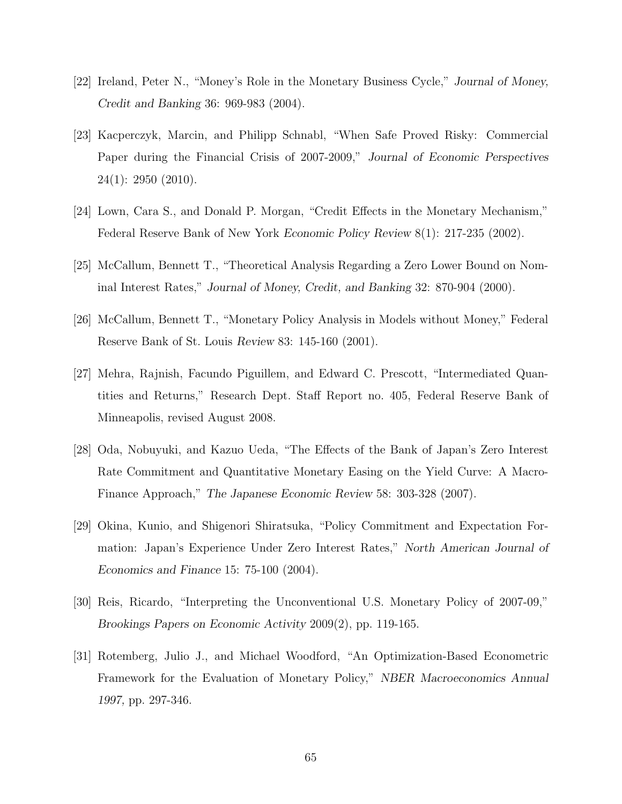- [22] Ireland, Peter N., "Money's Role in the Monetary Business Cycle," Journal of Money, Credit and Banking 36: 969-983 (2004).
- [23] Kacperczyk, Marcin, and Philipp Schnabl, "When Safe Proved Risky: Commercial Paper during the Financial Crisis of 2007-2009," Journal of Economic Perspectives  $24(1)$ : 2950 (2010).
- [24] Lown, Cara S., and Donald P. Morgan, "Credit Effects in the Monetary Mechanism," Federal Reserve Bank of New York Economic Policy Review 8(1): 217-235 (2002).
- [25] McCallum, Bennett T., "Theoretical Analysis Regarding a Zero Lower Bound on Nominal Interest Rates," Journal of Money, Credit, and Banking 32: 870-904 (2000).
- [26] McCallum, Bennett T., "Monetary Policy Analysis in Models without Money," Federal Reserve Bank of St. Louis Review 83: 145-160 (2001).
- [27] Mehra, Rajnish, Facundo Piguillem, and Edward C. Prescott, "Intermediated Quantities and Returns," Research Dept. Staff Report no. 405, Federal Reserve Bank of Minneapolis, revised August 2008.
- [28] Oda, Nobuyuki, and Kazuo Ueda, "The Effects of the Bank of Japan's Zero Interest Rate Commitment and Quantitative Monetary Easing on the Yield Curve: A Macro-Finance Approach," The Japanese Economic Review 58: 303-328 (2007).
- [29] Okina, Kunio, and Shigenori Shiratsuka, "Policy Commitment and Expectation Formation: Japan's Experience Under Zero Interest Rates," North American Journal of Economics and Finance 15: 75-100 (2004).
- [30] Reis, Ricardo, "Interpreting the Unconventional U.S. Monetary Policy of 2007-09," Brookings Papers on Economic Activity 2009(2), pp. 119-165.
- [31] Rotemberg, Julio J., and Michael Woodford, "An Optimization-Based Econometric Framework for the Evaluation of Monetary Policy," NBER Macroeconomics Annual 1997, pp. 297-346.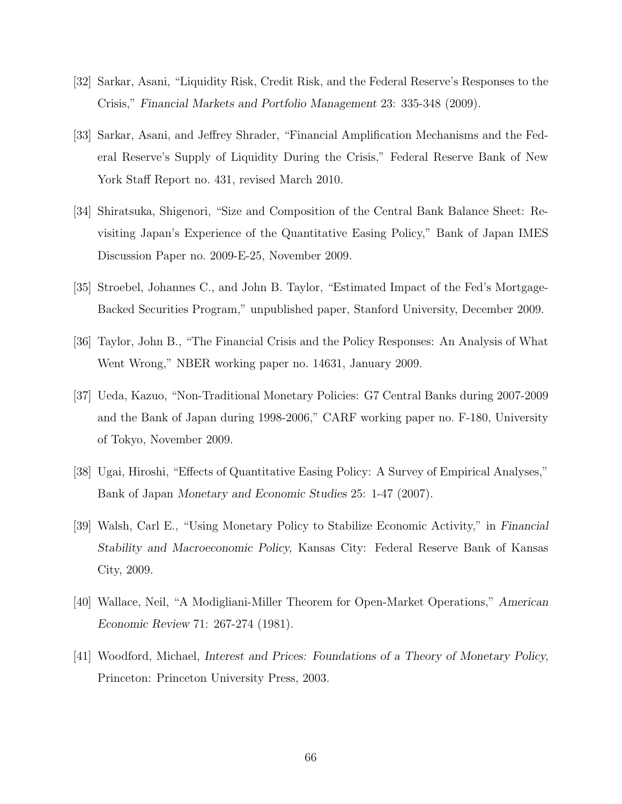- [32] Sarkar, Asani, "Liquidity Risk, Credit Risk, and the Federal Reserve's Responses to the Crisis," Financial Markets and Portfolio Management 23: 335-348 (2009).
- [33] Sarkar, Asani, and Jeffrey Shrader, "Financial Amplification Mechanisms and the Federal Reserve's Supply of Liquidity During the Crisis," Federal Reserve Bank of New York Staff Report no. 431, revised March 2010.
- [34] Shiratsuka, Shigenori, "Size and Composition of the Central Bank Balance Sheet: Revisiting Japan's Experience of the Quantitative Easing Policy," Bank of Japan IMES Discussion Paper no. 2009-E-25, November 2009.
- [35] Stroebel, Johannes C., and John B. Taylor, "Estimated Impact of the Fed's Mortgage-Backed Securities Program," unpublished paper, Stanford University, December 2009.
- [36] Taylor, John B., "The Financial Crisis and the Policy Responses: An Analysis of What Went Wrong," NBER working paper no. 14631, January 2009.
- [37] Ueda, Kazuo, "Non-Traditional Monetary Policies: G7 Central Banks during 2007-2009 and the Bank of Japan during 1998-2006," CARF working paper no. F-180, University of Tokyo, November 2009.
- [38] Ugai, Hiroshi, "Effects of Quantitative Easing Policy: A Survey of Empirical Analyses," Bank of Japan Monetary and Economic Studies 25: 1-47 (2007).
- [39] Walsh, Carl E., "Using Monetary Policy to Stabilize Economic Activity," in Financial Stability and Macroeconomic Policy, Kansas City: Federal Reserve Bank of Kansas City, 2009.
- [40] Wallace, Neil, "A Modigliani-Miller Theorem for Open-Market Operations," American Economic Review 71: 267-274 (1981).
- [41] Woodford, Michael, Interest and Prices: Foundations of a Theory of Monetary Policy, Princeton: Princeton University Press, 2003.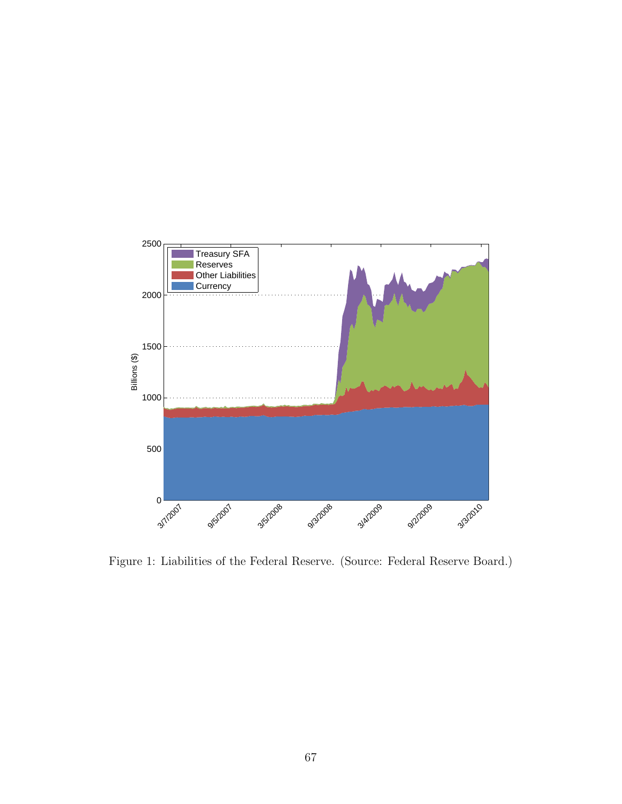

Figure 1: Liabilities of the Federal Reserve. (Source: Federal Reserve Board.)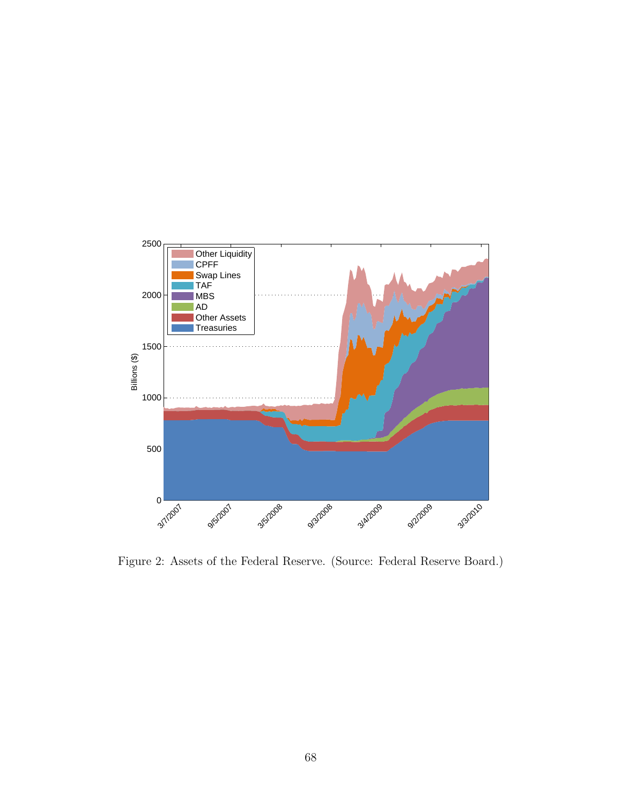

Figure 2: Assets of the Federal Reserve. (Source: Federal Reserve Board.)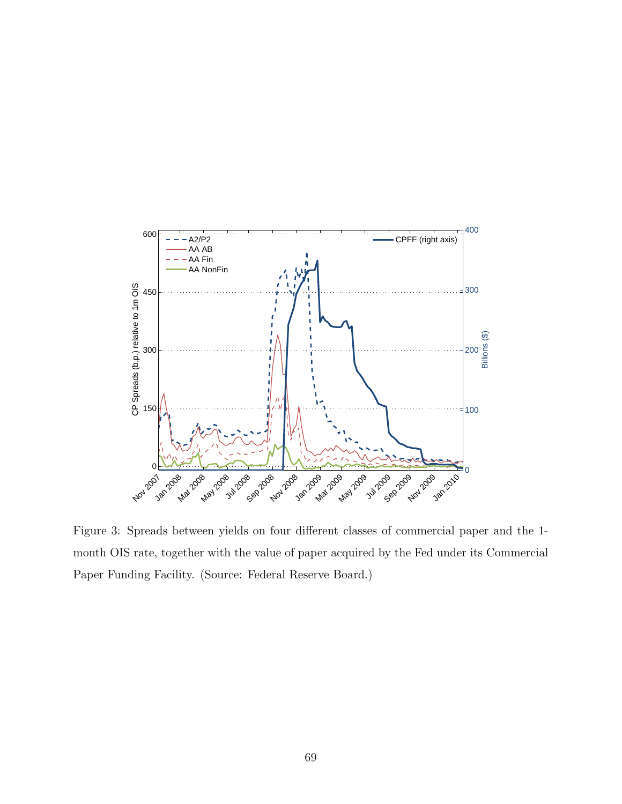

Figure 3: Spreads between yields on four different classes of commercial paper and the 1 month OIS rate, together with the value of paper acquired by the Fed under its Commercial Paper Funding Facility. (Source: Federal Reserve Board.)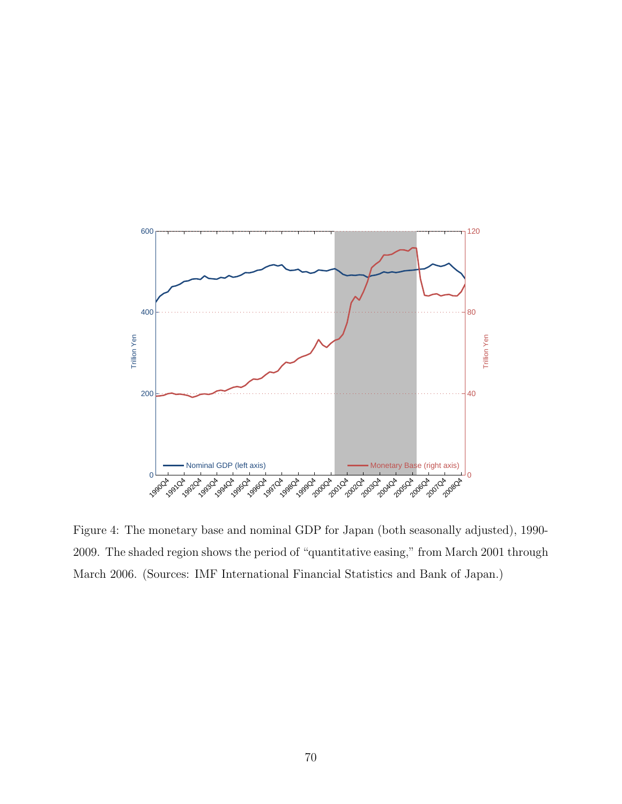

Figure 4: The monetary base and nominal GDP for Japan (both seasonally adjusted), 1990- 2009. The shaded region shows the period of "quantitative easing," from March 2001 through March 2006. (Sources: IMF International Financial Statistics and Bank of Japan.)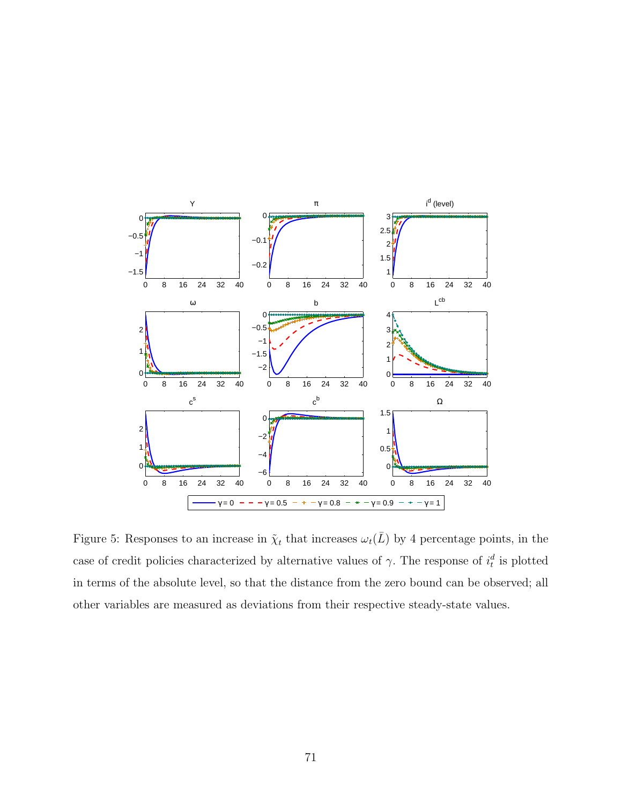

Figure 5: Responses to an increase in  $\tilde{\chi}_t$  that increases  $\omega_t(\bar{L})$  by 4 percentage points, in the case of credit policies characterized by alternative values of  $\gamma$ . The response of  $i_t^d$  is plotted in terms of the absolute level, so that the distance from the zero bound can be observed; all other variables are measured as deviations from their respective steady-state values.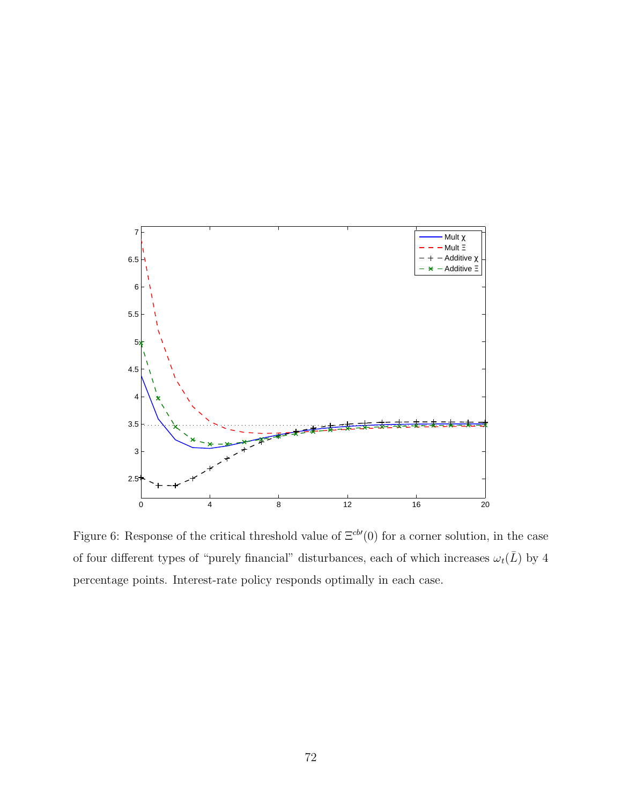

Figure 6: Response of the critical threshold value of  $\Xi^{cb'}(0)$  for a corner solution, in the case of four different types of "purely financial" disturbances, each of which increases  $\omega_t(\bar{L})$  by 4 percentage points. Interest-rate policy responds optimally in each case.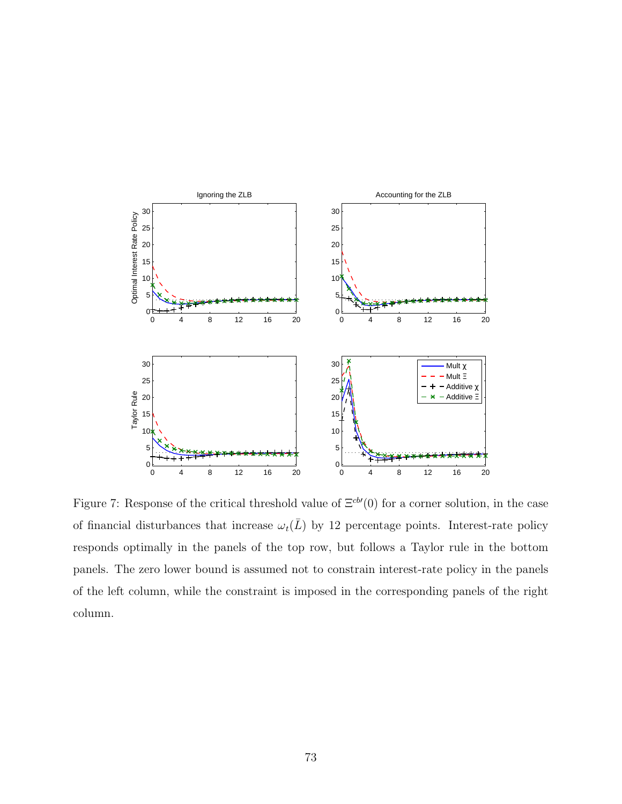

Figure 7: Response of the critical threshold value of  $\Xi^{cb'}(0)$  for a corner solution, in the case of financial disturbances that increase  $\omega_t(\bar{L})$  by 12 percentage points. Interest-rate policy responds optimally in the panels of the top row, but follows a Taylor rule in the bottom panels. The zero lower bound is assumed not to constrain interest-rate policy in the panels of the left column, while the constraint is imposed in the corresponding panels of the right column.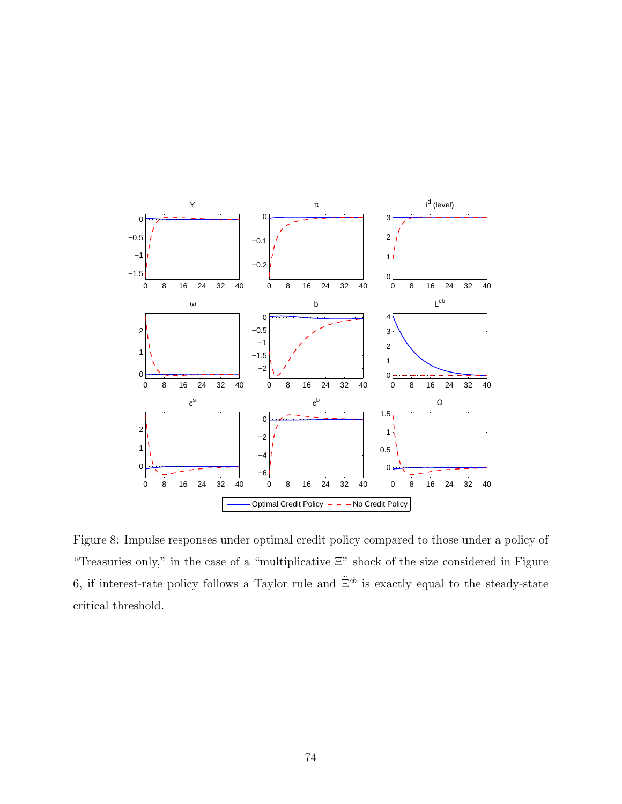

Figure 8: Impulse responses under optimal credit policy compared to those under a policy of "Treasuries only," in the case of a "multiplicative Ξ" shock of the size considered in Figure 6, if interest-rate policy follows a Taylor rule and  $\tilde{\Xi}^{cb}$  is exactly equal to the steady-state critical threshold.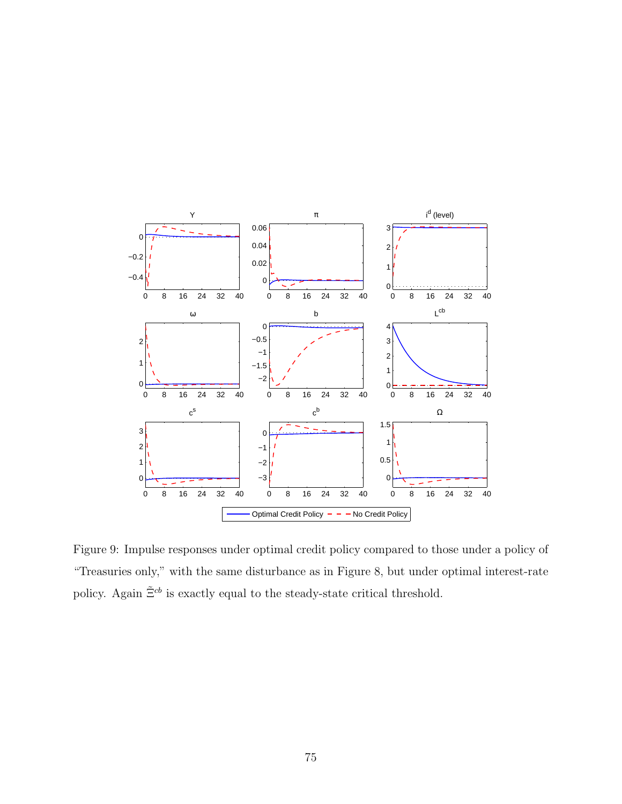

Figure 9: Impulse responses under optimal credit policy compared to those under a policy of "Treasuries only," with the same disturbance as in Figure 8, but under optimal interest-rate policy. Again  $\tilde{\Xi}^{cb}$  is exactly equal to the steady-state critical threshold.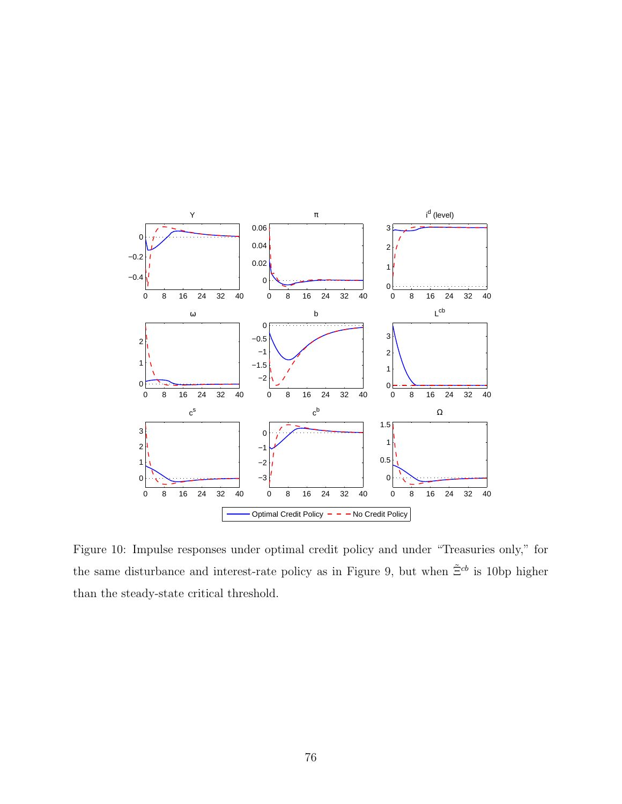

Figure 10: Impulse responses under optimal credit policy and under "Treasuries only," for the same disturbance and interest-rate policy as in Figure 9, but when  $\tilde{\Xi}^{cb}$  is 10bp higher than the steady-state critical threshold.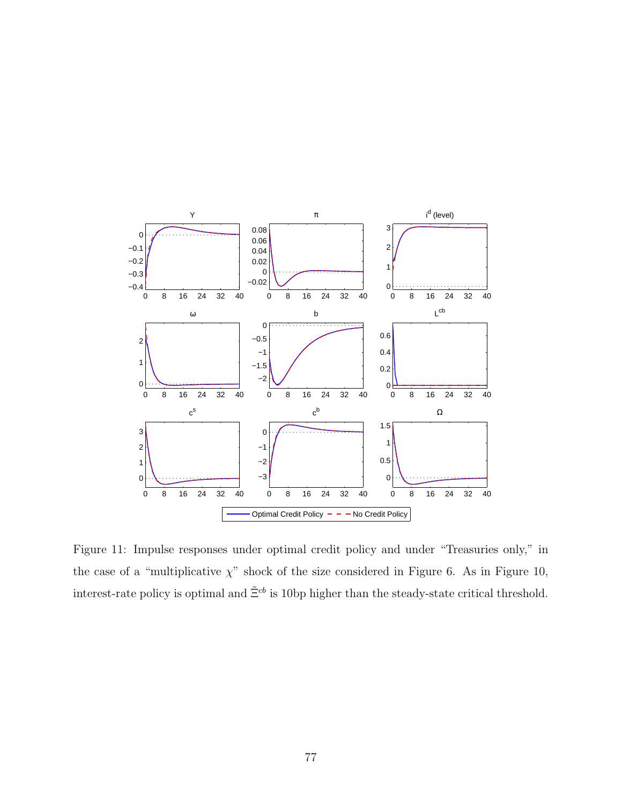

Figure 11: Impulse responses under optimal credit policy and under "Treasuries only," in the case of a "multiplicative  $\chi$ " shock of the size considered in Figure 6. As in Figure 10, interest-rate policy is optimal and  $\tilde{\Xi}^{cb}$  is 10bp higher than the steady-state critical threshold.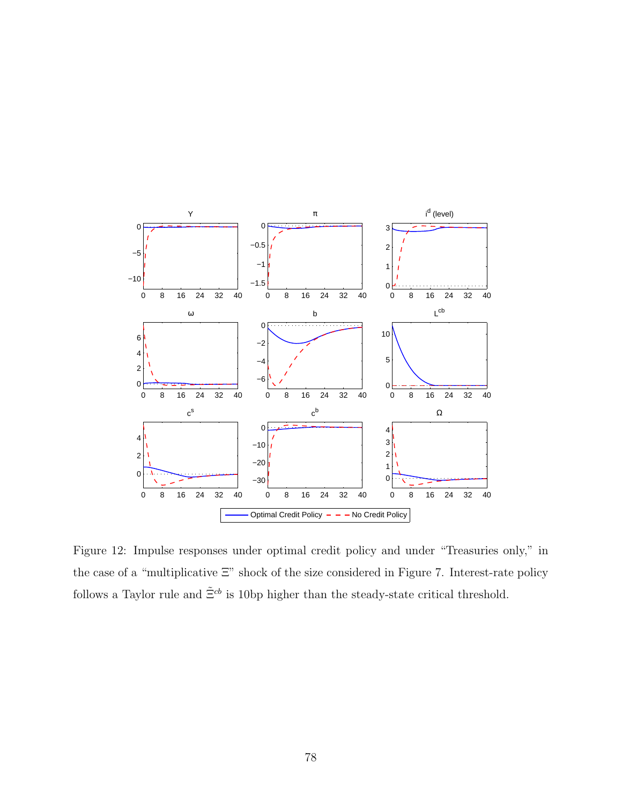

Figure 12: Impulse responses under optimal credit policy and under "Treasuries only," in the case of a "multiplicative Ξ" shock of the size considered in Figure 7. Interest-rate policy follows a Taylor rule and  $\tilde{\Xi}^{cb}$  is 10bp higher than the steady-state critical threshold.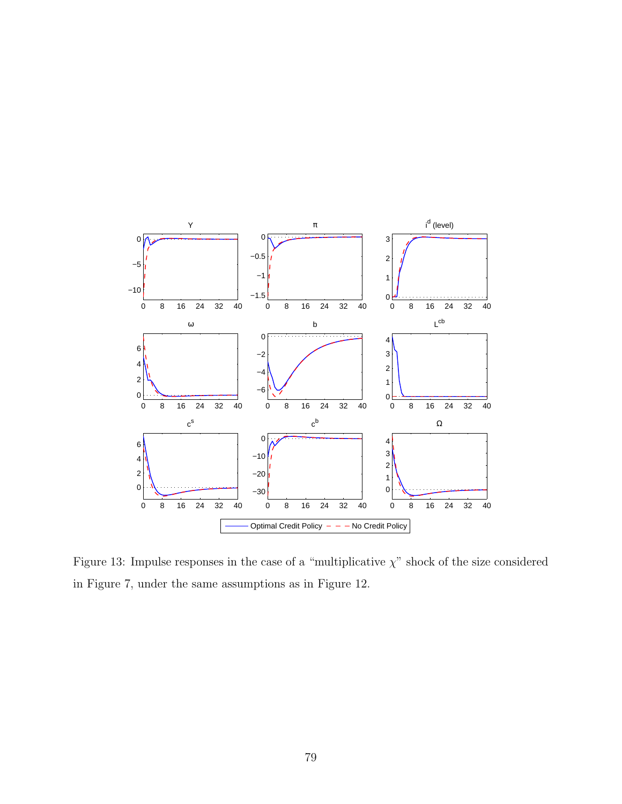

Figure 13: Impulse responses in the case of a "multiplicative  $\chi$ " shock of the size considered in Figure 7, under the same assumptions as in Figure 12.